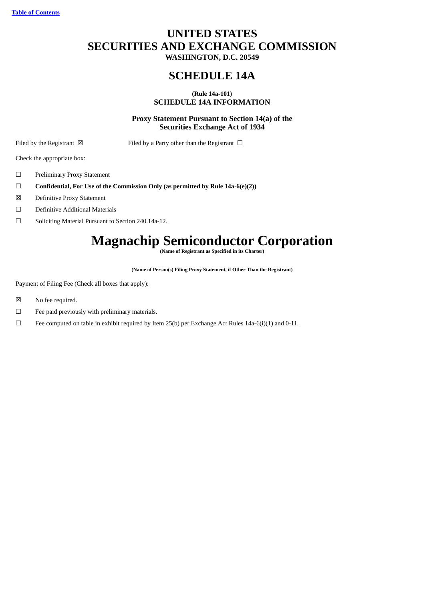# **UNITED STATES SECURITIES AND EXCHANGE COMMISSION**

**WASHINGTON, D.C. 20549**

# **SCHEDULE 14A**

# **(Rule 14a-101) SCHEDULE 14A INFORMATION**

# **Proxy Statement Pursuant to Section 14(a) of the Securities Exchange Act of 1934**

Filed by the Registrant  $\boxtimes$  Filed by a Party other than the Registrant  $\Box$ 

Check the appropriate box:

- ☐ Preliminary Proxy Statement
- ☐ **Confidential, For Use of the Commission Only (as permitted by Rule 14a-6(e)(2))**
- ☒ Definitive Proxy Statement
- ☐ Definitive Additional Materials
- ☐ Soliciting Material Pursuant to Section 240.14a-12.

# **Magnachip Semiconductor Corporation**

**(Name of Registrant as Specified in its Charter)**

**(Name of Person(s) Filing Proxy Statement, if Other Than the Registrant)**

Payment of Filing Fee (Check all boxes that apply):

- ☒ No fee required.
- $\Box$  Fee paid previously with preliminary materials.
- ☐ Fee computed on table in exhibit required by Item 25(b) per Exchange Act Rules 14a-6(i)(1) and 0-11.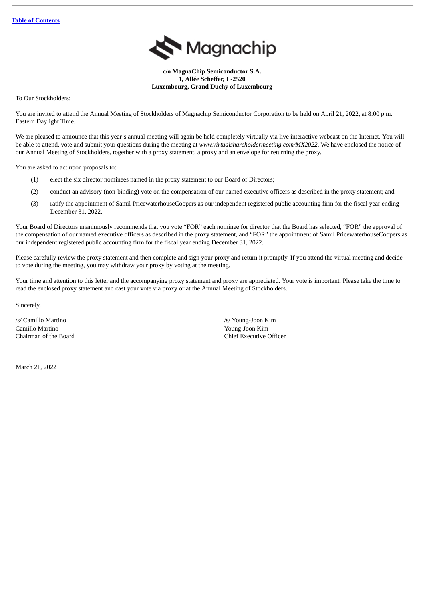

**c/o MagnaChip Semiconductor S.A. 1, Allée Scheffer, L-2520 Luxembourg, Grand Duchy of Luxembourg**

To Our Stockholders:

You are invited to attend the Annual Meeting of Stockholders of Magnachip Semiconductor Corporation to be held on April 21, 2022, at 8:00 p.m. Eastern Daylight Time.

We are pleased to announce that this year's annual meeting will again be held completely virtually via live interactive webcast on the Internet. You will be able to attend, vote and submit your questions during the meeting at *www.virtualshareholdermeeting.com/MX2022*. We have enclosed the notice of our Annual Meeting of Stockholders, together with a proxy statement, a proxy and an envelope for returning the proxy.

You are asked to act upon proposals to:

- (1) elect the six director nominees named in the proxy statement to our Board of Directors;
- (2) conduct an advisory (non-binding) vote on the compensation of our named executive officers as described in the proxy statement; and
- (3) ratify the appointment of Samil PricewaterhouseCoopers as our independent registered public accounting firm for the fiscal year ending December 31, 2022.

Your Board of Directors unanimously recommends that you vote "FOR" each nominee for director that the Board has selected, "FOR" the approval of the compensation of our named executive officers as described in the proxy statement, and "FOR" the appointment of Samil PricewaterhouseCoopers as our independent registered public accounting firm for the fiscal year ending December 31, 2022.

Please carefully review the proxy statement and then complete and sign your proxy and return it promptly. If you attend the virtual meeting and decide to vote during the meeting, you may withdraw your proxy by voting at the meeting.

Your time and attention to this letter and the accompanying proxy statement and proxy are appreciated. Your vote is important. Please take the time to read the enclosed proxy statement and cast your vote via proxy or at the Annual Meeting of Stockholders.

Sincerely,

Camillo Martino Young-Joon Kim

/s/ Camillo Martino /s/ /s/ Young-Joon Kim

Chairman of the Board Chief Executive Officer

March 21, 2022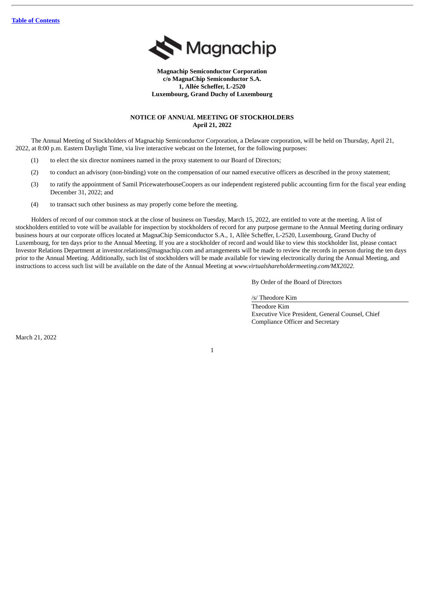

**Magnachip Semiconductor Corporation c/o MagnaChip Semiconductor S.A. 1, Allée Scheffer, L-2520 Luxembourg, Grand Duchy of Luxembourg**

# **NOTICE OF ANNUAL MEETING OF STOCKHOLDERS April 21, 2022**

The Annual Meeting of Stockholders of Magnachip Semiconductor Corporation, a Delaware corporation, will be held on Thursday, April 21, 2022, at 8:00 p.m. Eastern Daylight Time, via live interactive webcast on the Internet, for the following purposes:

- (1) to elect the six director nominees named in the proxy statement to our Board of Directors;
- (2) to conduct an advisory (non-binding) vote on the compensation of our named executive officers as described in the proxy statement;
- (3) to ratify the appointment of Samil PricewaterhouseCoopers as our independent registered public accounting firm for the fiscal year ending December 31, 2022; and
- (4) to transact such other business as may properly come before the meeting.

Holders of record of our common stock at the close of business on Tuesday, March 15, 2022, are entitled to vote at the meeting. A list of stockholders entitled to vote will be available for inspection by stockholders of record for any purpose germane to the Annual Meeting during ordinary business hours at our corporate offices located at MagnaChip Semiconductor S.A., 1, Allée Scheffer, L-2520, Luxembourg, Grand Duchy of Luxembourg, for ten days prior to the Annual Meeting. If you are a stockholder of record and would like to view this stockholder list, please contact Investor Relations Department at investor.relations@magnachip.com and arrangements will be made to review the records in person during the ten days prior to the Annual Meeting. Additionally, such list of stockholders will be made available for viewing electronically during the Annual Meeting, and instructions to access such list will be available on the date of the Annual Meeting at *www.virtualshareholdermeeting.com/MX2022.*

By Order of the Board of Directors

/s/ Theodore Kim

Theodore Kim Executive Vice President, General Counsel, Chief Compliance Officer and Secretary

March 21, 2022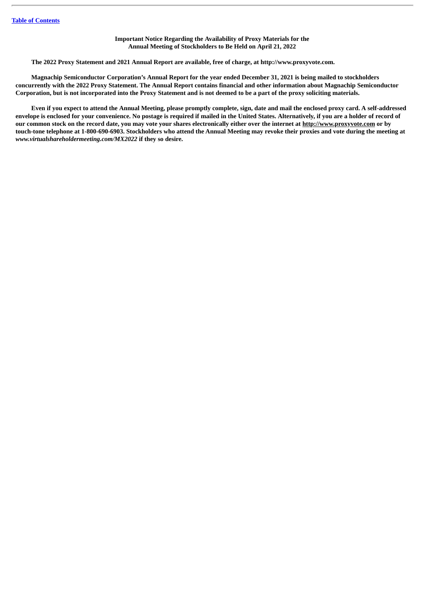# **Important Notice Regarding the Availability of Proxy Materials for the Annual Meeting of Stockholders to Be Held on April 21, 2022**

**The 2022 Proxy Statement and 2021 Annual Report are available, free of charge, at http://www.proxyvote.com.**

Magnachip Semiconductor Corporation's Annual Report for the year ended December 31, 2021 is being mailed to stockholders concurrently with the 2022 Proxy Statement. The Annual Report contains financial and other information about Magnachip Semiconductor Corporation, but is not incorporated into the Proxy Statement and is not deemed to be a part of the proxy soliciting materials.

Even if you expect to attend the Annual Meeting, please promptly complete, sign, date and mail the enclosed proxy card. A self-addressed envelope is enclosed for your convenience. No postage is required if mailed in the United States. Alternatively, if you are a holder of record of our common stock on the record date, you may vote your shares electronically either over the internet at http://www.proxyvote.com or by touch-tone telephone at 1-800-690-6903. Stockholders who attend the Annual Meeting may revoke their proxies and vote during the meeting at *www.virtualshareholdermeeting.com/MX2022* **if they so desire.**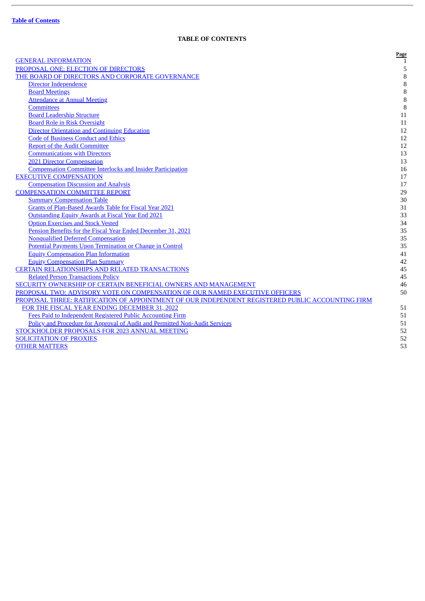ł.

# **TABLE OF CONTENTS**

<span id="page-4-0"></span>

|                                                                                                  | Page   |
|--------------------------------------------------------------------------------------------------|--------|
| <b>GENERAL INFORMATION</b>                                                                       | 1      |
| PROPOSAL ONE: ELECTION OF DIRECTORS                                                              | 5      |
| THE BOARD OF DIRECTORS AND CORPORATE GOVERNANCE                                                  | $\, 8$ |
| Director Independence                                                                            | $\, 8$ |
| <b>Board Meetings</b>                                                                            | $\, 8$ |
| <b>Attendance at Annual Meeting</b>                                                              | $\, 8$ |
| <b>Committees</b>                                                                                | $\, 8$ |
| <b>Board Leadership Structure</b>                                                                | 11     |
| <b>Board Role in Risk Oversight</b>                                                              | 11     |
| <b>Director Orientation and Continuing Education</b>                                             | 12     |
| <b>Code of Business Conduct and Ethics</b>                                                       | 12     |
| <b>Report of the Audit Committee</b>                                                             | 12     |
| <b>Communications with Directors</b>                                                             | 13     |
| <b>2021 Director Compensation</b>                                                                | 13     |
| <b>Compensation Committee Interlocks and Insider Participation</b>                               | 16     |
| <b>EXECUTIVE COMPENSATION</b>                                                                    | 17     |
| <b>Compensation Discussion and Analysis</b>                                                      | 17     |
| <b>COMPENSATION COMMITTEE REPORT</b>                                                             | 29     |
| <b>Summary Compensation Table</b>                                                                | 30     |
| <b>Grants of Plan-Based Awards Table for Fiscal Year 2021</b>                                    | 31     |
| <b>Outstanding Equity Awards at Fiscal Year End 2021</b>                                         | 33     |
| <b>Option Exercises and Stock Vested</b>                                                         | 34     |
| Pension Benefits for the Fiscal Year Ended December 31, 2021                                     | 35     |
| <b>Nonqualified Deferred Compensation</b>                                                        | 35     |
| Potential Payments Upon Termination or Change in Control                                         | 35     |
| <b>Equity Compensation Plan Information</b>                                                      | 41     |
| <b>Equity Compensation Plan Summary</b>                                                          | 42     |
| <b>CERTAIN RELATIONSHIPS AND RELATED TRANSACTIONS</b>                                            | 45     |
| <b>Related Person Transactions Policy</b>                                                        | 45     |
| <b>SECURITY OWNERSHIP OF CERTAIN BENEFICIAL OWNERS AND MANAGEMENT</b>                            | 46     |
| PROPOSAL TWO: ADVISORY VOTE ON COMPENSATION OF OUR NAMED EXECUTIVE OFFICERS                      | 50     |
| PROPOSAL THREE: RATIFICATION OF APPOINTMENT OF OUR INDEPENDENT REGISTERED PUBLIC ACCOUNTING FIRM |        |
| FOR THE FISCAL YEAR ENDING DECEMBER 31, 2022                                                     | 51     |
| Fees Paid to Independent Registered Public Accounting Firm                                       | 51     |
| Policy and Procedure for Approval of Audit and Permitted Non-Audit Services                      | 51     |
| STOCKHOLDER PROPOSALS FOR 2023 ANNUAL MEETING                                                    | 52     |
| <b>SOLICITATION OF PROXIES</b>                                                                   | 52     |
| <b>OTHER MATTERS</b>                                                                             | 53     |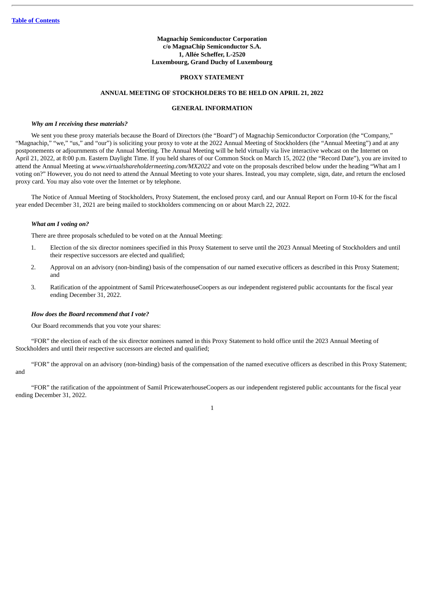# **Magnachip Semiconductor Corporation c/o MagnaChip Semiconductor S.A. 1, Allée Scheffer, L-2520 Luxembourg, Grand Duchy of Luxembourg**

# **PROXY STATEMENT**

# **ANNUAL MEETING OF STOCKHOLDERS TO BE HELD ON APRIL 21, 2022**

# **GENERAL INFORMATION**

#### <span id="page-5-0"></span>*Why am I receiving these materials?*

We sent you these proxy materials because the Board of Directors (the "Board") of Magnachip Semiconductor Corporation (the "Company," "Magnachip," "we," "us," and "our") is soliciting your proxy to vote at the 2022 Annual Meeting of Stockholders (the "Annual Meeting") and at any postponements or adjournments of the Annual Meeting. The Annual Meeting will be held virtually via live interactive webcast on the Internet on April 21, 2022, at 8:00 p.m. Eastern Daylight Time. If you held shares of our Common Stock on March 15, 2022 (the "Record Date"), you are invited to attend the Annual Meeting at *www.virtualshareholdermeeting.com/MX2022* and vote on the proposals described below under the heading "What am I voting on?" However, you do not need to attend the Annual Meeting to vote your shares. Instead, you may complete, sign, date, and return the enclosed proxy card. You may also vote over the Internet or by telephone.

The Notice of Annual Meeting of Stockholders, Proxy Statement, the enclosed proxy card, and our Annual Report on Form 10-K for the fiscal year ended December 31, 2021 are being mailed to stockholders commencing on or about March 22, 2022.

# *What am I voting on?*

There are three proposals scheduled to be voted on at the Annual Meeting:

- 1. Election of the six director nominees specified in this Proxy Statement to serve until the 2023 Annual Meeting of Stockholders and until their respective successors are elected and qualified;
- 2. Approval on an advisory (non-binding) basis of the compensation of our named executive officers as described in this Proxy Statement; and
- 3. Ratification of the appointment of Samil PricewaterhouseCoopers as our independent registered public accountants for the fiscal year ending December 31, 2022.

#### *How does the Board recommend that I vote?*

Our Board recommends that you vote your shares:

"FOR" the election of each of the six director nominees named in this Proxy Statement to hold office until the 2023 Annual Meeting of Stockholders and until their respective successors are elected and qualified;

"FOR" the approval on an advisory (non-binding) basis of the compensation of the named executive officers as described in this Proxy Statement; and

"FOR" the ratification of the appointment of Samil PricewaterhouseCoopers as our independent registered public accountants for the fiscal year ending December 31, 2022.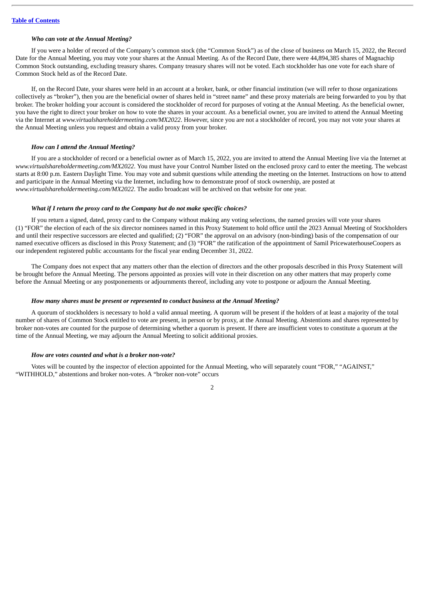#### *Who can vote at the Annual Meeting?*

If you were a holder of record of the Company's common stock (the "Common Stock") as of the close of business on March 15, 2022, the Record Date for the Annual Meeting, you may vote your shares at the Annual Meeting. As of the Record Date, there were 44,894,385 shares of Magnachip Common Stock outstanding, excluding treasury shares. Company treasury shares will not be voted. Each stockholder has one vote for each share of Common Stock held as of the Record Date.

If, on the Record Date, your shares were held in an account at a broker, bank, or other financial institution (we will refer to those organizations collectively as "broker"), then you are the beneficial owner of shares held in "street name" and these proxy materials are being forwarded to you by that broker. The broker holding your account is considered the stockholder of record for purposes of voting at the Annual Meeting. As the beneficial owner, you have the right to direct your broker on how to vote the shares in your account. As a beneficial owner, you are invited to attend the Annual Meeting via the Internet at *www.virtualshareholdermeeting.com/MX2022*. However, since you are not a stockholder of record, you may not vote your shares at the Annual Meeting unless you request and obtain a valid proxy from your broker.

#### *How can I attend the Annual Meeting?*

If you are a stockholder of record or a beneficial owner as of March 15, 2022, you are invited to attend the Annual Meeting live via the Internet at *www.virtualshareholdermeeting.com/MX2022*. You must have your Control Number listed on the enclosed proxy card to enter the meeting. The webcast starts at 8:00 p.m. Eastern Daylight Time. You may vote and submit questions while attending the meeting on the Internet. Instructions on how to attend and participate in the Annual Meeting via the Internet, including how to demonstrate proof of stock ownership, are posted at *www.virtualshareholdermeeting.com/MX2022*. The audio broadcast will be archived on that website for one year.

# *What if I return the proxy card to the Company but do not make specific choices?*

If you return a signed, dated, proxy card to the Company without making any voting selections, the named proxies will vote your shares (1) "FOR" the election of each of the six director nominees named in this Proxy Statement to hold office until the 2023 Annual Meeting of Stockholders and until their respective successors are elected and qualified; (2) "FOR" the approval on an advisory (non-binding) basis of the compensation of our named executive officers as disclosed in this Proxy Statement; and (3) "FOR" the ratification of the appointment of Samil PricewaterhouseCoopers as our independent registered public accountants for the fiscal year ending December 31, 2022.

The Company does not expect that any matters other than the election of directors and the other proposals described in this Proxy Statement will be brought before the Annual Meeting. The persons appointed as proxies will vote in their discretion on any other matters that may properly come before the Annual Meeting or any postponements or adjournments thereof, including any vote to postpone or adjourn the Annual Meeting.

# *How many shares must be present or represented to conduct business at the Annual Meeting?*

A quorum of stockholders is necessary to hold a valid annual meeting. A quorum will be present if the holders of at least a majority of the total number of shares of Common Stock entitled to vote are present, in person or by proxy, at the Annual Meeting. Abstentions and shares represented by broker non-votes are counted for the purpose of determining whether a quorum is present. If there are insufficient votes to constitute a quorum at the time of the Annual Meeting, we may adjourn the Annual Meeting to solicit additional proxies.

# *How are votes counted and what is a broker non-vote?*

Votes will be counted by the inspector of election appointed for the Annual Meeting, who will separately count "FOR," "AGAINST," "WITHHOLD," abstentions and broker non-votes. A "broker non-vote" occurs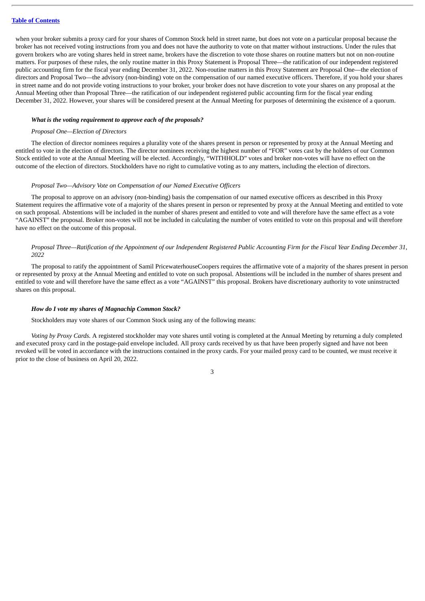when your broker submits a proxy card for your shares of Common Stock held in street name, but does not vote on a particular proposal because the broker has not received voting instructions from you and does not have the authority to vote on that matter without instructions. Under the rules that govern brokers who are voting shares held in street name, brokers have the discretion to vote those shares on routine matters but not on non-routine matters. For purposes of these rules, the only routine matter in this Proxy Statement is Proposal Three—the ratification of our independent registered public accounting firm for the fiscal year ending December 31, 2022. Non-routine matters in this Proxy Statement are Proposal One—the election of directors and Proposal Two—the advisory (non-binding) vote on the compensation of our named executive officers. Therefore, if you hold your shares in street name and do not provide voting instructions to your broker, your broker does not have discretion to vote your shares on any proposal at the Annual Meeting other than Proposal Three—the ratification of our independent registered public accounting firm for the fiscal year ending December 31, 2022. However, your shares will be considered present at the Annual Meeting for purposes of determining the existence of a quorum.

# *What is the voting requirement to approve each of the proposals?*

#### *Proposal One—Election of Directors*

The election of director nominees requires a plurality vote of the shares present in person or represented by proxy at the Annual Meeting and entitled to vote in the election of directors. The director nominees receiving the highest number of "FOR" votes cast by the holders of our Common Stock entitled to vote at the Annual Meeting will be elected. Accordingly, "WITHHOLD" votes and broker non-votes will have no effect on the outcome of the election of directors. Stockholders have no right to cumulative voting as to any matters, including the election of directors.

#### *Proposal Two—Advisory Vote on Compensation of our Named Executive Officers*

The proposal to approve on an advisory (non-binding) basis the compensation of our named executive officers as described in this Proxy Statement requires the affirmative vote of a majority of the shares present in person or represented by proxy at the Annual Meeting and entitled to vote on such proposal. Abstentions will be included in the number of shares present and entitled to vote and will therefore have the same effect as a vote "AGAINST" the proposal. Broker non-votes will not be included in calculating the number of votes entitled to vote on this proposal and will therefore have no effect on the outcome of this proposal.

# Proposal Three—Ratification of the Appointment of our Independent Registered Public Accounting Firm for the Fiscal Year Ending December 31, *2022*

The proposal to ratify the appointment of Samil PricewaterhouseCoopers requires the affirmative vote of a majority of the shares present in person or represented by proxy at the Annual Meeting and entitled to vote on such proposal. Abstentions will be included in the number of shares present and entitled to vote and will therefore have the same effect as a vote "AGAINST" this proposal. Brokers have discretionary authority to vote uninstructed shares on this proposal.

# *How do I vote my shares of Magnachip Common Stock?*

Stockholders may vote shares of our Common Stock using any of the following means:

*Voting by Proxy Cards.* A registered stockholder may vote shares until voting is completed at the Annual Meeting by returning a duly completed and executed proxy card in the postage-paid envelope included. All proxy cards received by us that have been properly signed and have not been revoked will be voted in accordance with the instructions contained in the proxy cards. For your mailed proxy card to be counted, we must receive it prior to the close of business on April 20, 2022.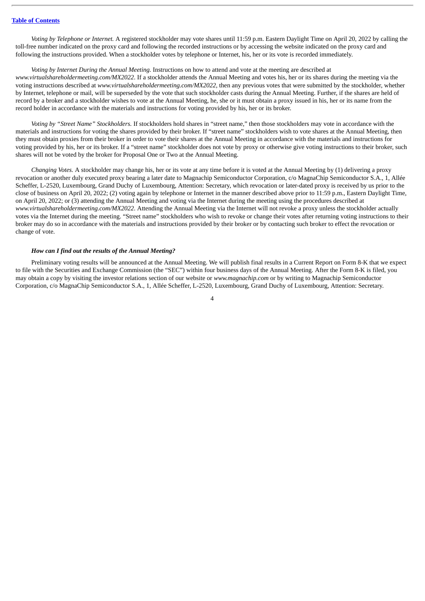*Voting by Telephone or Internet.* A registered stockholder may vote shares until 11:59 p.m. Eastern Daylight Time on April 20, 2022 by calling the toll-free number indicated on the proxy card and following the recorded instructions or by accessing the website indicated on the proxy card and following the instructions provided. When a stockholder votes by telephone or Internet, his, her or its vote is recorded immediately.

# *Voting by Internet During the Annual Meeting.* Instructions on how to attend and vote at the meeting are described at

*www.virtualshareholdermeeting.com/MX2022*. If a stockholder attends the Annual Meeting and votes his, her or its shares during the meeting via the voting instructions described at *www.virtualshareholdermeeting.com/MX2022,* then any previous votes that were submitted by the stockholder, whether by Internet, telephone or mail, will be superseded by the vote that such stockholder casts during the Annual Meeting. Further, if the shares are held of record by a broker and a stockholder wishes to vote at the Annual Meeting, he, she or it must obtain a proxy issued in his, her or its name from the record holder in accordance with the materials and instructions for voting provided by his, her or its broker.

*Voting by "Street Name" Stockholders.* If stockholders hold shares in "street name," then those stockholders may vote in accordance with the materials and instructions for voting the shares provided by their broker. If "street name" stockholders wish to vote shares at the Annual Meeting, then they must obtain proxies from their broker in order to vote their shares at the Annual Meeting in accordance with the materials and instructions for voting provided by his, her or its broker. If a "street name" stockholder does not vote by proxy or otherwise give voting instructions to their broker, such shares will not be voted by the broker for Proposal One or Two at the Annual Meeting.

*Changing Votes.* A stockholder may change his, her or its vote at any time before it is voted at the Annual Meeting by (1) delivering a proxy revocation or another duly executed proxy bearing a later date to Magnachip Semiconductor Corporation, c/o MagnaChip Semiconductor S.A., 1, Allée Scheffer, L-2520, Luxembourg, Grand Duchy of Luxembourg, Attention: Secretary, which revocation or later-dated proxy is received by us prior to the close of business on April 20, 2022; (2) voting again by telephone or Internet in the manner described above prior to 11:59 p.m., Eastern Daylight Time, on April 20, 2022; or (3) attending the Annual Meeting and voting via the Internet during the meeting using the procedures described at *www.virtualshareholdermeeting.com/MX2022*. Attending the Annual Meeting via the Internet will not revoke a proxy unless the stockholder actually votes via the Internet during the meeting. "Street name" stockholders who wish to revoke or change their votes after returning voting instructions to their broker may do so in accordance with the materials and instructions provided by their broker or by contacting such broker to effect the revocation or change of vote.

# *How can I find out the results of the Annual Meeting?*

Preliminary voting results will be announced at the Annual Meeting. We will publish final results in a Current Report on Form 8-K that we expect to file with the Securities and Exchange Commission (the "SEC") within four business days of the Annual Meeting. After the Form 8-K is filed, you may obtain a copy by visiting the investor relations section of our website or *www.magnachip.com* or by writing to Magnachip Semiconductor Corporation, c/o MagnaChip Semiconductor S.A., 1, Allée Scheffer, L-2520, Luxembourg, Grand Duchy of Luxembourg, Attention: Secretary.

 $\overline{A}$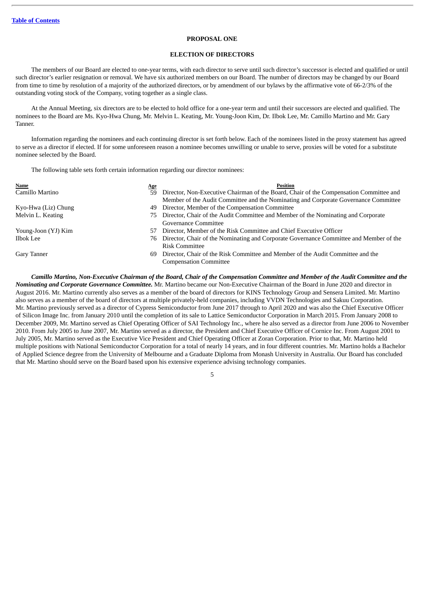# **PROPOSAL ONE**

### **ELECTION OF DIRECTORS**

<span id="page-9-0"></span>The members of our Board are elected to one-year terms, with each director to serve until such director's successor is elected and qualified or until such director's earlier resignation or removal. We have six authorized members on our Board. The number of directors may be changed by our Board from time to time by resolution of a majority of the authorized directors, or by amendment of our bylaws by the affirmative vote of 66-2/3% of the outstanding voting stock of the Company, voting together as a single class.

At the Annual Meeting, six directors are to be elected to hold office for a one-year term and until their successors are elected and qualified. The nominees to the Board are Ms. Kyo-Hwa Chung, Mr. Melvin L. Keating, Mr. Young-Joon Kim, Dr. Ilbok Lee, Mr. Camillo Martino and Mr. Gary Tanner.

Information regarding the nominees and each continuing director is set forth below. Each of the nominees listed in the proxy statement has agreed to serve as a director if elected. If for some unforeseen reason a nominee becomes unwilling or unable to serve, proxies will be voted for a substitute nominee selected by the Board.

The following table sets forth certain information regarding our director nominees:

| Name                | <u>Age</u> | <b>Position</b>                                                                        |
|---------------------|------------|----------------------------------------------------------------------------------------|
| Camillo Martino     | 59         | Director, Non-Executive Chairman of the Board, Chair of the Compensation Committee and |
|                     |            | Member of the Audit Committee and the Nominating and Corporate Governance Committee    |
| Kyo-Hwa (Liz) Chung | 49         | Director, Member of the Compensation Committee                                         |
| Melvin L. Keating   |            | 75 Director, Chair of the Audit Committee and Member of the Nominating and Corporate   |
|                     |            | Governance Committee                                                                   |
| Young-Joon (YJ) Kim | 57         | Director, Member of the Risk Committee and Chief Executive Officer                     |
| Ilbok Lee           | 76         | Director, Chair of the Nominating and Corporate Governance Committee and Member of the |
|                     |            | <b>Risk Committee</b>                                                                  |
| Gary Tanner         | 69         | Director, Chair of the Risk Committee and Member of the Audit Committee and the        |
|                     |            | <b>Compensation Committee</b>                                                          |

Camillo Martino, Non-Executive Chairman of the Board, Chair of the Compensation Committee and Member of the Audit Committee and the *Nominating and Corporate Governance Committee.* Mr. Martino became our Non-Executive Chairman of the Board in June 2020 and director in August 2016. Mr. Martino currently also serves as a member of the board of directors for KINS Technology Group and Sensera Limited. Mr. Martino also serves as a member of the board of directors at multiple privately-held companies, including VVDN Technologies and Sakuu Corporation. Mr. Martino previously served as a director of Cypress Semiconductor from June 2017 through to April 2020 and was also the Chief Executive Officer of Silicon Image Inc. from January 2010 until the completion of its sale to Lattice Semiconductor Corporation in March 2015. From January 2008 to December 2009, Mr. Martino served as Chief Operating Officer of SAI Technology Inc., where he also served as a director from June 2006 to November 2010. From July 2005 to June 2007, Mr. Martino served as a director, the President and Chief Executive Officer of Cornice Inc. From August 2001 to July 2005, Mr. Martino served as the Executive Vice President and Chief Operating Officer at Zoran Corporation. Prior to that, Mr. Martino held multiple positions with National Semiconductor Corporation for a total of nearly 14 years, and in four different countries. Mr. Martino holds a Bachelor of Applied Science degree from the University of Melbourne and a Graduate Diploma from Monash University in Australia. Our Board has concluded that Mr. Martino should serve on the Board based upon his extensive experience advising technology companies.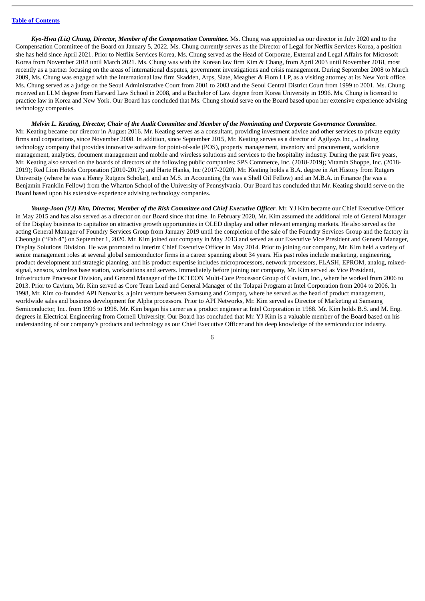*Kyo-Hwa (Liz) Chung, Director, Member of the Compensation Committee.* Ms. Chung was appointed as our director in July 2020 and to the Compensation Committee of the Board on January 5, 2022. Ms. Chung currently serves as the Director of Legal for Netflix Services Korea, a position she has held since April 2021. Prior to Netflix Services Korea, Ms. Chung served as the Head of Corporate, External and Legal Affairs for Microsoft Korea from November 2018 until March 2021. Ms. Chung was with the Korean law firm Kim & Chang, from April 2003 until November 2018, most recently as a partner focusing on the areas of international disputes, government investigations and crisis management. During September 2008 to March 2009, Ms. Chung was engaged with the international law firm Skadden, Arps, Slate, Meagher & Flom LLP, as a visiting attorney at its New York office. Ms. Chung served as a judge on the Seoul Administrative Court from 2001 to 2003 and the Seoul Central District Court from 1999 to 2001. Ms. Chung received an LLM degree from Harvard Law School in 2008, and a Bachelor of Law degree from Korea University in 1996. Ms. Chung is licensed to practice law in Korea and New York. Our Board has concluded that Ms. Chung should serve on the Board based upon her extensive experience advising technology companies.

Melvin L. Keating, Director, Chair of the Audit Committee and Member of the Nominating and Corporate Governance Committee. Mr. Keating became our director in August 2016. Mr. Keating serves as a consultant, providing investment advice and other services to private equity firms and corporations, since November 2008. In addition, since September 2015, Mr. Keating serves as a director of Agilysys Inc., a leading technology company that provides innovative software for point-of-sale (POS), property management, inventory and procurement, workforce management, analytics, document management and mobile and wireless solutions and services to the hospitality industry. During the past five years, Mr. Keating also served on the boards of directors of the following public companies: SPS Commerce, Inc. (2018-2019); Vitamin Shoppe, Inc. (2018- 2019); Red Lion Hotels Corporation (2010-2017); and Harte Hanks, Inc (2017-2020). Mr. Keating holds a B.A. degree in Art History from Rutgers University (where he was a Henry Rutgers Scholar), and an M.S. in Accounting (he was a Shell Oil Fellow) and an M.B.A. in Finance (he was a Benjamin Franklin Fellow) from the Wharton School of the University of Pennsylvania. Our Board has concluded that Mr. Keating should serve on the Board based upon his extensive experience advising technology companies.

Young-Joon (YJ) Kim, Director, Member of the Risk Committee and Chief Executive Officer. Mr. YJ Kim became our Chief Executive Officer in May 2015 and has also served as a director on our Board since that time. In February 2020, Mr. Kim assumed the additional role of General Manager of the Display business to capitalize on attractive growth opportunities in OLED display and other relevant emerging markets. He also served as the acting General Manager of Foundry Services Group from January 2019 until the completion of the sale of the Foundry Services Group and the factory in Cheongju ("Fab 4") on September 1, 2020. Mr. Kim joined our company in May 2013 and served as our Executive Vice President and General Manager, Display Solutions Division. He was promoted to Interim Chief Executive Officer in May 2014. Prior to joining our company, Mr. Kim held a variety of senior management roles at several global semiconductor firms in a career spanning about 34 years. His past roles include marketing, engineering, product development and strategic planning, and his product expertise includes microprocessors, network processors, FLASH, EPROM, analog, mixedsignal, sensors, wireless base station, workstations and servers. Immediately before joining our company, Mr. Kim served as Vice President, Infrastructure Processor Division, and General Manager of the OCTEON Multi-Core Processor Group of Cavium, Inc., where he worked from 2006 to 2013. Prior to Cavium, Mr. Kim served as Core Team Lead and General Manager of the Tolapai Program at Intel Corporation from 2004 to 2006. In 1998, Mr. Kim co-founded API Networks, a joint venture between Samsung and Compaq, where he served as the head of product management, worldwide sales and business development for Alpha processors. Prior to API Networks, Mr. Kim served as Director of Marketing at Samsung Semiconductor, Inc. from 1996 to 1998. Mr. Kim began his career as a product engineer at Intel Corporation in 1988. Mr. Kim holds B.S. and M. Eng. degrees in Electrical Engineering from Cornell University. Our Board has concluded that Mr. YJ Kim is a valuable member of the Board based on his understanding of our company's products and technology as our Chief Executive Officer and his deep knowledge of the semiconductor industry.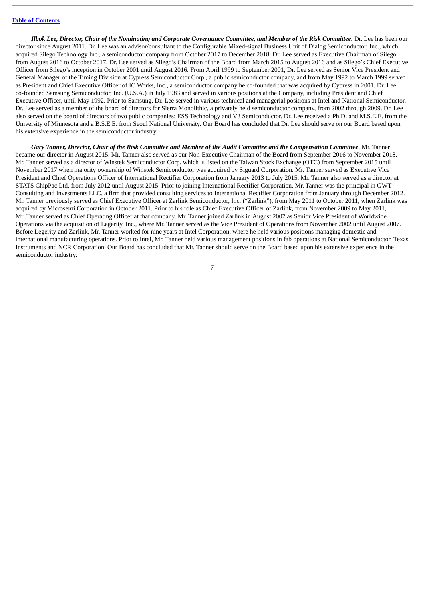Ilbok Lee, Director, Chair of the Nominating and Corporate Governance Committee, and Member of the Risk Committee. Dr. Lee has been our director since August 2011. Dr. Lee was an advisor/consultant to the Configurable Mixed-signal Business Unit of Dialog Semiconductor, Inc., which acquired Silego Technology Inc., a semiconductor company from October 2017 to December 2018. Dr. Lee served as Executive Chairman of Silego from August 2016 to October 2017. Dr. Lee served as Silego's Chairman of the Board from March 2015 to August 2016 and as Silego's Chief Executive Officer from Silego's inception in October 2001 until August 2016. From April 1999 to September 2001, Dr. Lee served as Senior Vice President and General Manager of the Timing Division at Cypress Semiconductor Corp., a public semiconductor company, and from May 1992 to March 1999 served as President and Chief Executive Officer of IC Works, Inc., a semiconductor company he co-founded that was acquired by Cypress in 2001. Dr. Lee co-founded Samsung Semiconductor, Inc. (U.S.A.) in July 1983 and served in various positions at the Company, including President and Chief Executive Officer, until May 1992. Prior to Samsung, Dr. Lee served in various technical and managerial positions at Intel and National Semiconductor. Dr. Lee served as a member of the board of directors for Sierra Monolithic, a privately held semiconductor company, from 2002 through 2009. Dr. Lee also served on the board of directors of two public companies: ESS Technology and V3 Semiconductor. Dr. Lee received a Ph.D. and M.S.E.E. from the University of Minnesota and a B.S.E.E. from Seoul National University. Our Board has concluded that Dr. Lee should serve on our Board based upon his extensive experience in the semiconductor industry.

Gary Tanner, Director, Chair of the Risk Committee and Member of the Audit Committee and the Compensation Committee. Mr. Tanner became our director in August 2015. Mr. Tanner also served as our Non-Executive Chairman of the Board from September 2016 to November 2018. Mr. Tanner served as a director of Winstek Semiconductor Corp. which is listed on the Taiwan Stock Exchange (OTC) from September 2015 until November 2017 when majority ownership of Winstek Semiconductor was acquired by Siguard Corporation. Mr. Tanner served as Executive Vice President and Chief Operations Officer of International Rectifier Corporation from January 2013 to July 2015. Mr. Tanner also served as a director at STATS ChipPac Ltd. from July 2012 until August 2015. Prior to joining International Rectifier Corporation, Mr. Tanner was the principal in GWT Consulting and Investments LLC, a firm that provided consulting services to International Rectifier Corporation from January through December 2012. Mr. Tanner previously served as Chief Executive Officer at Zarlink Semiconductor, Inc. ("Zarlink"), from May 2011 to October 2011, when Zarlink was acquired by Microsemi Corporation in October 2011. Prior to his role as Chief Executive Officer of Zarlink, from November 2009 to May 2011, Mr. Tanner served as Chief Operating Officer at that company. Mr. Tanner joined Zarlink in August 2007 as Senior Vice President of Worldwide Operations via the acquisition of Legerity, Inc., where Mr. Tanner served as the Vice President of Operations from November 2002 until August 2007. Before Legerity and Zarlink, Mr. Tanner worked for nine years at Intel Corporation, where he held various positions managing domestic and international manufacturing operations. Prior to Intel, Mr. Tanner held various management positions in fab operations at National Semiconductor, Texas Instruments and NCR Corporation. Our Board has concluded that Mr. Tanner should serve on the Board based upon his extensive experience in the semiconductor industry.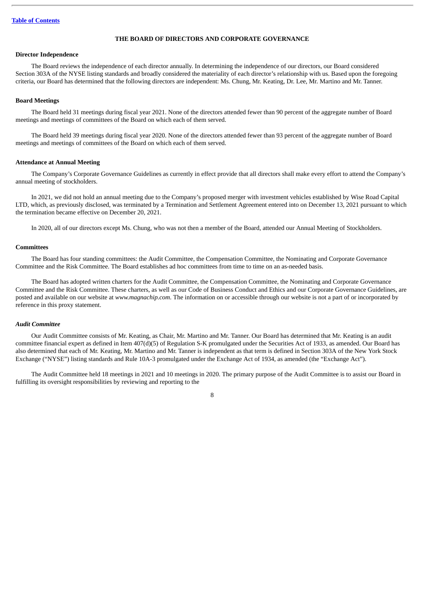# **THE BOARD OF DIRECTORS AND CORPORATE GOVERNANCE**

# <span id="page-12-1"></span><span id="page-12-0"></span>**Director Independence**

The Board reviews the independence of each director annually. In determining the independence of our directors, our Board considered Section 303A of the NYSE listing standards and broadly considered the materiality of each director's relationship with us. Based upon the foregoing criteria, our Board has determined that the following directors are independent: Ms. Chung, Mr. Keating, Dr. Lee, Mr. Martino and Mr. Tanner.

#### <span id="page-12-2"></span>**Board Meetings**

The Board held 31 meetings during fiscal year 2021. None of the directors attended fewer than 90 percent of the aggregate number of Board meetings and meetings of committees of the Board on which each of them served.

The Board held 39 meetings during fiscal year 2020. None of the directors attended fewer than 93 percent of the aggregate number of Board meetings and meetings of committees of the Board on which each of them served.

#### <span id="page-12-3"></span>**Attendance at Annual Meeting**

The Company's Corporate Governance Guidelines as currently in effect provide that all directors shall make every effort to attend the Company's annual meeting of stockholders.

In 2021, we did not hold an annual meeting due to the Company's proposed merger with investment vehicles established by Wise Road Capital LTD, which, as previously disclosed, was terminated by a Termination and Settlement Agreement entered into on December 13, 2021 pursuant to which the termination became effective on December 20, 2021.

In 2020, all of our directors except Ms. Chung, who was not then a member of the Board, attended our Annual Meeting of Stockholders.

# <span id="page-12-4"></span>**Committees**

The Board has four standing committees: the Audit Committee, the Compensation Committee, the Nominating and Corporate Governance Committee and the Risk Committee. The Board establishes ad hoc committees from time to time on an as-needed basis.

The Board has adopted written charters for the Audit Committee, the Compensation Committee, the Nominating and Corporate Governance Committee and the Risk Committee. These charters, as well as our Code of Business Conduct and Ethics and our Corporate Governance Guidelines, are posted and available on our website at *www.magnachip.com*. The information on or accessible through our website is not a part of or incorporated by reference in this proxy statement.

# *Audit Committee*

Our Audit Committee consists of Mr. Keating, as Chair, Mr. Martino and Mr. Tanner. Our Board has determined that Mr. Keating is an audit committee financial expert as defined in Item 407(d)(5) of Regulation S-K promulgated under the Securities Act of 1933, as amended. Our Board has also determined that each of Mr. Keating, Mr. Martino and Mr. Tanner is independent as that term is defined in Section 303A of the New York Stock Exchange ("NYSE") listing standards and Rule 10A-3 promulgated under the Exchange Act of 1934, as amended (the "Exchange Act").

The Audit Committee held 18 meetings in 2021 and 10 meetings in 2020. The primary purpose of the Audit Committee is to assist our Board in fulfilling its oversight responsibilities by reviewing and reporting to the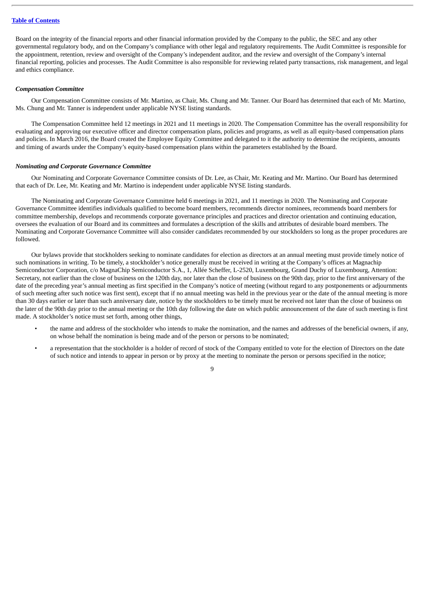Board on the integrity of the financial reports and other financial information provided by the Company to the public, the SEC and any other governmental regulatory body, and on the Company's compliance with other legal and regulatory requirements. The Audit Committee is responsible for the appointment, retention, review and oversight of the Company's independent auditor, and the review and oversight of the Company's internal financial reporting, policies and processes. The Audit Committee is also responsible for reviewing related party transactions, risk management, and legal and ethics compliance.

# *Compensation Committee*

Our Compensation Committee consists of Mr. Martino, as Chair, Ms. Chung and Mr. Tanner. Our Board has determined that each of Mr. Martino, Ms. Chung and Mr. Tanner is independent under applicable NYSE listing standards.

The Compensation Committee held 12 meetings in 2021 and 11 meetings in 2020. The Compensation Committee has the overall responsibility for evaluating and approving our executive officer and director compensation plans, policies and programs, as well as all equity-based compensation plans and policies. In March 2016, the Board created the Employee Equity Committee and delegated to it the authority to determine the recipients, amounts and timing of awards under the Company's equity-based compensation plans within the parameters established by the Board.

#### *Nominating and Corporate Governance Committee*

Our Nominating and Corporate Governance Committee consists of Dr. Lee, as Chair, Mr. Keating and Mr. Martino. Our Board has determined that each of Dr. Lee, Mr. Keating and Mr. Martino is independent under applicable NYSE listing standards.

The Nominating and Corporate Governance Committee held 6 meetings in 2021, and 11 meetings in 2020. The Nominating and Corporate Governance Committee identifies individuals qualified to become board members, recommends director nominees, recommends board members for committee membership, develops and recommends corporate governance principles and practices and director orientation and continuing education, oversees the evaluation of our Board and its committees and formulates a description of the skills and attributes of desirable board members. The Nominating and Corporate Governance Committee will also consider candidates recommended by our stockholders so long as the proper procedures are followed.

Our bylaws provide that stockholders seeking to nominate candidates for election as directors at an annual meeting must provide timely notice of such nominations in writing. To be timely, a stockholder's notice generally must be received in writing at the Company's offices at Magnachip Semiconductor Corporation, c/o MagnaChip Semiconductor S.A., 1, Allée Scheffer, L-2520, Luxembourg, Grand Duchy of Luxembourg, Attention: Secretary, not earlier than the close of business on the 120th day, nor later than the close of business on the 90th day, prior to the first anniversary of the date of the preceding year's annual meeting as first specified in the Company's notice of meeting (without regard to any postponements or adjournments of such meeting after such notice was first sent), except that if no annual meeting was held in the previous year or the date of the annual meeting is more than 30 days earlier or later than such anniversary date, notice by the stockholders to be timely must be received not later than the close of business on the later of the 90th day prior to the annual meeting or the 10th day following the date on which public announcement of the date of such meeting is first made. A stockholder's notice must set forth, among other things,

- the name and address of the stockholder who intends to make the nomination, and the names and addresses of the beneficial owners, if any, on whose behalf the nomination is being made and of the person or persons to be nominated;
- a representation that the stockholder is a holder of record of stock of the Company entitled to vote for the election of Directors on the date of such notice and intends to appear in person or by proxy at the meeting to nominate the person or persons specified in the notice;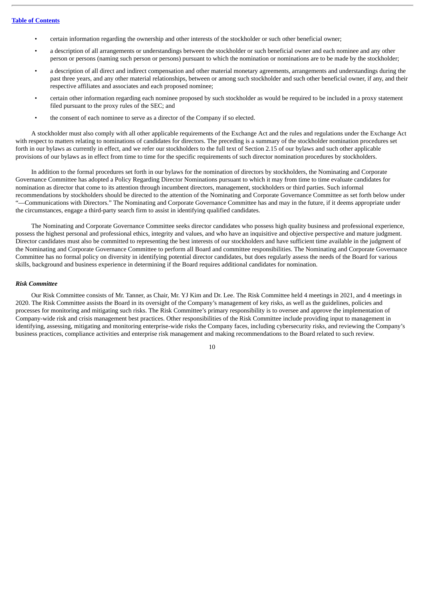- certain information regarding the ownership and other interests of the stockholder or such other beneficial owner;
- a description of all arrangements or understandings between the stockholder or such beneficial owner and each nominee and any other person or persons (naming such person or persons) pursuant to which the nomination or nominations are to be made by the stockholder;
- a description of all direct and indirect compensation and other material monetary agreements, arrangements and understandings during the past three years, and any other material relationships, between or among such stockholder and such other beneficial owner, if any, and their respective affiliates and associates and each proposed nominee;
- certain other information regarding each nominee proposed by such stockholder as would be required to be included in a proxy statement filed pursuant to the proxy rules of the SEC; and
- the consent of each nominee to serve as a director of the Company if so elected.

A stockholder must also comply with all other applicable requirements of the Exchange Act and the rules and regulations under the Exchange Act with respect to matters relating to nominations of candidates for directors. The preceding is a summary of the stockholder nomination procedures set forth in our bylaws as currently in effect, and we refer our stockholders to the full text of Section 2.15 of our bylaws and such other applicable provisions of our bylaws as in effect from time to time for the specific requirements of such director nomination procedures by stockholders.

In addition to the formal procedures set forth in our bylaws for the nomination of directors by stockholders, the Nominating and Corporate Governance Committee has adopted a Policy Regarding Director Nominations pursuant to which it may from time to time evaluate candidates for nomination as director that come to its attention through incumbent directors, management, stockholders or third parties. Such informal recommendations by stockholders should be directed to the attention of the Nominating and Corporate Governance Committee as set forth below under "—Communications with Directors." The Nominating and Corporate Governance Committee has and may in the future, if it deems appropriate under the circumstances, engage a third-party search firm to assist in identifying qualified candidates.

The Nominating and Corporate Governance Committee seeks director candidates who possess high quality business and professional experience, possess the highest personal and professional ethics, integrity and values, and who have an inquisitive and objective perspective and mature judgment. Director candidates must also be committed to representing the best interests of our stockholders and have sufficient time available in the judgment of the Nominating and Corporate Governance Committee to perform all Board and committee responsibilities. The Nominating and Corporate Governance Committee has no formal policy on diversity in identifying potential director candidates, but does regularly assess the needs of the Board for various skills, background and business experience in determining if the Board requires additional candidates for nomination.

#### *Risk Committee*

Our Risk Committee consists of Mr. Tanner, as Chair, Mr. YJ Kim and Dr. Lee. The Risk Committee held 4 meetings in 2021, and 4 meetings in 2020. The Risk Committee assists the Board in its oversight of the Company's management of key risks, as well as the guidelines, policies and processes for monitoring and mitigating such risks. The Risk Committee's primary responsibility is to oversee and approve the implementation of Company-wide risk and crisis management best practices. Other responsibilities of the Risk Committee include providing input to management in identifying, assessing, mitigating and monitoring enterprise-wide risks the Company faces, including cybersecurity risks, and reviewing the Company's business practices, compliance activities and enterprise risk management and making recommendations to the Board related to such review.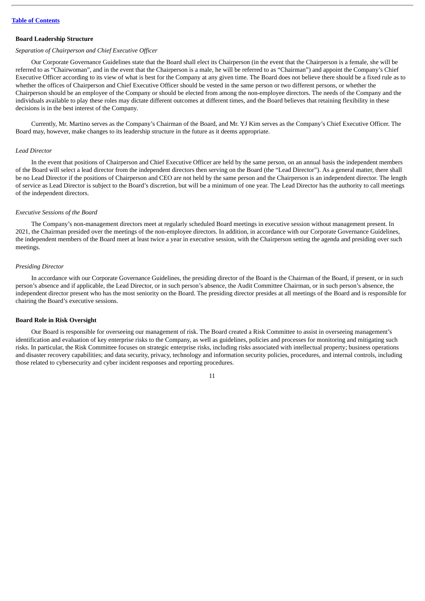### <span id="page-15-0"></span>**Board Leadership Structure**

# *Separation of Chairperson and Chief Executive Officer*

Our Corporate Governance Guidelines state that the Board shall elect its Chairperson (in the event that the Chairperson is a female, she will be referred to as "Chairwoman", and in the event that the Chairperson is a male, he will be referred to as "Chairman") and appoint the Company's Chief Executive Officer according to its view of what is best for the Company at any given time. The Board does not believe there should be a fixed rule as to whether the offices of Chairperson and Chief Executive Officer should be vested in the same person or two different persons, or whether the Chairperson should be an employee of the Company or should be elected from among the non-employee directors. The needs of the Company and the individuals available to play these roles may dictate different outcomes at different times, and the Board believes that retaining flexibility in these decisions is in the best interest of the Company.

Currently, Mr. Martino serves as the Company's Chairman of the Board, and Mr. YJ Kim serves as the Company's Chief Executive Officer. The Board may, however, make changes to its leadership structure in the future as it deems appropriate.

# *Lead Director*

In the event that positions of Chairperson and Chief Executive Officer are held by the same person, on an annual basis the independent members of the Board will select a lead director from the independent directors then serving on the Board (the "Lead Director"). As a general matter, there shall be no Lead Director if the positions of Chairperson and CEO are not held by the same person and the Chairperson is an independent director. The length of service as Lead Director is subject to the Board's discretion, but will be a minimum of one year. The Lead Director has the authority to call meetings of the independent directors.

#### *Executive Sessions of the Board*

The Company's non-management directors meet at regularly scheduled Board meetings in executive session without management present. In 2021, the Chairman presided over the meetings of the non-employee directors. In addition, in accordance with our Corporate Governance Guidelines, the independent members of the Board meet at least twice a year in executive session, with the Chairperson setting the agenda and presiding over such meetings.

# *Presiding Director*

In accordance with our Corporate Governance Guidelines, the presiding director of the Board is the Chairman of the Board, if present, or in such person's absence and if applicable, the Lead Director, or in such person's absence, the Audit Committee Chairman, or in such person's absence, the independent director present who has the most seniority on the Board. The presiding director presides at all meetings of the Board and is responsible for chairing the Board's executive sessions.

#### <span id="page-15-1"></span>**Board Role in Risk Oversight**

Our Board is responsible for overseeing our management of risk. The Board created a Risk Committee to assist in overseeing management's identification and evaluation of key enterprise risks to the Company, as well as guidelines, policies and processes for monitoring and mitigating such risks. In particular, the Risk Committee focuses on strategic enterprise risks, including risks associated with intellectual property; business operations and disaster recovery capabilities; and data security, privacy, technology and information security policies, procedures, and internal controls, including those related to cybersecurity and cyber incident responses and reporting procedures.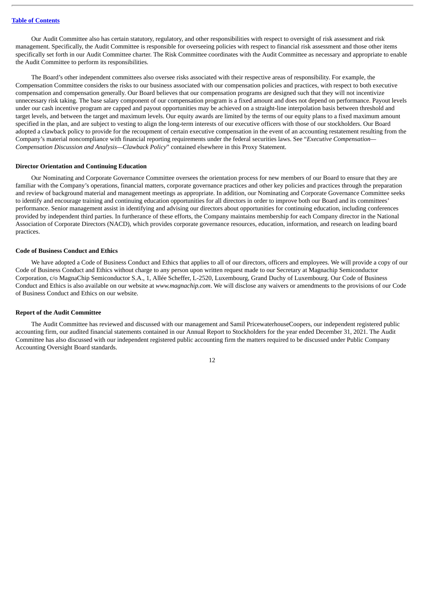Our Audit Committee also has certain statutory, regulatory, and other responsibilities with respect to oversight of risk assessment and risk management. Specifically, the Audit Committee is responsible for overseeing policies with respect to financial risk assessment and those other items specifically set forth in our Audit Committee charter. The Risk Committee coordinates with the Audit Committee as necessary and appropriate to enable the Audit Committee to perform its responsibilities.

The Board's other independent committees also oversee risks associated with their respective areas of responsibility. For example, the Compensation Committee considers the risks to our business associated with our compensation policies and practices, with respect to both executive compensation and compensation generally. Our Board believes that our compensation programs are designed such that they will not incentivize unnecessary risk taking. The base salary component of our compensation program is a fixed amount and does not depend on performance. Payout levels under our cash incentive program are capped and payout opportunities may be achieved on a straight-line interpolation basis between threshold and target levels, and between the target and maximum levels. Our equity awards are limited by the terms of our equity plans to a fixed maximum amount specified in the plan, and are subject to vesting to align the long-term interests of our executive officers with those of our stockholders. Our Board adopted a clawback policy to provide for the recoupment of certain executive compensation in the event of an accounting restatement resulting from the Company's material noncompliance with financial reporting requirements under the federal securities laws. See "*Executive Compensation— Compensation Discussion and Analysis—Clawback Policy*" contained elsewhere in this Proxy Statement.

# <span id="page-16-0"></span>**Director Orientation and Continuing Education**

Our Nominating and Corporate Governance Committee oversees the orientation process for new members of our Board to ensure that they are familiar with the Company's operations, financial matters, corporate governance practices and other key policies and practices through the preparation and review of background material and management meetings as appropriate. In addition, our Nominating and Corporate Governance Committee seeks to identify and encourage training and continuing education opportunities for all directors in order to improve both our Board and its committees' performance. Senior management assist in identifying and advising our directors about opportunities for continuing education, including conferences provided by independent third parties. In furtherance of these efforts, the Company maintains membership for each Company director in the National Association of Corporate Directors (NACD), which provides corporate governance resources, education, information, and research on leading board practices.

# <span id="page-16-1"></span>**Code of Business Conduct and Ethics**

We have adopted a Code of Business Conduct and Ethics that applies to all of our directors, officers and employees. We will provide a copy of our Code of Business Conduct and Ethics without charge to any person upon written request made to our Secretary at Magnachip Semiconductor Corporation, c/o MagnaChip Semiconductor S.A., 1, Allée Scheffer, L-2520, Luxembourg, Grand Duchy of Luxembourg. Our Code of Business Conduct and Ethics is also available on our website at *www.magnachip.com*. We will disclose any waivers or amendments to the provisions of our Code of Business Conduct and Ethics on our website.

# <span id="page-16-2"></span>**Report of the Audit Committee**

The Audit Committee has reviewed and discussed with our management and Samil PricewaterhouseCoopers, our independent registered public accounting firm, our audited financial statements contained in our Annual Report to Stockholders for the year ended December 31, 2021. The Audit Committee has also discussed with our independent registered public accounting firm the matters required to be discussed under Public Company Accounting Oversight Board standards.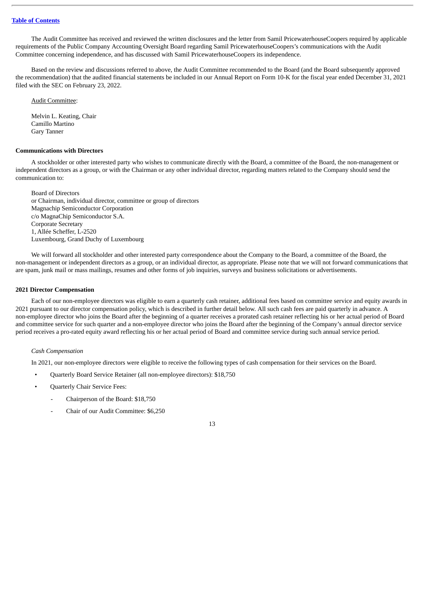The Audit Committee has received and reviewed the written disclosures and the letter from Samil PricewaterhouseCoopers required by applicable requirements of the Public Company Accounting Oversight Board regarding Samil PricewaterhouseCoopers's communications with the Audit Committee concerning independence, and has discussed with Samil PricewaterhouseCoopers its independence.

Based on the review and discussions referred to above, the Audit Committee recommended to the Board (and the Board subsequently approved the recommendation) that the audited financial statements be included in our Annual Report on Form 10-K for the fiscal year ended December 31, 2021 filed with the SEC on February 23, 2022.

Audit Committee:

Melvin L. Keating, Chair Camillo Martino Gary Tanner

# <span id="page-17-0"></span>**Communications with Directors**

A stockholder or other interested party who wishes to communicate directly with the Board, a committee of the Board, the non-management or independent directors as a group, or with the Chairman or any other individual director, regarding matters related to the Company should send the communication to:

Board of Directors or Chairman, individual director, committee or group of directors Magnachip Semiconductor Corporation c/o MagnaChip Semiconductor S.A. Corporate Secretary 1, Allée Scheffer, L-2520 Luxembourg, Grand Duchy of Luxembourg

We will forward all stockholder and other interested party correspondence about the Company to the Board, a committee of the Board, the non-management or independent directors as a group, or an individual director, as appropriate. Please note that we will not forward communications that are spam, junk mail or mass mailings, resumes and other forms of job inquiries, surveys and business solicitations or advertisements.

# <span id="page-17-1"></span>**2021 Director Compensation**

Each of our non-employee directors was eligible to earn a quarterly cash retainer, additional fees based on committee service and equity awards in 2021 pursuant to our director compensation policy, which is described in further detail below. All such cash fees are paid quarterly in advance. A non-employee director who joins the Board after the beginning of a quarter receives a prorated cash retainer reflecting his or her actual period of Board and committee service for such quarter and a non-employee director who joins the Board after the beginning of the Company's annual director service period receives a pro-rated equity award reflecting his or her actual period of Board and committee service during such annual service period.

# *Cash Compensation*

In 2021, our non-employee directors were eligible to receive the following types of cash compensation for their services on the Board.

- Quarterly Board Service Retainer (all non-employee directors): \$18,750
- Quarterly Chair Service Fees:
	- Chairperson of the Board: \$18,750
	- Chair of our Audit Committee: \$6,250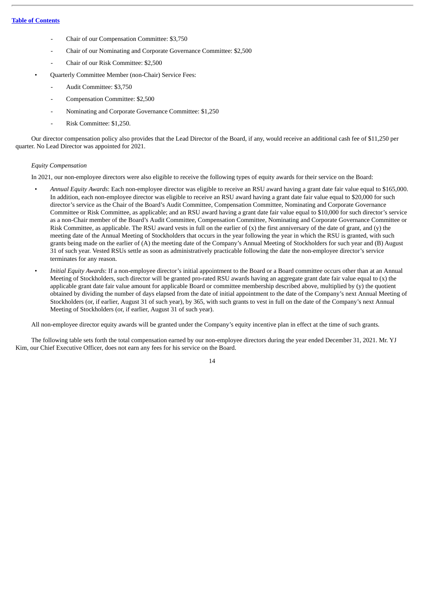- Chair of our Compensation Committee: \$3,750
- Chair of our Nominating and Corporate Governance Committee: \$2,500
- Chair of our Risk Committee: \$2,500
- Quarterly Committee Member (non-Chair) Service Fees:
	- Audit Committee: \$3,750
	- Compensation Committee: \$2,500
	- Nominating and Corporate Governance Committee: \$1,250
	- Risk Committee: \$1,250.

Our director compensation policy also provides that the Lead Director of the Board, if any, would receive an additional cash fee of \$11,250 per quarter. No Lead Director was appointed for 2021.

# *Equity Compensation*

In 2021, our non-employee directors were also eligible to receive the following types of equity awards for their service on the Board:

- *Annual Equity Awards*: Each non-employee director was eligible to receive an RSU award having a grant date fair value equal to \$165,000. In addition, each non-employee director was eligible to receive an RSU award having a grant date fair value equal to \$20,000 for such director's service as the Chair of the Board's Audit Committee, Compensation Committee, Nominating and Corporate Governance Committee or Risk Committee, as applicable; and an RSU award having a grant date fair value equal to \$10,000 for such director's service as a non-Chair member of the Board's Audit Committee, Compensation Committee, Nominating and Corporate Governance Committee or Risk Committee, as applicable. The RSU award vests in full on the earlier of  $(x)$  the first anniversary of the date of grant, and  $(y)$  the meeting date of the Annual Meeting of Stockholders that occurs in the year following the year in which the RSU is granted, with such grants being made on the earlier of (A) the meeting date of the Company's Annual Meeting of Stockholders for such year and (B) August 31 of such year. Vested RSUs settle as soon as administratively practicable following the date the non-employee director's service terminates for any reason.
- *Initial Equity Awards*: If a non-employee director's initial appointment to the Board or a Board committee occurs other than at an Annual Meeting of Stockholders, such director will be granted pro-rated RSU awards having an aggregate grant date fair value equal to (x) the applicable grant date fair value amount for applicable Board or committee membership described above, multiplied by (y) the quotient obtained by dividing the number of days elapsed from the date of initial appointment to the date of the Company's next Annual Meeting of Stockholders (or, if earlier, August 31 of such year), by 365, with such grants to vest in full on the date of the Company's next Annual Meeting of Stockholders (or, if earlier, August 31 of such year).

All non-employee director equity awards will be granted under the Company's equity incentive plan in effect at the time of such grants.

The following table sets forth the total compensation earned by our non-employee directors during the year ended December 31, 2021. Mr. YJ Kim, our Chief Executive Officer, does not earn any fees for his service on the Board.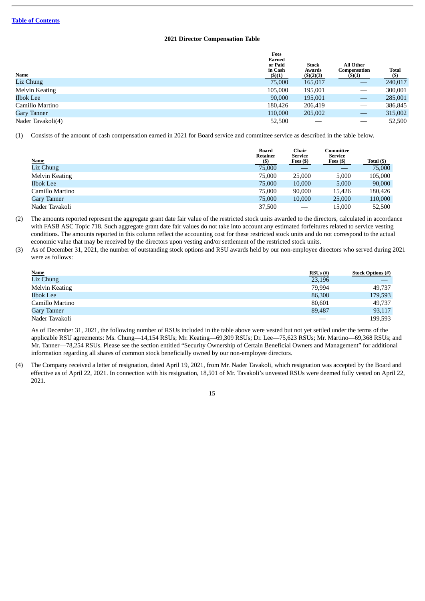# **2021 Director Compensation Table**

|                       | Fees<br>Earned<br>or Paid<br>in Cash | <b>Stock</b><br>Awards | <b>All Other</b><br>Compensation | Total   |
|-----------------------|--------------------------------------|------------------------|----------------------------------|---------|
| <b>Name</b>           | (\$)(1)                              | (5)(2)(3)              | (5)(1)                           | (\$)    |
| Liz Chung             | 75,000                               | 165,017                |                                  | 240,017 |
| <b>Melvin Keating</b> | 105,000                              | 195,001                |                                  | 300,001 |
| <b>Ilbok Lee</b>      | 90,000                               | 195,001                |                                  | 285,001 |
| Camillo Martino       | 180.426                              | 206,419                |                                  | 386,845 |
| <b>Gary Tanner</b>    | 110,000                              | 205,002                | $\qquad \qquad \longleftarrow$   | 315,002 |
| Nader Tavakoli(4)     | 52,500                               |                        |                                  | 52,500  |

(1) Consists of the amount of cash compensation earned in 2021 for Board service and committee service as described in the table below.

| <b>Name</b>           | <b>Board</b><br><b>Retainer</b><br>$(\$\)$ | Chair<br>Service<br>Fees $(5)$  | Committee<br><b>Service</b><br>Fees $($ ) | Total (\$) |
|-----------------------|--------------------------------------------|---------------------------------|-------------------------------------------|------------|
| Liz Chung             | 75,000                                     |                                 |                                           | 75,000     |
| <b>Melvin Keating</b> | 75,000                                     | 25,000                          | 5,000                                     | 105,000    |
| <b>Ilbok Lee</b>      | 75,000                                     | 10,000                          | 5,000                                     | 90,000     |
| Camillo Martino       | 75,000                                     | 90,000                          | 15.426                                    | 180,426    |
| <b>Gary Tanner</b>    | 75,000                                     | 10,000                          | 25,000                                    | 110,000    |
| Nader Tavakoli        | 37,500                                     | $\hspace{0.1mm}-\hspace{0.1mm}$ | 15.000                                    | 52,500     |

(2) The amounts reported represent the aggregate grant date fair value of the restricted stock units awarded to the directors, calculated in accordance with FASB ASC Topic 718. Such aggregate grant date fair values do not take into account any estimated forfeitures related to service vesting conditions. The amounts reported in this column reflect the accounting cost for these restricted stock units and do not correspond to the actual economic value that may be received by the directors upon vesting and/or settlement of the restricted stock units.

(3) As of December 31, 2021, the number of outstanding stock options and RSU awards held by our non-employee directors who served during 2021 were as follows:

| <b>Name</b>           | $RSUs$ (#)               | <b>Stock Options (#)</b> |
|-----------------------|--------------------------|--------------------------|
| Liz Chung             | 23,196                   |                          |
| <b>Melvin Keating</b> | 79,994                   | 49,737                   |
| <b>Ilbok Lee</b>      | 86,308                   | 179,593                  |
| Camillo Martino       | 80,601                   | 49,737                   |
| <b>Gary Tanner</b>    | 89,487                   | 93,117                   |
| Nader Tavakoli        | $\overline{\phantom{a}}$ | 199,593                  |

As of December 31, 2021, the following number of RSUs included in the table above were vested but not yet settled under the terms of the applicable RSU agreements: Ms. Chung—14,154 RSUs; Mr. Keating—69,309 RSUs; Dr. Lee—75,623 RSUs; Mr. Martino—69,368 RSUs; and Mr. Tanner—78,254 RSUs. Please see the section entitled "Security Ownership of Certain Beneficial Owners and Management" for additional information regarding all shares of common stock beneficially owned by our non-employee directors.

(4) The Company received a letter of resignation, dated April 19, 2021, from Mr. Nader Tavakoli, which resignation was accepted by the Board and effective as of April 22, 2021. In connection with his resignation, 18,501 of Mr. Tavakoli's unvested RSUs were deemed fully vested on April 22, 2021.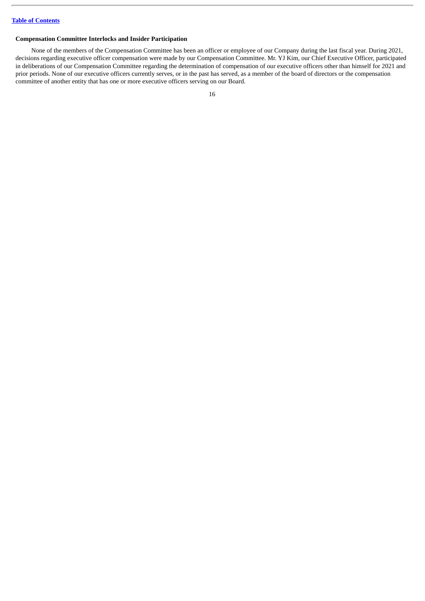# <span id="page-20-0"></span>**Compensation Committee Interlocks and Insider Participation**

None of the members of the Compensation Committee has been an officer or employee of our Company during the last fiscal year. During 2021, decisions regarding executive officer compensation were made by our Compensation Committee. Mr. YJ Kim, our Chief Executive Officer, participated in deliberations of our Compensation Committee regarding the determination of compensation of our executive officers other than himself for 2021 and prior periods. None of our executive officers currently serves, or in the past has served, as a member of the board of directors or the compensation committee of another entity that has one or more executive officers serving on our Board.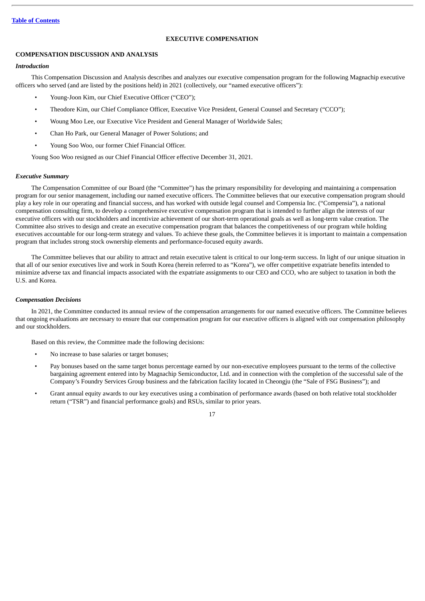# **EXECUTIVE COMPENSATION**

# <span id="page-21-1"></span><span id="page-21-0"></span>**COMPENSATION DISCUSSION AND ANALYSIS**

# *Introduction*

This Compensation Discussion and Analysis describes and analyzes our executive compensation program for the following Magnachip executive officers who served (and are listed by the positions held) in 2021 (collectively, our "named executive officers"):

- Young-Joon Kim, our Chief Executive Officer ("CEO");
- Theodore Kim, our Chief Compliance Officer, Executive Vice President, General Counsel and Secretary ("CCO");
- Woung Moo Lee, our Executive Vice President and General Manager of Worldwide Sales;
- Chan Ho Park, our General Manager of Power Solutions; and
- Young Soo Woo, our former Chief Financial Officer.

Young Soo Woo resigned as our Chief Financial Officer effective December 31, 2021.

# *Executive Summary*

The Compensation Committee of our Board (the "Committee") has the primary responsibility for developing and maintaining a compensation program for our senior management, including our named executive officers. The Committee believes that our executive compensation program should play a key role in our operating and financial success, and has worked with outside legal counsel and Compensia Inc. ("Compensia"), a national compensation consulting firm, to develop a comprehensive executive compensation program that is intended to further align the interests of our executive officers with our stockholders and incentivize achievement of our short-term operational goals as well as long-term value creation. The Committee also strives to design and create an executive compensation program that balances the competitiveness of our program while holding executives accountable for our long-term strategy and values. To achieve these goals, the Committee believes it is important to maintain a compensation program that includes strong stock ownership elements and performance-focused equity awards.

The Committee believes that our ability to attract and retain executive talent is critical to our long-term success. In light of our unique situation in that all of our senior executives live and work in South Korea (herein referred to as "Korea"), we offer competitive expatriate benefits intended to minimize adverse tax and financial impacts associated with the expatriate assignments to our CEO and CCO, who are subject to taxation in both the U.S. and Korea.

# *Compensation Decisions*

In 2021, the Committee conducted its annual review of the compensation arrangements for our named executive officers. The Committee believes that ongoing evaluations are necessary to ensure that our compensation program for our executive officers is aligned with our compensation philosophy and our stockholders.

Based on this review, the Committee made the following decisions:

- No increase to base salaries or target bonuses;
- Pay bonuses based on the same target bonus percentage earned by our non-executive employees pursuant to the terms of the collective bargaining agreement entered into by Magnachip Semiconductor, Ltd. and in connection with the completion of the successful sale of the Company's Foundry Services Group business and the fabrication facility located in Cheongju (the "Sale of FSG Business"); and
- Grant annual equity awards to our key executives using a combination of performance awards (based on both relative total stockholder return ("TSR") and financial performance goals) and RSUs, similar to prior years.

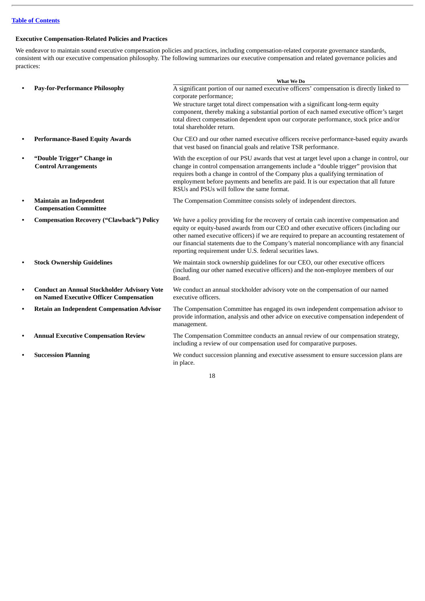# **Executive Compensation-Related Policies and Practices**

We endeavor to maintain sound executive compensation policies and practices, including compensation-related corporate governance standards, consistent with our executive compensation philosophy. The following summarizes our executive compensation and related governance policies and practices:

|           |                                                                                               | What We Do                                                                                                                                                                                                                                                                                                                                                                                                                             |
|-----------|-----------------------------------------------------------------------------------------------|----------------------------------------------------------------------------------------------------------------------------------------------------------------------------------------------------------------------------------------------------------------------------------------------------------------------------------------------------------------------------------------------------------------------------------------|
|           | <b>Pay-for-Performance Philosophy</b>                                                         | A significant portion of our named executive officers' compensation is directly linked to<br>corporate performance;<br>We structure target total direct compensation with a significant long-term equity<br>component, thereby making a substantial portion of each named executive officer's target<br>total direct compensation dependent upon our corporate performance, stock price and/or<br>total shareholder return.            |
|           | <b>Performance-Based Equity Awards</b>                                                        | Our CEO and our other named executive officers receive performance-based equity awards<br>that vest based on financial goals and relative TSR performance.                                                                                                                                                                                                                                                                             |
|           | "Double Trigger" Change in<br><b>Control Arrangements</b>                                     | With the exception of our PSU awards that vest at target level upon a change in control, our<br>change in control compensation arrangements include a "double trigger" provision that<br>requires both a change in control of the Company plus a qualifying termination of<br>employment before payments and benefits are paid. It is our expectation that all future<br>RSUs and PSUs will follow the same format.                    |
| $\bullet$ | <b>Maintain an Independent</b><br><b>Compensation Committee</b>                               | The Compensation Committee consists solely of independent directors.                                                                                                                                                                                                                                                                                                                                                                   |
|           | <b>Compensation Recovery ("Clawback") Policy</b>                                              | We have a policy providing for the recovery of certain cash incentive compensation and<br>equity or equity-based awards from our CEO and other executive officers (including our<br>other named executive officers) if we are required to prepare an accounting restatement of<br>our financial statements due to the Company's material noncompliance with any financial<br>reporting requirement under U.S. federal securities laws. |
|           | <b>Stock Ownership Guidelines</b>                                                             | We maintain stock ownership guidelines for our CEO, our other executive officers<br>(including our other named executive officers) and the non-employee members of our<br>Board.                                                                                                                                                                                                                                                       |
| $\bullet$ | <b>Conduct an Annual Stockholder Advisory Vote</b><br>on Named Executive Officer Compensation | We conduct an annual stockholder advisory vote on the compensation of our named<br>executive officers.                                                                                                                                                                                                                                                                                                                                 |
| $\bullet$ | <b>Retain an Independent Compensation Advisor</b>                                             | The Compensation Committee has engaged its own independent compensation advisor to<br>provide information, analysis and other advice on executive compensation independent of<br>management.                                                                                                                                                                                                                                           |
|           | <b>Annual Executive Compensation Review</b>                                                   | The Compensation Committee conducts an annual review of our compensation strategy,<br>including a review of our compensation used for comparative purposes.                                                                                                                                                                                                                                                                            |
|           | <b>Succession Planning</b>                                                                    | We conduct succession planning and executive assessment to ensure succession plans are<br>in place.                                                                                                                                                                                                                                                                                                                                    |
|           |                                                                                               |                                                                                                                                                                                                                                                                                                                                                                                                                                        |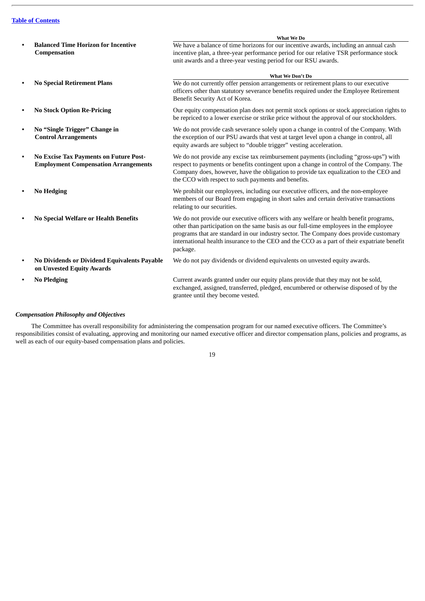|           |                                                                                              | What We Do                                                                                                                                                                                                                                                                                                                                                                         |
|-----------|----------------------------------------------------------------------------------------------|------------------------------------------------------------------------------------------------------------------------------------------------------------------------------------------------------------------------------------------------------------------------------------------------------------------------------------------------------------------------------------|
|           | <b>Balanced Time Horizon for Incentive</b><br>Compensation                                   | We have a balance of time horizons for our incentive awards, including an annual cash<br>incentive plan, a three-year performance period for our relative TSR performance stock<br>unit awards and a three-year vesting period for our RSU awards.                                                                                                                                 |
|           |                                                                                              | What We Don't Do                                                                                                                                                                                                                                                                                                                                                                   |
|           | <b>No Special Retirement Plans</b>                                                           | We do not currently offer pension arrangements or retirement plans to our executive<br>officers other than statutory severance benefits required under the Employee Retirement<br>Benefit Security Act of Korea.                                                                                                                                                                   |
|           | <b>No Stock Option Re-Pricing</b>                                                            | Our equity compensation plan does not permit stock options or stock appreciation rights to<br>be repriced to a lower exercise or strike price without the approval of our stockholders.                                                                                                                                                                                            |
|           | No "Single Trigger" Change in<br><b>Control Arrangements</b>                                 | We do not provide cash severance solely upon a change in control of the Company. With<br>the exception of our PSU awards that vest at target level upon a change in control, all<br>equity awards are subject to "double trigger" vesting acceleration.                                                                                                                            |
| $\bullet$ | <b>No Excise Tax Payments on Future Post-</b><br><b>Employment Compensation Arrangements</b> | We do not provide any excise tax reimbursement payments (including "gross-ups") with<br>respect to payments or benefits contingent upon a change in control of the Company. The<br>Company does, however, have the obligation to provide tax equalization to the CEO and<br>the CCO with respect to such payments and benefits.                                                    |
|           | <b>No Hedging</b>                                                                            | We prohibit our employees, including our executive officers, and the non-employee<br>members of our Board from engaging in short sales and certain derivative transactions<br>relating to our securities.                                                                                                                                                                          |
|           | No Special Welfare or Health Benefits                                                        | We do not provide our executive officers with any welfare or health benefit programs,<br>other than participation on the same basis as our full-time employees in the employee<br>programs that are standard in our industry sector. The Company does provide customary<br>international health insurance to the CEO and the CCO as a part of their expatriate benefit<br>package. |
|           | No Dividends or Dividend Equivalents Payable<br>on Unvested Equity Awards                    | We do not pay dividends or dividend equivalents on unvested equity awards.                                                                                                                                                                                                                                                                                                         |
|           | <b>No Pledging</b>                                                                           | Current awards granted under our equity plans provide that they may not be sold,<br>exchanged, assigned, transferred, pledged, encumbered or otherwise disposed of by the<br>grantee until they become vested.                                                                                                                                                                     |

# *Compensation Philosophy and Objectives*

The Committee has overall responsibility for administering the compensation program for our named executive officers. The Committee's responsibilities consist of evaluating, approving and monitoring our named executive officer and director compensation plans, policies and programs, as well as each of our equity-based compensation plans and policies.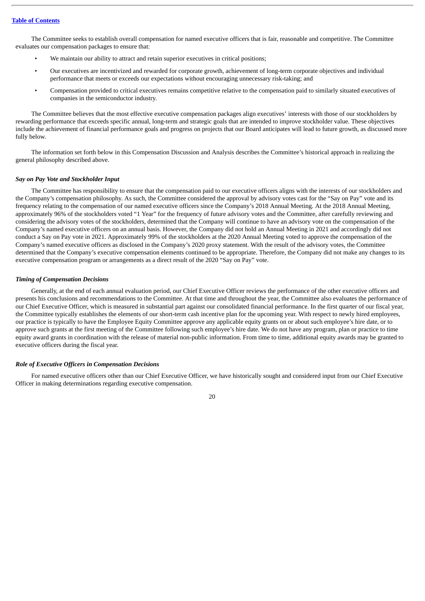The Committee seeks to establish overall compensation for named executive officers that is fair, reasonable and competitive. The Committee evaluates our compensation packages to ensure that:

- We maintain our ability to attract and retain superior executives in critical positions;
- Our executives are incentivized and rewarded for corporate growth, achievement of long-term corporate objectives and individual performance that meets or exceeds our expectations without encouraging unnecessary risk-taking; and
- Compensation provided to critical executives remains competitive relative to the compensation paid to similarly situated executives of companies in the semiconductor industry.

The Committee believes that the most effective executive compensation packages align executives' interests with those of our stockholders by rewarding performance that exceeds specific annual, long-term and strategic goals that are intended to improve stockholder value. These objectives include the achievement of financial performance goals and progress on projects that our Board anticipates will lead to future growth, as discussed more fully below.

The information set forth below in this Compensation Discussion and Analysis describes the Committee's historical approach in realizing the general philosophy described above.

#### *Say on Pay Vote and Stockholder Input*

The Committee has responsibility to ensure that the compensation paid to our executive officers aligns with the interests of our stockholders and the Company's compensation philosophy. As such, the Committee considered the approval by advisory votes cast for the "Say on Pay" vote and its frequency relating to the compensation of our named executive officers since the Company's 2018 Annual Meeting. At the 2018 Annual Meeting, approximately 96% of the stockholders voted "1 Year" for the frequency of future advisory votes and the Committee, after carefully reviewing and considering the advisory votes of the stockholders, determined that the Company will continue to have an advisory vote on the compensation of the Company's named executive officers on an annual basis. However, the Company did not hold an Annual Meeting in 2021 and accordingly did not conduct a Say on Pay vote in 2021. Approximately 99% of the stockholders at the 2020 Annual Meeting voted to approve the compensation of the Company's named executive officers as disclosed in the Company's 2020 proxy statement. With the result of the advisory votes, the Committee determined that the Company's executive compensation elements continued to be appropriate. Therefore, the Company did not make any changes to its executive compensation program or arrangements as a direct result of the 2020 "Say on Pay" vote.

# *Timing of Compensation Decisions*

Generally, at the end of each annual evaluation period, our Chief Executive Officer reviews the performance of the other executive officers and presents his conclusions and recommendations to the Committee. At that time and throughout the year, the Committee also evaluates the performance of our Chief Executive Officer, which is measured in substantial part against our consolidated financial performance. In the first quarter of our fiscal year, the Committee typically establishes the elements of our short-term cash incentive plan for the upcoming year. With respect to newly hired employees, our practice is typically to have the Employee Equity Committee approve any applicable equity grants on or about such employee's hire date, or to approve such grants at the first meeting of the Committee following such employee's hire date. We do not have any program, plan or practice to time equity award grants in coordination with the release of material non-public information. From time to time, additional equity awards may be granted to executive officers during the fiscal year.

# *Role of Executive Officers in Compensation Decisions*

For named executive officers other than our Chief Executive Officer, we have historically sought and considered input from our Chief Executive Officer in making determinations regarding executive compensation.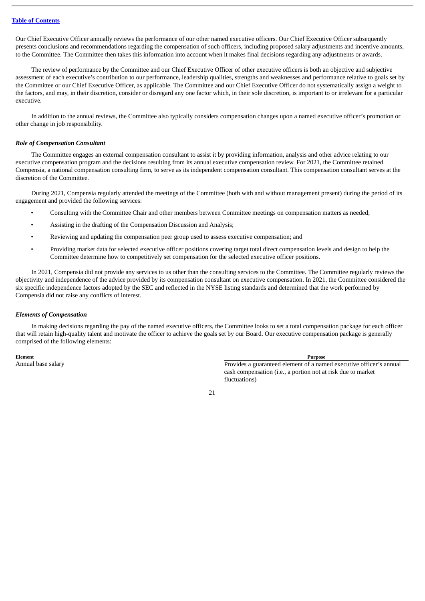Our Chief Executive Officer annually reviews the performance of our other named executive officers. Our Chief Executive Officer subsequently presents conclusions and recommendations regarding the compensation of such officers, including proposed salary adjustments and incentive amounts, to the Committee. The Committee then takes this information into account when it makes final decisions regarding any adjustments or awards.

The review of performance by the Committee and our Chief Executive Officer of other executive officers is both an objective and subjective assessment of each executive's contribution to our performance, leadership qualities, strengths and weaknesses and performance relative to goals set by the Committee or our Chief Executive Officer, as applicable. The Committee and our Chief Executive Officer do not systematically assign a weight to the factors, and may, in their discretion, consider or disregard any one factor which, in their sole discretion, is important to or irrelevant for a particular executive.

In addition to the annual reviews, the Committee also typically considers compensation changes upon a named executive officer's promotion or other change in job responsibility.

# *Role of Compensation Consultant*

The Committee engages an external compensation consultant to assist it by providing information, analysis and other advice relating to our executive compensation program and the decisions resulting from its annual executive compensation review. For 2021, the Committee retained Compensia, a national compensation consulting firm, to serve as its independent compensation consultant. This compensation consultant serves at the discretion of the Committee.

During 2021, Compensia regularly attended the meetings of the Committee (both with and without management present) during the period of its engagement and provided the following services:

- Consulting with the Committee Chair and other members between Committee meetings on compensation matters as needed;
- Assisting in the drafting of the Compensation Discussion and Analysis;
- Reviewing and updating the compensation peer group used to assess executive compensation; and
- Providing market data for selected executive officer positions covering target total direct compensation levels and design to help the Committee determine how to competitively set compensation for the selected executive officer positions.

In 2021, Compensia did not provide any services to us other than the consulting services to the Committee. The Committee regularly reviews the objectivity and independence of the advice provided by its compensation consultant on executive compensation. In 2021, the Committee considered the six specific independence factors adopted by the SEC and reflected in the NYSE listing standards and determined that the work performed by Compensia did not raise any conflicts of interest.

# *Elements of Compensation*

In making decisions regarding the pay of the named executive officers, the Committee looks to set a total compensation package for each officer that will retain high-quality talent and motivate the officer to achieve the goals set by our Board. Our executive compensation package is generally comprised of the following elements:

**Element Purpose**

Annual base salary Provides a guaranteed element of a named executive officer's annual cash compensation (i.e., a portion not at risk due to market fluctuations)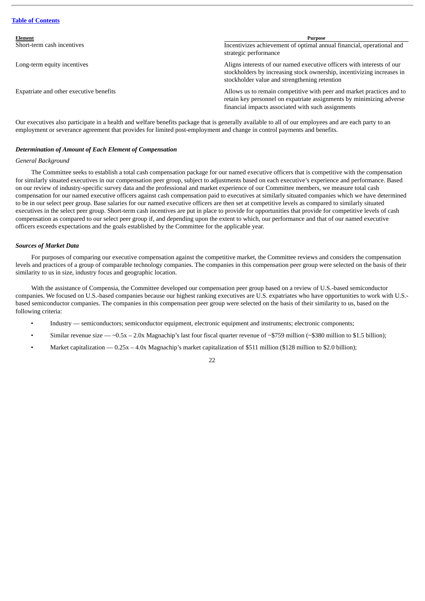| Element                                 | <b>Purpose</b>                                                                                                                                                                                      |
|-----------------------------------------|-----------------------------------------------------------------------------------------------------------------------------------------------------------------------------------------------------|
| Short-term cash incentives              | Incentivizes achievement of optimal annual financial, operational and<br>strategic performance                                                                                                      |
| Long-term equity incentives             | Aligns interests of our named executive officers with interests of our<br>stockholders by increasing stock ownership, incentivizing increases in<br>stockholder value and strengthening retention   |
| Expatriate and other executive benefits | Allows us to remain competitive with peer and market practices and to<br>retain key personnel on expatriate assignments by minimizing adverse<br>financial impacts associated with such assignments |

Our executives also participate in a health and welfare benefits package that is generally available to all of our employees and are each party to an employment or severance agreement that provides for limited post-employment and change in control payments and benefits.

# *Determination of Amount of Each Element of Compensation*

# *General Background*

The Committee seeks to establish a total cash compensation package for our named executive officers that is competitive with the compensation for similarly situated executives in our compensation peer group, subject to adjustments based on each executive's experience and performance. Based on our review of industry-specific survey data and the professional and market experience of our Committee members, we measure total cash compensation for our named executive officers against cash compensation paid to executives at similarly situated companies which we have determined to be in our select peer group. Base salaries for our named executive officers are then set at competitive levels as compared to similarly situated executives in the select peer group. Short-term cash incentives are put in place to provide for opportunities that provide for competitive levels of cash compensation as compared to our select peer group if, and depending upon the extent to which, our performance and that of our named executive officers exceeds expectations and the goals established by the Committee for the applicable year.

# *Sources of Market Data*

For purposes of comparing our executive compensation against the competitive market, the Committee reviews and considers the compensation levels and practices of a group of comparable technology companies. The companies in this compensation peer group were selected on the basis of their similarity to us in size, industry focus and geographic location.

With the assistance of Compensia, the Committee developed our compensation peer group based on a review of U.S.-based semiconductor companies. We focused on U.S.-based companies because our highest ranking executives are U.S. expatriates who have opportunities to work with U.S. based semiconductor companies. The companies in this compensation peer group were selected on the basis of their similarity to us, based on the following criteria:

- Industry semiconductors; semiconductor equipment, electronic equipment and instruments; electronic components;
- Similar revenue size  $-$  ~0.5x 2.0x Magnachip's last four fiscal quarter revenue of ~\$759 million (~\$380 million to \$1.5 billion);
- Market capitalization  $0.25x 4.0x$  Magnachip's market capitalization of \$511 million (\$128 million to \$2.0 billion);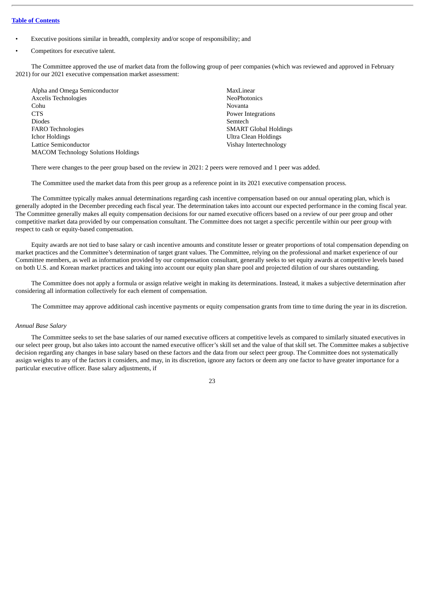- Executive positions similar in breadth, complexity and/or scope of responsibility; and
- Competitors for executive talent.

The Committee approved the use of market data from the following group of peer companies (which was reviewed and approved in February 2021) for our 2021 executive compensation market assessment:

| Alpha and Omega Semiconductor              | MaxLinear                    |
|--------------------------------------------|------------------------------|
| Axcelis Technologies                       | <b>NeoPhotonics</b>          |
| Cohu                                       | <b>Novanta</b>               |
| <b>CTS</b>                                 | Power Integrations           |
| <b>Diodes</b>                              | Semtech                      |
| <b>FARO</b> Technologies                   | <b>SMART Global Holdings</b> |
| Ichor Holdings                             | Ultra Clean Holdings         |
| <b>Lattice Semiconductor</b>               | Vishay Intertechnology       |
| <b>MACOM Technology Solutions Holdings</b> |                              |

There were changes to the peer group based on the review in 2021: 2 peers were removed and 1 peer was added.

The Committee used the market data from this peer group as a reference point in its 2021 executive compensation process.

The Committee typically makes annual determinations regarding cash incentive compensation based on our annual operating plan, which is generally adopted in the December preceding each fiscal year. The determination takes into account our expected performance in the coming fiscal year. The Committee generally makes all equity compensation decisions for our named executive officers based on a review of our peer group and other competitive market data provided by our compensation consultant. The Committee does not target a specific percentile within our peer group with respect to cash or equity-based compensation.

Equity awards are not tied to base salary or cash incentive amounts and constitute lesser or greater proportions of total compensation depending on market practices and the Committee's determination of target grant values. The Committee, relying on the professional and market experience of our Committee members, as well as information provided by our compensation consultant, generally seeks to set equity awards at competitive levels based on both U.S. and Korean market practices and taking into account our equity plan share pool and projected dilution of our shares outstanding.

The Committee does not apply a formula or assign relative weight in making its determinations. Instead, it makes a subjective determination after considering all information collectively for each element of compensation.

The Committee may approve additional cash incentive payments or equity compensation grants from time to time during the year in its discretion.

# *Annual Base Salary*

The Committee seeks to set the base salaries of our named executive officers at competitive levels as compared to similarly situated executives in our select peer group, but also takes into account the named executive officer's skill set and the value of that skill set. The Committee makes a subjective decision regarding any changes in base salary based on these factors and the data from our select peer group. The Committee does not systematically assign weights to any of the factors it considers, and may, in its discretion, ignore any factors or deem any one factor to have greater importance for a particular executive officer. Base salary adjustments, if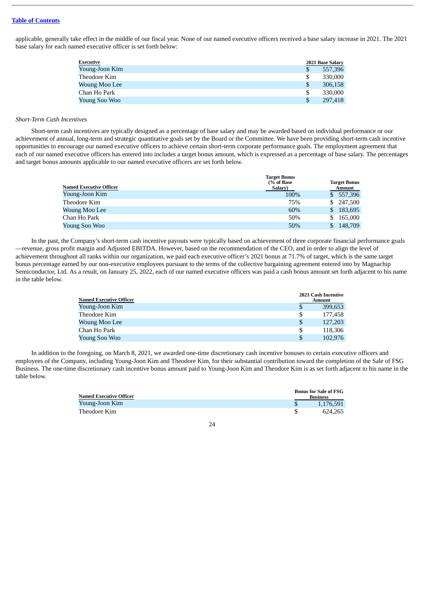applicable, generally take effect in the middle of our fiscal year. None of our named executive officers received a base salary increase in 2021. The 2021 base salary for each named executive officer is set forth below:

| Executive      |    | 2021 Base Salary |
|----------------|----|------------------|
| Young-Joon Kim | S  | 557,396          |
| Theodore Kim   | S  | 330,000          |
| Woung Moo Lee  | S  | 306.158          |
| Chan Ho Park   | \$ | 330,000          |
| Young Soo Woo  | S  | 297,418          |
|                |    |                  |

#### *Short-Term Cash Incentives*

Short-term cash incentives are typically designed as a percentage of base salary and may be awarded based on individual performance or our achievement of annual, long-term and strategic quantitative goals set by the Board or the Committee. We have been providing short-term cash incentive opportunities to encourage our named executive officers to achieve certain short-term corporate performance goals. The employment agreement that each of our named executive officers has entered into includes a target bonus amount, which is expressed as a percentage of base salary. The percentages and target bonus amounts applicable to our named executive officers are set forth below.

|                         | <b>Target Bonus</b><br>(% of Base) |     | <b>Target Bonus</b> |
|-------------------------|------------------------------------|-----|---------------------|
| Named Executive Officer | Salary)                            |     | Amount              |
| Young-Joon Kim          | 100%                               |     | \$ 557,396          |
| Theodore Kim            | 75%                                | \$. | 247.500             |
| Woung Moo Lee           | 60%                                | \$. | 183,695             |
| Chan Ho Park            | 50%                                | \$  | 165,000             |
| Young Soo Woo           | 50%                                |     | 148,709             |

In the past, the Company's short-term cash incentive payouts were typically based on achievement of three corporate financial performance goals —revenue, gross profit margin and Adjusted EBITDA. However, based on the recommendation of the CEO, and in order to align the level of achievement throughout all ranks within our organization, we paid each executive officer's 2021 bonus at 71.7% of target, which is the same target bonus percentage earned by our non-executive employees pursuant to the terms of the collective bargaining agreement entered into by Magnachip Semiconductor, Ltd. As a result, on January 25, 2022, each of our named executive officers was paid a cash bonus amount set forth adjacent to his name in the table below.

|                                |    | 2021 Cash Incentive |
|--------------------------------|----|---------------------|
| <b>Named Executive Officer</b> |    | Amount              |
| Young-Joon Kim                 | S  | 399.653             |
| Theodore Kim                   | \$ | 177.458             |
| Woung Moo Lee                  | \$ | 127,203             |
| Chan Ho Park                   | \$ | 118,306             |
| Young Soo Woo                  | S  | 102.976             |

In addition to the foregoing, on March 8, 2021, we awarded one-time discretionary cash incentive bonuses to certain executive officers and employees of the Company, including Young-Joon Kim and Theodore Kim, for their substantial contribution toward the completion of the Sale of FSG Business. The one-time discretionary cash incentive bonus amount paid to Young-Joon Kim and Theodore Kim is as set forth adjacent to his name in the table below.

| <b>Named Executive Officer</b> | <b>Bonus for Sale of FSG</b><br><b>Business</b> |
|--------------------------------|-------------------------------------------------|
| Young-Joon Kim                 | 1.176.591                                       |
| Theodore Kim                   | 624.265                                         |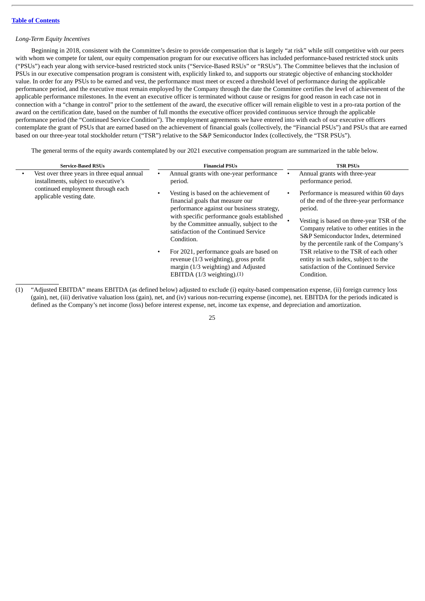# *Long-Term Equity Incentives*

Beginning in 2018, consistent with the Committee's desire to provide compensation that is largely "at risk" while still competitive with our peers with whom we compete for talent, our equity compensation program for our executive officers has included performance-based restricted stock units ("PSUs") each year along with service-based restricted stock units ("Service-Based RSUs" or "RSUs"). The Committee believes that the inclusion of PSUs in our executive compensation program is consistent with, explicitly linked to, and supports our strategic objective of enhancing stockholder value. In order for any PSUs to be earned and vest, the performance must meet or exceed a threshold level of performance during the applicable performance period, and the executive must remain employed by the Company through the date the Committee certifies the level of achievement of the applicable performance milestones. In the event an executive officer is terminated without cause or resigns for good reason in each case not in connection with a "change in control" prior to the settlement of the award, the executive officer will remain eligible to vest in a pro-rata portion of the award on the certification date, based on the number of full months the executive officer provided continuous service through the applicable performance period (the "Continued Service Condition"). The employment agreements we have entered into with each of our executive officers contemplate the grant of PSUs that are earned based on the achievement of financial goals (collectively, the "Financial PSUs") and PSUs that are earned based on our three-year total stockholder return ("TSR") relative to the S&P Semiconductor Index (collectively, the "TSR PSUs").

The general terms of the equity awards contemplated by our 2021 executive compensation program are summarized in the table below.

| <b>Service-Based RSUs</b>                                                           | <b>Financial PSUs</b>                                                                                                                                                                                                                                                                                                                                                                                                                                   | <b>TSR PSUs</b>                                                                                                                                                                                                                                                                                                                                                                                                   |
|-------------------------------------------------------------------------------------|---------------------------------------------------------------------------------------------------------------------------------------------------------------------------------------------------------------------------------------------------------------------------------------------------------------------------------------------------------------------------------------------------------------------------------------------------------|-------------------------------------------------------------------------------------------------------------------------------------------------------------------------------------------------------------------------------------------------------------------------------------------------------------------------------------------------------------------------------------------------------------------|
| Vest over three years in three equal annual<br>installments, subject to executive's | Annual grants with one-year performance<br>period.                                                                                                                                                                                                                                                                                                                                                                                                      | Annual grants with three-year<br>performance period.                                                                                                                                                                                                                                                                                                                                                              |
| continued employment through each<br>applicable vesting date.                       | Vesting is based on the achievement of<br>financial goals that measure our<br>performance against our business strategy,<br>with specific performance goals established<br>by the Committee annually, subject to the<br>satisfaction of the Continued Service<br>Condition.<br>For 2021, performance goals are based on<br>$\bullet$<br>revenue (1/3 weighting), gross profit<br>margin (1/3 weighting) and Adjusted<br>EBITDA $(1/3$ weighting). $(1)$ | Performance is measured within 60 days<br>of the end of the three-year performance<br>period.<br>Vesting is based on three-year TSR of the<br>Company relative to other entities in the<br>S&P Semiconductor Index, determined<br>by the percentile rank of the Company's<br>TSR relative to the TSR of each other<br>entity in such index, subject to the<br>satisfaction of the Continued Service<br>Condition. |

<sup>(1)</sup> "Adjusted EBITDA" means EBITDA (as defined below) adjusted to exclude (i) equity-based compensation expense, (ii) foreign currency loss (gain), net, (iii) derivative valuation loss (gain), net, and (iv) various non-recurring expense (income), net. EBITDA for the periods indicated is defined as the Company's net income (loss) before interest expense, net, income tax expense, and depreciation and amortization.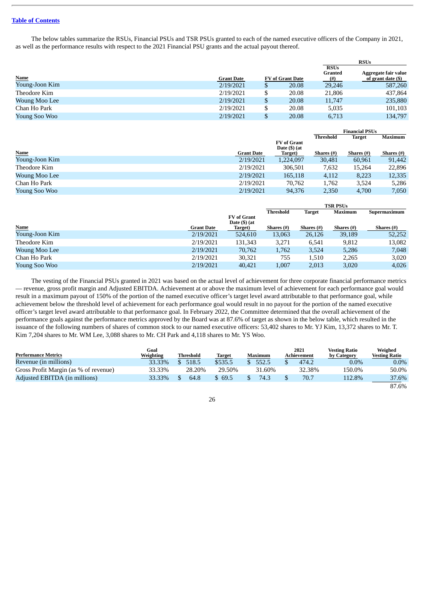The below tables summarize the RSUs, Financial PSUs and TSR PSUs granted to each of the named executive officers of the Company in 2021, as well as the performance results with respect to the 2021 Financial PSU grants and the actual payout thereof.

|                |                   |   |                         |                                         | <b>RSUs</b>                                |
|----------------|-------------------|---|-------------------------|-----------------------------------------|--------------------------------------------|
| <b>Name</b>    | <b>Grant Date</b> |   | <b>FV</b> of Grant Date | <b>RSUs</b><br><b>Granted</b><br>$(\#)$ | Aggregate fair value<br>of grant date (\$) |
| Young-Joon Kim | 2/19/2021         | S | 20.08                   | 29,246                                  | 587,260                                    |
| Theodore Kim   | 2/19/2021         |   | 20.08                   | 21,806                                  | 437,864                                    |
| Woung Moo Lee  | 2/19/2021         |   | 20.08                   | 11,747                                  | 235,880                                    |
| Chan Ho Park   | 2/19/2021         | S | 20.08                   | 5,035                                   | 101,103                                    |
| Young Soo Woo  | 2/19/2021         |   | 20.08                   | 6,713                                   | 134,797                                    |

|                |                   |                    |                  | <b>Financial PSUs</b> |                |
|----------------|-------------------|--------------------|------------------|-----------------------|----------------|
|                |                   |                    | <b>Threshold</b> | <b>Target</b>         | <b>Maximum</b> |
|                |                   | <b>FV</b> of Grant |                  |                       |                |
|                |                   | Date $($ ) (at     |                  |                       |                |
| <b>Name</b>    | <b>Grant Date</b> | Target)            | Shares $(\#)$    | Shares $(\#)$         | Shares $(\#)$  |
| Young-Joon Kim | 2/19/2021         | 1,224,097          | 30,481           | 60,961                | 91,442         |
| Theodore Kim   | 2/19/2021         | 306.501            | 7,632            | 15,264                | 22,896         |
| Woung Moo Lee  | 2/19/2021         | 165,118            | 4,112            | 8,223                 | 12,335         |
| Chan Ho Park   | 2/19/2021         | 70.762             | 1.762            | 3,524                 | 5,286          |
| Young Soo Woo  | 2/19/2021         | 94.376             | 2,350            | 4.700                 | 7,050          |

|                |                   |                                         | <b>TSR PSUs</b>  |               |                |              |
|----------------|-------------------|-----------------------------------------|------------------|---------------|----------------|--------------|
|                |                   |                                         | <b>Threshold</b> | <b>Target</b> | <b>Maximum</b> | Supermaximum |
|                |                   | <b>FV</b> of Grant<br>Date $($ ) $(at)$ |                  |               |                |              |
| Name           | <b>Grant Date</b> | Target)                                 | Shares $(\#)$    | Shares $(\#)$ | Shares $(\#)$  | Shares (#)   |
| Young-Joon Kim | 2/19/2021         | 524,610                                 | 13,063           | 26,126        | 39,189         | 52,252       |
| Theodore Kim   | 2/19/2021         | 131.343                                 | 3.271            | 6,541         | 9,812          | 13,082       |
| Woung Moo Lee  | 2/19/2021         | 70,762                                  | 1,762            | 3,524         | 5,286          | 7,048        |
| Chan Ho Park   | 2/19/2021         | 30,321                                  | 755              | 1,510         | 2,265          | 3,020        |
| Young Soo Woo  | 2/19/2021         | 40.421                                  | 1,007            | 2,013         | 3,020          | 4,026        |

The vesting of the Financial PSUs granted in 2021 was based on the actual level of achievement for three corporate financial performance metrics — revenue, gross profit margin and Adjusted EBITDA. Achievement at or above the maximum level of achievement for each performance goal would result in a maximum payout of 150% of the portion of the named executive officer's target level award attributable to that performance goal, while achievement below the threshold level of achievement for each performance goal would result in no payout for the portion of the named executive officer's target level award attributable to that performance goal. In February 2022, the Committee determined that the overall achievement of the performance goals against the performance metrics approved by the Board was at 87.6% of target as shown in the below table, which resulted in the issuance of the following numbers of shares of common stock to our named executive officers: 53,402 shares to Mr. YJ Kim, 13,372 shares to Mr. T. Kim 7,204 shares to Mr. WM Lee, 3,088 shares to Mr. CH Park and 4,118 shares to Mr. YS Woo.

|                                       | Goal      |                  |               |                | 2021        | <b>Vesting Ratio</b> | Weighed              |
|---------------------------------------|-----------|------------------|---------------|----------------|-------------|----------------------|----------------------|
| <b>Performance Metrics</b>            | Weighting | <b>Threshold</b> | <b>Target</b> | <b>Maximum</b> | Achievement | by Category          | <b>Vesting Ratio</b> |
| Revenue (in millions)                 | 33.33%    | 518.5            | \$535.5       | 552.5          | 474.2       | $0.0\%$              | $0.0\%$              |
| Gross Profit Margin (as % of revenue) | 33.33%    | 28.20%           | 29.50%        | 31.60%         | 32.38%      | 150.0%               | 50.0%                |
| Adjusted EBITDA (in millions)         | 33.33%    | 64.8             | \$69.5        | 74.3           | 70.7        | 112.8%               | 37.6%                |
|                                       |           |                  |               |                |             |                      | 87.6%                |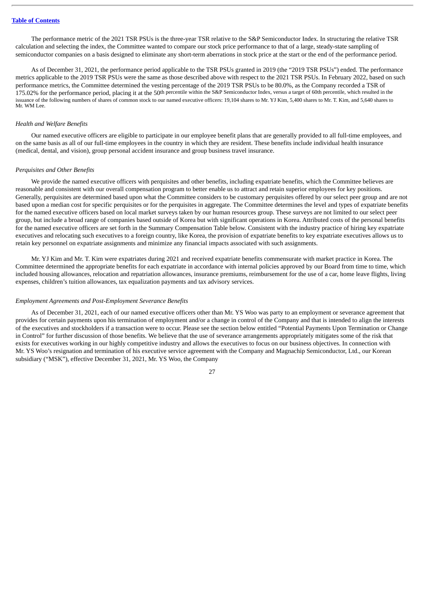The performance metric of the 2021 TSR PSUs is the three-year TSR relative to the S&P Semiconductor Index. In structuring the relative TSR calculation and selecting the index, the Committee wanted to compare our stock price performance to that of a large, steady-state sampling of semiconductor companies on a basis designed to eliminate any short-term aberrations in stock price at the start or the end of the performance period.

As of December 31, 2021, the performance period applicable to the TSR PSUs granted in 2019 (the "2019 TSR PSUs") ended. The performance metrics applicable to the 2019 TSR PSUs were the same as those described above with respect to the 2021 TSR PSUs. In February 2022, based on such performance metrics, the Committee determined the vesting percentage of the 2019 TSR PSUs to be 80.0%, as the Company recorded a TSR of 175.02% for the performance period, placing it at the 50th percentile within the S&P Semiconductor Index, versus a target of 60th percentile, which resulted in the issuance of the following numbers of shares of common stock to our named executive officers: 19,104 shares to Mr. YJ Kim, 5,400 shares to Mr. T. Kim, and 5,640 shares to Mr. WM Lee.

## *Health and Welfare Benefits*

Our named executive officers are eligible to participate in our employee benefit plans that are generally provided to all full-time employees, and on the same basis as all of our full-time employees in the country in which they are resident. These benefits include individual health insurance (medical, dental, and vision), group personal accident insurance and group business travel insurance.

# *Perquisites and Other Benefits*

We provide the named executive officers with perquisites and other benefits, including expatriate benefits, which the Committee believes are reasonable and consistent with our overall compensation program to better enable us to attract and retain superior employees for key positions. Generally, perquisites are determined based upon what the Committee considers to be customary perquisites offered by our select peer group and are not based upon a median cost for specific perquisites or for the perquisites in aggregate. The Committee determines the level and types of expatriate benefits for the named executive officers based on local market surveys taken by our human resources group. These surveys are not limited to our select peer group, but include a broad range of companies based outside of Korea but with significant operations in Korea. Attributed costs of the personal benefits for the named executive officers are set forth in the Summary Compensation Table below. Consistent with the industry practice of hiring key expatriate executives and relocating such executives to a foreign country, like Korea, the provision of expatriate benefits to key expatriate executives allows us to retain key personnel on expatriate assignments and minimize any financial impacts associated with such assignments.

Mr. YJ Kim and Mr. T. Kim were expatriates during 2021 and received expatriate benefits commensurate with market practice in Korea. The Committee determined the appropriate benefits for each expatriate in accordance with internal policies approved by our Board from time to time, which included housing allowances, relocation and repatriation allowances, insurance premiums, reimbursement for the use of a car, home leave flights, living expenses, children's tuition allowances, tax equalization payments and tax advisory services.

# *Employment Agreements and Post-Employment Severance Benefits*

As of December 31, 2021, each of our named executive officers other than Mr. YS Woo was party to an employment or severance agreement that provides for certain payments upon his termination of employment and/or a change in control of the Company and that is intended to align the interests of the executives and stockholders if a transaction were to occur. Please see the section below entitled "Potential Payments Upon Termination or Change in Control" for further discussion of those benefits. We believe that the use of severance arrangements appropriately mitigates some of the risk that exists for executives working in our highly competitive industry and allows the executives to focus on our business objectives. In connection with Mr. YS Woo's resignation and termination of his executive service agreement with the Company and Magnachip Semiconductor, Ltd., our Korean subsidiary ("MSK"), effective December 31, 2021, Mr. YS Woo, the Company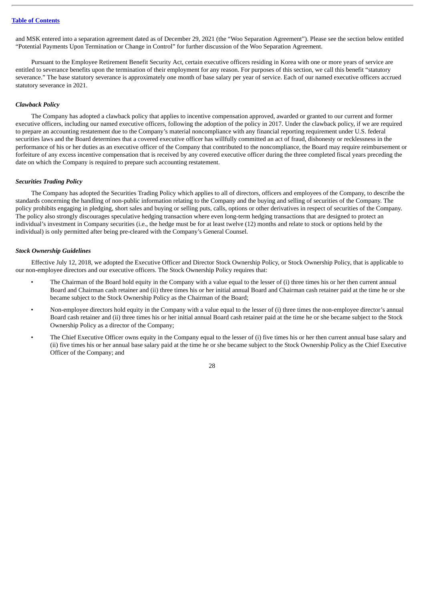and MSK entered into a separation agreement dated as of December 29, 2021 (the "Woo Separation Agreement"). Please see the section below entitled "Potential Payments Upon Termination or Change in Control" for further discussion of the Woo Separation Agreement.

Pursuant to the Employee Retirement Benefit Security Act, certain executive officers residing in Korea with one or more years of service are entitled to severance benefits upon the termination of their employment for any reason. For purposes of this section, we call this benefit "statutory severance." The base statutory severance is approximately one month of base salary per year of service. Each of our named executive officers accrued statutory severance in 2021.

# *Clawback Policy*

The Company has adopted a clawback policy that applies to incentive compensation approved, awarded or granted to our current and former executive officers, including our named executive officers, following the adoption of the policy in 2017. Under the clawback policy, if we are required to prepare an accounting restatement due to the Company's material noncompliance with any financial reporting requirement under U.S. federal securities laws and the Board determines that a covered executive officer has willfully committed an act of fraud, dishonesty or recklessness in the performance of his or her duties as an executive officer of the Company that contributed to the noncompliance, the Board may require reimbursement or forfeiture of any excess incentive compensation that is received by any covered executive officer during the three completed fiscal years preceding the date on which the Company is required to prepare such accounting restatement.

### *Securities Trading Policy*

The Company has adopted the Securities Trading Policy which applies to all of directors, officers and employees of the Company, to describe the standards concerning the handling of non-public information relating to the Company and the buying and selling of securities of the Company. The policy prohibits engaging in pledging, short sales and buying or selling puts, calls, options or other derivatives in respect of securities of the Company. The policy also strongly discourages speculative hedging transaction where even long-term hedging transactions that are designed to protect an individual's investment in Company securities (i.e., the hedge must be for at least twelve (12) months and relate to stock or options held by the individual) is only permitted after being pre-cleared with the Company's General Counsel.

# *Stock Ownership Guidelines*

Effective July 12, 2018, we adopted the Executive Officer and Director Stock Ownership Policy, or Stock Ownership Policy, that is applicable to our non-employee directors and our executive officers. The Stock Ownership Policy requires that:

- The Chairman of the Board hold equity in the Company with a value equal to the lesser of (i) three times his or her then current annual Board and Chairman cash retainer and (ii) three times his or her initial annual Board and Chairman cash retainer paid at the time he or she became subject to the Stock Ownership Policy as the Chairman of the Board;
- Non-employee directors hold equity in the Company with a value equal to the lesser of (i) three times the non-employee director's annual Board cash retainer and (ii) three times his or her initial annual Board cash retainer paid at the time he or she became subject to the Stock Ownership Policy as a director of the Company;
- The Chief Executive Officer owns equity in the Company equal to the lesser of (i) five times his or her then current annual base salary and (ii) five times his or her annual base salary paid at the time he or she became subject to the Stock Ownership Policy as the Chief Executive Officer of the Company; and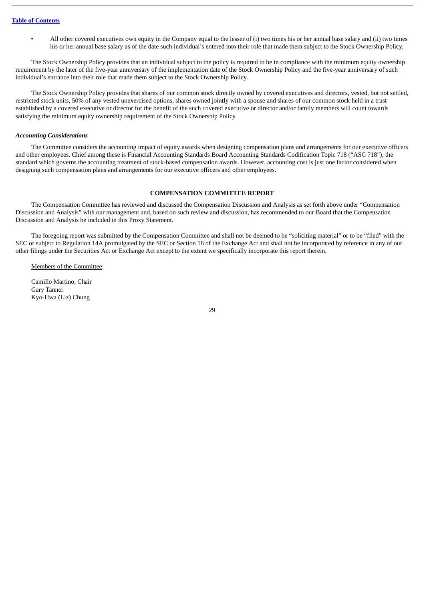• All other covered executives own equity in the Company equal to the lesser of (i) two times his or her annual base salary and (ii) two times his or her annual base salary as of the date such individual's entered into their role that made them subject to the Stock Ownership Policy.

The Stock Ownership Policy provides that an individual subject to the policy is required to be in compliance with the minimum equity ownership requirement by the later of the five-year anniversary of the implementation date of the Stock Ownership Policy and the five-year anniversary of such individual's entrance into their role that made them subject to the Stock Ownership Policy.

The Stock Ownership Policy provides that shares of our common stock directly owned by covered executives and directors, vested, but not settled, restricted stock units, 50% of any vested unexercised options, shares owned jointly with a spouse and shares of our common stock held in a trust established by a covered executive or director for the benefit of the such covered executive or director and/or family members will count towards satisfying the minimum equity ownership requirement of the Stock Ownership Policy.

# *Accounting Considerations*

The Committee considers the accounting impact of equity awards when designing compensation plans and arrangements for our executive officers and other employees. Chief among these is Financial Accounting Standards Board Accounting Standards Codification Topic 718 ("ASC 718"), the standard which governs the accounting treatment of stock-based compensation awards. However, accounting cost is just one factor considered when designing such compensation plans and arrangements for our executive officers and other employees.

# **COMPENSATION COMMITTEE REPORT**

<span id="page-33-0"></span>The Compensation Committee has reviewed and discussed the Compensation Discussion and Analysis as set forth above under "Compensation Discussion and Analysis" with our management and, based on such review and discussion, has recommended to our Board that the Compensation Discussion and Analysis be included in this Proxy Statement.

The foregoing report was submitted by the Compensation Committee and shall not be deemed to be "soliciting material" or to be "filed" with the SEC or subject to Regulation 14A promulgated by the SEC or Section 18 of the Exchange Act and shall not be incorporated by reference in any of our other filings under the Securities Act or Exchange Act except to the extent we specifically incorporate this report therein.

Members of the Committee:

Camillo Martino, Chair Gary Tanner Kyo-Hwa (Liz) Chung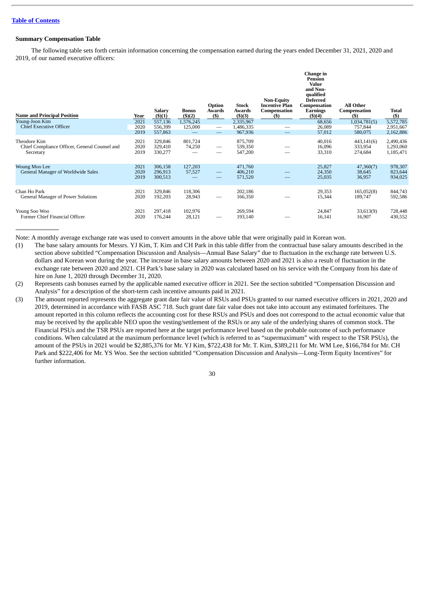# <span id="page-34-0"></span>**Summary Compensation Table**

The following table sets forth certain information concerning the compensation earned during the years ended December 31, 2021, 2020 and 2019, of our named executive officers:

| <b>Name and Principal Position</b><br>Young-Joon Kim                       | Year<br>2021         | Salary<br>$($ \$ $)(1)$<br>557,136 | <b>Bonus</b><br>$($ \$ $)(2)$<br>1,576,245 | Option<br>Awards<br>(S)         | <b>Stock</b><br>Awards<br>(5)(3)<br>2,335,967 | <b>Non-Equity</b><br>Incentive Plan<br>Compensation<br>$($)$ | Change in<br>Pension<br>Value<br>and Non-<br>qualified<br><b>Deferred</b><br>Compensation<br><b>Earnings</b><br>(3)(4)<br>68,656 | <b>All Other</b><br>Compensation<br>$($ \$<br>1,034,781(5) | Total<br>$($)$<br>5,572,785         |
|----------------------------------------------------------------------------|----------------------|------------------------------------|--------------------------------------------|---------------------------------|-----------------------------------------------|--------------------------------------------------------------|----------------------------------------------------------------------------------------------------------------------------------|------------------------------------------------------------|-------------------------------------|
| <b>Chief Executive Officer</b>                                             | 2020<br>2019         | 556,399<br>557,863                 | 125,000                                    | $\hspace{0.1mm}-\hspace{0.1mm}$ | 1,486,335<br>967,936                          |                                                              | 26,089<br>57,012                                                                                                                 | 757,844<br>580,075                                         | 2,951,667<br>2,162,886              |
| Theodore Kim<br>Chief Compliance Officer, General Counsel and<br>Secretary | 2021<br>2020<br>2019 | 329,846<br>329,410<br>330,277      | 801,724<br>74,250                          | —                               | 875,709<br>539,350<br>547,200                 |                                                              | 40,016<br>16,096<br>33,310                                                                                                       | 443,141(6)<br>333,954<br>274,684                           | 2,490,436<br>1,293,060<br>1,185,471 |
| Woung Moo Lee<br>General Manager of Worldwide Sales                        | 2021<br>2020<br>2019 | 306,158<br>296,913<br>300,513      | 127,203<br>57,527                          |                                 | 471,760<br>406,210<br>571,520                 |                                                              | 25,827<br>24,350<br>25,035                                                                                                       | 47,360(7)<br>38,645<br>36,957                              | 978,307<br>823,644<br>934,025       |
| Chan Ho Park<br>General Manager of Power Solutions                         | 2021<br>2020         | 329,846<br>192,203                 | 118,306<br>28,943                          | $\overline{\phantom{0}}$        | 202,186<br>166,350                            |                                                              | 29,353<br>15,344                                                                                                                 | 165,052(8)<br>189,747                                      | 844,743<br>592,586                  |
| Young Soo Woo<br>Former Chief Financial Officer                            | 2021<br>2020         | 297,418<br>176,244                 | 102,976<br>28,121                          |                                 | 269,594<br>193,140                            |                                                              | 24,847<br>16,141                                                                                                                 | 33,613(9)<br>16,907                                        | 728,448<br>430,552                  |

Note: A monthly average exchange rate was used to convert amounts in the above table that were originally paid in Korean won.

(1) The base salary amounts for Messrs. YJ Kim, T. Kim and CH Park in this table differ from the contractual base salary amounts described in the section above subtitled "Compensation Discussion and Analysis—Annual Base Salary" due to fluctuation in the exchange rate between U.S. dollars and Korean won during the year. The increase in base salary amounts between 2020 and 2021 is also a result of fluctuation in the exchange rate between 2020 and 2021. CH Park's base salary in 2020 was calculated based on his service with the Company from his date of hire on June 1, 2020 through December 31, 2020.

(2) Represents cash bonuses earned by the applicable named executive officer in 2021. See the section subtitled "Compensation Discussion and Analysis" for a description of the short-term cash incentive amounts paid in 2021.

(3) The amount reported represents the aggregate grant date fair value of RSUs and PSUs granted to our named executive officers in 2021, 2020 and 2019, determined in accordance with FASB ASC 718. Such grant date fair value does not take into account any estimated forfeitures. The amount reported in this column reflects the accounting cost for these RSUs and PSUs and does not correspond to the actual economic value that may be received by the applicable NEO upon the vesting/settlement of the RSUs or any sale of the underlying shares of common stock. The Financial PSUs and the TSR PSUs are reported here at the target performance level based on the probable outcome of such performance conditions. When calculated at the maximum performance level (which is referred to as "supermaximum" with respect to the TSR PSUs), the amount of the PSUs in 2021 would be \$2,885,376 for Mr. YJ Kim, \$722,438 for Mr. T. Kim, \$389,211 for Mr. WM Lee, \$166,784 for Mr. CH Park and \$222,406 for Mr. YS Woo. See the section subtitled "Compensation Discussion and Analysis—Long-Term Equity Incentives" for further information.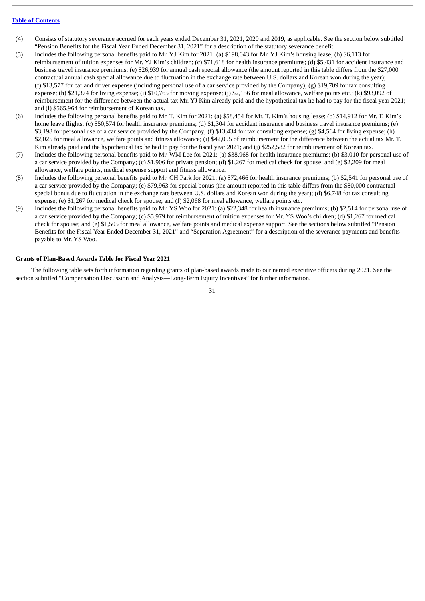- (4) Consists of statutory severance accrued for each years ended December 31, 2021, 2020 and 2019, as applicable. See the section below subtitled "Pension Benefits for the Fiscal Year Ended December 31, 2021" for a description of the statutory severance benefit.
- (5) Includes the following personal benefits paid to Mr. YJ Kim for 2021: (a) \$198,043 for Mr. YJ Kim's housing lease; (b) \$6,113 for reimbursement of tuition expenses for Mr. YJ Kim's children; (c) \$71,618 for health insurance premiums; (d) \$5,431 for accident insurance and business travel insurance premiums; (e) \$26,939 for annual cash special allowance (the amount reported in this table differs from the \$27,000 contractual annual cash special allowance due to fluctuation in the exchange rate between U.S. dollars and Korean won during the year); (f) \$13,577 for car and driver expense (including personal use of a car service provided by the Company); (g) \$19,709 for tax consulting expense; (h) \$21,374 for living expense; (i) \$10,765 for moving expense; (j) \$2,156 for meal allowance, welfare points etc.; (k) \$93,092 of reimbursement for the difference between the actual tax Mr. YJ Kim already paid and the hypothetical tax he had to pay for the fiscal year 2021; and (l) \$565,964 for reimbursement of Korean tax.
- (6) Includes the following personal benefits paid to Mr. T. Kim for 2021: (a) \$58,454 for Mr. T. Kim's housing lease; (b) \$14,912 for Mr. T. Kim's home leave flights; (c) \$50,574 for health insurance premiums; (d) \$1,304 for accident insurance and business travel insurance premiums; (e) \$3,198 for personal use of a car service provided by the Company; (f) \$13,434 for tax consulting expense; (g) \$4,564 for living expense; (h) \$2,025 for meal allowance, welfare points and fitness allowance; (i) \$42,095 of reimbursement for the difference between the actual tax Mr. T. Kim already paid and the hypothetical tax he had to pay for the fiscal year 2021; and (j) \$252,582 for reimbursement of Korean tax.
- (7) Includes the following personal benefits paid to Mr. WM Lee for 2021: (a) \$38,968 for health insurance premiums; (b) \$3,010 for personal use of a car service provided by the Company; (c) \$1,906 for private pension; (d) \$1,267 for medical check for spouse; and (e) \$2,209 for meal allowance, welfare points, medical expense support and fitness allowance.
- (8) Includes the following personal benefits paid to Mr. CH Park for 2021: (a) \$72,466 for health insurance premiums; (b) \$2,541 for personal use of a car service provided by the Company; (c) \$79,963 for special bonus (the amount reported in this table differs from the \$80,000 contractual special bonus due to fluctuation in the exchange rate between U.S. dollars and Korean won during the year); (d) \$6,748 for tax consulting expense; (e) \$1,267 for medical check for spouse; and (f) \$2,068 for meal allowance, welfare points etc.
- (9) Includes the following personal benefits paid to Mr. YS Woo for 2021: (a) \$22,348 for health insurance premiums; (b) \$2,514 for personal use of a car service provided by the Company; (c) \$5,979 for reimbursement of tuition expenses for Mr. YS Woo's children; (d) \$1,267 for medical check for spouse; and (e) \$1,505 for meal allowance, welfare points and medical expense support. See the sections below subtitled "Pension Benefits for the Fiscal Year Ended December 31, 2021" and "Separation Agreement" for a description of the severance payments and benefits payable to Mr. YS Woo.

# <span id="page-35-0"></span>**Grants of Plan-Based Awards Table for Fiscal Year 2021**

The following table sets forth information regarding grants of plan-based awards made to our named executive officers during 2021. See the section subtitled "Compensation Discussion and Analysis—Long-Term Equity Incentives" for further information.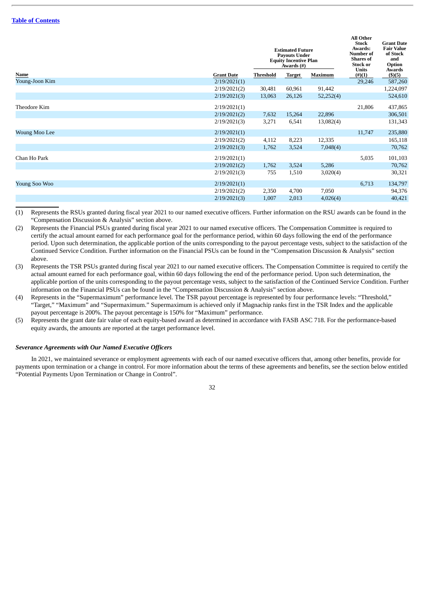|                |                   |                  | <b>Estimated Future</b><br><b>Payouts Under</b><br><b>Equity Incentive Plan</b><br>Awards (#) | <b>All Other</b><br><b>Stock</b><br>Awards:<br><b>Number of</b><br><b>Shares</b> of<br><b>Stock or</b><br>Units | <b>Grant Date</b><br><b>Fair Value</b><br>of Stock<br>and<br>Option<br>Awards |           |
|----------------|-------------------|------------------|-----------------------------------------------------------------------------------------------|-----------------------------------------------------------------------------------------------------------------|-------------------------------------------------------------------------------|-----------|
| Name           | <b>Grant Date</b> | <b>Threshold</b> | <b>Target</b>                                                                                 | Maximum                                                                                                         | $(\#)(1)$                                                                     | \$)(5)    |
| Young-Joon Kim | 2/19/2021(1)      |                  |                                                                                               |                                                                                                                 | 29,246                                                                        | 587,260   |
|                | 2/19/2021(2)      | 30,481           | 60,961                                                                                        | 91,442                                                                                                          |                                                                               | 1,224,097 |
|                | 2/19/2021(3)      | 13,063           | 26,126                                                                                        | 52,252(4)                                                                                                       |                                                                               | 524,610   |
| Theodore Kim   | 2/19/2021(1)      |                  |                                                                                               |                                                                                                                 | 21,806                                                                        | 437,865   |
|                | 2/19/2021(2)      | 7,632            | 15,264                                                                                        | 22,896                                                                                                          |                                                                               | 306,501   |
|                | 2/19/2021(3)      | 3,271            | 6,541                                                                                         | 13,082(4)                                                                                                       |                                                                               | 131,343   |
| Woung Moo Lee  | 2/19/2021(1)      |                  |                                                                                               |                                                                                                                 | 11,747                                                                        | 235,880   |
|                | 2/19/2021(2)      | 4,112            | 8,223                                                                                         | 12,335                                                                                                          |                                                                               | 165,118   |
|                | 2/19/2021(3)      | 1,762            | 3,524                                                                                         | 7,048(4)                                                                                                        |                                                                               | 70,762    |
| Chan Ho Park   | 2/19/2021(1)      |                  |                                                                                               |                                                                                                                 | 5,035                                                                         | 101,103   |
|                | 2/19/2021(2)      | 1,762            | 3,524                                                                                         | 5,286                                                                                                           |                                                                               | 70,762    |
|                | 2/19/2021(3)      | 755              | 1,510                                                                                         | 3,020(4)                                                                                                        |                                                                               | 30,321    |
| Young Soo Woo  | 2/19/2021(1)      |                  |                                                                                               |                                                                                                                 | 6,713                                                                         | 134,797   |
|                | 2/19/2021(2)      | 2,350            | 4,700                                                                                         | 7,050                                                                                                           |                                                                               | 94,376    |
|                | 2/19/2021(3)      | 1,007            | 2,013                                                                                         | 4,026(4)                                                                                                        |                                                                               | 40,421    |

(1) Represents the RSUs granted during fiscal year 2021 to our named executive officers. Further information on the RSU awards can be found in the "Compensation Discussion & Analysis" section above.

(2) Represents the Financial PSUs granted during fiscal year 2021 to our named executive officers. The Compensation Committee is required to certify the actual amount earned for each performance goal for the performance period, within 60 days following the end of the performance period. Upon such determination, the applicable portion of the units corresponding to the payout percentage vests, subject to the satisfaction of the Continued Service Condition. Further information on the Financial PSUs can be found in the "Compensation Discussion & Analysis" section above.

(3) Represents the TSR PSUs granted during fiscal year 2021 to our named executive officers. The Compensation Committee is required to certify the actual amount earned for each performance goal, within 60 days following the end of the performance period. Upon such determination, the applicable portion of the units corresponding to the payout percentage vests, subject to the satisfaction of the Continued Service Condition. Further information on the Financial PSUs can be found in the "Compensation Discussion & Analysis" section above.

(4) Represents in the "Supermaximum" performance level. The TSR payout percentage is represented by four performance levels: "Threshold," "Target," "Maximum" and "Supermaximum." Supermaximum is achieved only if Magnachip ranks first in the TSR Index and the applicable payout percentage is 200%. The payout percentage is 150% for "Maximum" performance.

(5) Represents the grant date fair value of each equity-based award as determined in accordance with FASB ASC 718. For the performance-based equity awards, the amounts are reported at the target performance level.

# *Severance Agreements with Our Named Executive Officers*

In 2021, we maintained severance or employment agreements with each of our named executive officers that, among other benefits, provide for payments upon termination or a change in control. For more information about the terms of these agreements and benefits, see the section below entitled "Potential Payments Upon Termination or Change in Control".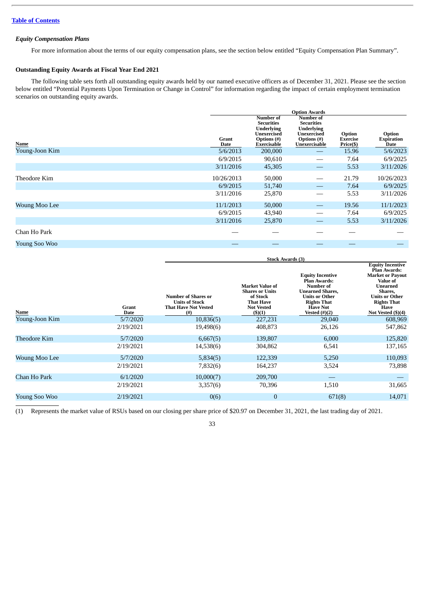# *Equity Compensation Plans*

For more information about the terms of our equity compensation plans, see the section below entitled "Equity Compensation Plan Summary".

# <span id="page-37-0"></span>**Outstanding Equity Awards at Fiscal Year End 2021**

The following table sets forth all outstanding equity awards held by our named executive officers as of December 31, 2021. Please see the section below entitled "Potential Payments Upon Termination or Change in Control" for information regarding the impact of certain employment termination scenarios on outstanding equity awards.

|                      |               | <b>Option Awards</b>                                                                                    |                                                                                                    |                                        |                                     |  |  |
|----------------------|---------------|---------------------------------------------------------------------------------------------------------|----------------------------------------------------------------------------------------------------|----------------------------------------|-------------------------------------|--|--|
| Name                 | Grant<br>Date | Number of<br><b>Securities</b><br><b>Underlying</b><br><b>Unexercised</b><br>Options (#)<br>Exercisable | Number of<br><b>Securities</b><br><b>Underlying</b><br>Unexercised<br>Options (#)<br>Unexercisable | Option<br><b>Exercise</b><br>Price(\$) | Option<br><b>Expiration</b><br>Date |  |  |
| Young-Joon Kim       | 5/6/2013      | 200,000                                                                                                 |                                                                                                    | 15.96                                  | 5/6/2023                            |  |  |
|                      | 6/9/2015      | 90,610                                                                                                  |                                                                                                    | 7.64                                   | 6/9/2025                            |  |  |
|                      | 3/11/2016     | 45,305                                                                                                  |                                                                                                    | 5.53                                   | 3/11/2026                           |  |  |
| Theodore Kim         | 10/26/2013    | 50,000                                                                                                  |                                                                                                    | 21.79                                  | 10/26/2023                          |  |  |
|                      | 6/9/2015      | 51,740                                                                                                  |                                                                                                    | 7.64                                   | 6/9/2025                            |  |  |
|                      | 3/11/2016     | 25,870                                                                                                  |                                                                                                    | 5.53                                   | 3/11/2026                           |  |  |
| <b>Woung Moo Lee</b> | 11/1/2013     | 50,000                                                                                                  | $\hspace{0.05cm}$                                                                                  | 19.56                                  | 11/1/2023                           |  |  |
|                      | 6/9/2015      | 43,940                                                                                                  | –                                                                                                  | 7.64                                   | 6/9/2025                            |  |  |
|                      | 3/11/2016     | 25,870                                                                                                  |                                                                                                    | 5.53                                   | 3/11/2026                           |  |  |
| Chan Ho Park         |               |                                                                                                         |                                                                                                    |                                        |                                     |  |  |
| Young Soo Woo        |               |                                                                                                         |                                                                                                    |                                        |                                     |  |  |

|                      | <b>Stock Awards (3)</b>                                                                   |                                                                                                          |                                                                                                                                                                                         |                                                                                                                                                                                                    |  |  |
|----------------------|-------------------------------------------------------------------------------------------|----------------------------------------------------------------------------------------------------------|-----------------------------------------------------------------------------------------------------------------------------------------------------------------------------------------|----------------------------------------------------------------------------------------------------------------------------------------------------------------------------------------------------|--|--|
| Grant<br><b>Date</b> | <b>Number of Shares or</b><br><b>Units of Stock</b><br><b>That Have Not Vested</b><br>(#) | <b>Market Value of</b><br><b>Shares or Units</b><br>of Stock<br>That Have<br><b>Not Vested</b><br>(3)(1) | <b>Equity Incentive</b><br><b>Plan Awards:</b><br><b>Number of</b><br><b>Unearned Shares,</b><br><b>Units or Other</b><br><b>Rights That</b><br><b>Have Not</b><br><b>Vested (#)(2)</b> | <b>Equity Incentive</b><br><b>Plan Awards:</b><br><b>Market or Payout</b><br><b>Value of</b><br>Unearned<br>Shares,<br>Units or Other<br><b>Rights That</b><br>Have<br>Not Vested $(\text{$}5)(4)$ |  |  |
| 5/7/2020             | 10,836(5)                                                                                 | 227,231                                                                                                  | 29,040                                                                                                                                                                                  | 608,969                                                                                                                                                                                            |  |  |
| 2/19/2021            | 19,498(6)                                                                                 | 408,873                                                                                                  | 26,126                                                                                                                                                                                  | 547,862                                                                                                                                                                                            |  |  |
| 5/7/2020             | 6,667(5)                                                                                  | 139,807                                                                                                  | 6,000                                                                                                                                                                                   | 125,820                                                                                                                                                                                            |  |  |
| 2/19/2021            | 14,538(6)                                                                                 | 304,862                                                                                                  | 6,541                                                                                                                                                                                   | 137,165                                                                                                                                                                                            |  |  |
| 5/7/2020             | 5,834(5)                                                                                  | 122,339                                                                                                  | 5,250                                                                                                                                                                                   | 110,093                                                                                                                                                                                            |  |  |
| 2/19/2021            | 7,832(6)                                                                                  | 164,237                                                                                                  | 3,524                                                                                                                                                                                   | 73,898                                                                                                                                                                                             |  |  |
| 6/1/2020             | 10,000(7)                                                                                 | 209,700                                                                                                  |                                                                                                                                                                                         |                                                                                                                                                                                                    |  |  |
| 2/19/2021            | 3,357(6)                                                                                  | 70,396                                                                                                   | 1,510                                                                                                                                                                                   | 31,665                                                                                                                                                                                             |  |  |
| 2/19/2021            | 0(6)                                                                                      | $\bf{0}$                                                                                                 | 671(8)                                                                                                                                                                                  | 14,071                                                                                                                                                                                             |  |  |
|                      |                                                                                           |                                                                                                          |                                                                                                                                                                                         |                                                                                                                                                                                                    |  |  |

(1) Represents the market value of RSUs based on our closing per share price of \$20.97 on December 31, 2021, the last trading day of 2021.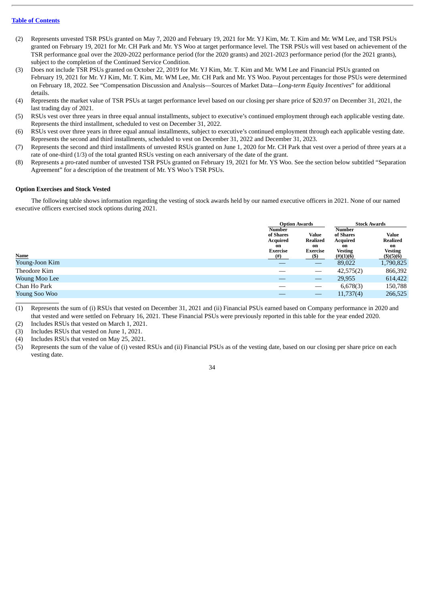- (2) Represents unvested TSR PSUs granted on May 7, 2020 and February 19, 2021 for Mr. YJ Kim, Mr. T. Kim and Mr. WM Lee, and TSR PSUs granted on February 19, 2021 for Mr. CH Park and Mr. YS Woo at target performance level. The TSR PSUs will vest based on achievement of the TSR performance goal over the 2020-2022 performance period (for the 2020 grants) and 2021-2023 performance period (for the 2021 grants), subject to the completion of the Continued Service Condition.
- (3) Does not include TSR PSUs granted on October 22, 2019 for Mr. YJ Kim, Mr. T. Kim and Mr. WM Lee and Financial PSUs granted on February 19, 2021 for Mr. YJ Kim, Mr. T. Kim, Mr. WM Lee, Mr. CH Park and Mr. YS Woo. Payout percentages for those PSUs were determined on February 18, 2022. See "Compensation Discussion and Analysis—Sources of Market Data*—Long-term Equity Incentives*" for additional details.
- (4) Represents the market value of TSR PSUs at target performance level based on our closing per share price of \$20.97 on December 31, 2021, the last trading day of 2021.
- (5) RSUs vest over three years in three equal annual installments, subject to executive's continued employment through each applicable vesting date. Represents the third installment, scheduled to vest on December 31, 2022.
- (6) RSUs vest over three years in three equal annual installments, subject to executive's continued employment through each applicable vesting date. Represents the second and third installments, scheduled to vest on December 31, 2022 and December 31, 2023.
- (7) Represents the second and third installments of unvested RSUs granted on June 1, 2020 for Mr. CH Park that vest over a period of three years at a rate of one-third (1/3) of the total granted RSUs vesting on each anniversary of the date of the grant.
- (8) Represents a pro-rated number of unvested TSR PSUs granted on February 19, 2021 for Mr. YS Woo. See the section below subtitled "Separation Agreement" for a description of the treatment of Mr. YS Woo's TSR PSUs.

# <span id="page-38-0"></span>**Option Exercises and Stock Vested**

The following table shows information regarding the vesting of stock awards held by our named executive officers in 2021. None of our named executive officers exercised stock options during 2021.

|                |                                                                    | <b>Option Awards</b>                       |                                                                                         | <b>Stock Awards</b>                                            |
|----------------|--------------------------------------------------------------------|--------------------------------------------|-----------------------------------------------------------------------------------------|----------------------------------------------------------------|
| Name           | <b>Number</b><br>of Shares<br>Acquired<br>on<br>Exercise<br>$(\#)$ | Value<br>Realized<br>on<br>Exercise<br>(S) | <b>Number</b><br>of Shares<br>Acquired<br>on<br><b>Vesting</b><br>$\frac{(\#)(1)(6)}{}$ | Value<br>Realized<br>on<br>Vesting<br>$($ \$ $)($ 5 $)($ 6 $)$ |
| Young-Joon Kim |                                                                    |                                            | 89,022                                                                                  | 1,790,825                                                      |
| Theodore Kim   |                                                                    |                                            | 42,575(2)                                                                               | 866,392                                                        |
| Woung Moo Lee  |                                                                    |                                            | 29,955                                                                                  | 614,422                                                        |
| Chan Ho Park   |                                                                    |                                            | 6,678(3)                                                                                | 150,788                                                        |
| Young Soo Woo  |                                                                    |                                            | 11,737(4)                                                                               | 266,525                                                        |

(1) Represents the sum of (i) RSUs that vested on December 31, 2021 and (ii) Financial PSUs earned based on Company performance in 2020 and that vested and were settled on February 16, 2021. These Financial PSUs were previously reported in this table for the year ended 2020.

(2) Includes RSUs that vested on March 1, 2021.

(3) Includes RSUs that vested on June 1, 2021.

(4) Includes RSUs that vested on May 25, 2021.

(5) Represents the sum of the value of (i) vested RSUs and (ii) Financial PSUs as of the vesting date, based on our closing per share price on each vesting date.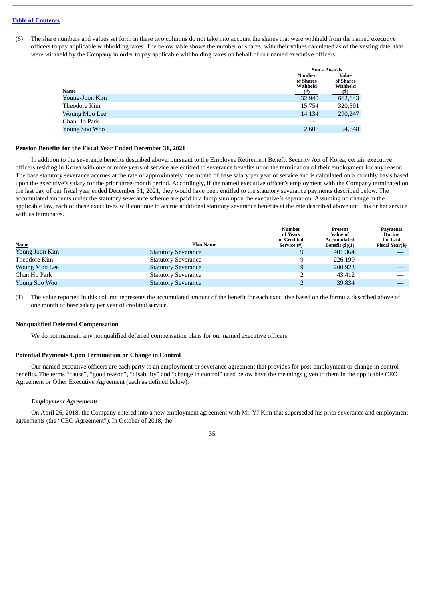(6) The share numbers and values set forth in these two columns do not take into account the shares that were withheld from the named executive officers to pay applicable withholding taxes. The below table shows the number of shares, with their values calculated as of the vesting date, that were withheld by the Company in order to pay applicable withholding taxes on behalf of our named executive officers:

|                | <b>Stock Awards</b>                                |                                       |
|----------------|----------------------------------------------------|---------------------------------------|
| <u>Name</u>    | <b>Number</b><br>of Shares<br>Withheld<br>$^{(#)}$ | Value<br>of Shares<br>Withheld<br>(S) |
| Young-Joon Kim | 32,940                                             | 662,643                               |
| Theodore Kim   | 15,754                                             | 320,591                               |
| Woung Moo Lee  | 14.134                                             | 290,247                               |
| Chan Ho Park   |                                                    |                                       |
| Young Soo Woo  | 2,606                                              | 54,648                                |
|                |                                                    |                                       |

# <span id="page-39-0"></span>**Pension Benefits for the Fiscal Year Ended December 31, 2021**

In addition to the severance benefits described above, pursuant to the Employee Retirement Benefit Security Act of Korea, certain executive officers residing in Korea with one or more years of service are entitled to severance benefits upon the termination of their employment for any reason. The base statutory severance accrues at the rate of approximately one month of base salary per year of service and is calculated on a monthly basis based upon the executive's salary for the prior three-month period. Accordingly, if the named executive officer's employment with the Company terminated on the last day of our fiscal year ended December 31, 2021, they would have been entitled to the statutory severance payments described below. The accumulated amounts under the statutory severance scheme are paid in a lump sum upon the executive's separation. Assuming no change in the applicable law, each of these executives will continue to accrue additional statutory severance benefits at the rate described above until his or her service with us terminates.

|                |                            | <b>Number</b><br>of Years  | Present<br>Value of              | <b>Payments</b><br><b>During</b>   |
|----------------|----------------------------|----------------------------|----------------------------------|------------------------------------|
| <b>Name</b>    | <b>Plan Name</b>           | of Credited<br>Service (#) | Accumulated<br>Benefit $(\$)(1)$ | the Last<br><b>Fiscal Year(\$)</b> |
| Young Joon Kim | <b>Statutory Severance</b> | 9                          | 401,364                          |                                    |
| Theodore Kim   | <b>Statutory Severance</b> | 9                          | 226,199                          |                                    |
| Woung Moo Lee  | <b>Statutory Severance</b> | 9                          | 200,923                          |                                    |
| Chan Ho Park   | <b>Statutory Severance</b> |                            | 43.412                           |                                    |
| Young Soo Woo  | <b>Statutory Severance</b> |                            | 39,834                           |                                    |

(1) The value reported in this column represents the accumulated amount of the benefit for each executive based on the formula described above of one month of base salary per year of credited service.

# <span id="page-39-1"></span>**Nonqualified Deferred Compensation**

We do not maintain any nonqualified deferred compensation plans for our named executive officers.

# <span id="page-39-2"></span>**Potential Payments Upon Termination or Change in Control**

Our named executive officers are each party to an employment or severance agreement that provides for post-employment or change in control benefits. The terms "cause", "good reason", "disability" and "change in control" used below have the meanings given to them in the applicable CEO Agreement or Other Executive Agreement (each as defined below).

# *Employment Agreements*

On April 26, 2018, the Company entered into a new employment agreement with Mr. YJ Kim that superseded his prior severance and employment agreements (the "CEO Agreement"). In October of 2018, the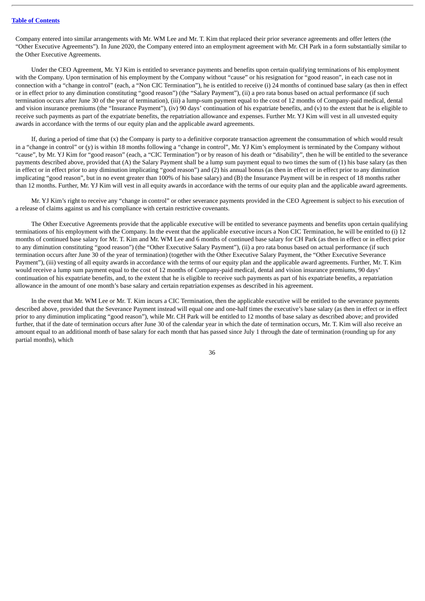Company entered into similar arrangements with Mr. WM Lee and Mr. T. Kim that replaced their prior severance agreements and offer letters (the "Other Executive Agreements"). In June 2020, the Company entered into an employment agreement with Mr. CH Park in a form substantially similar to the Other Executive Agreements.

Under the CEO Agreement, Mr. YJ Kim is entitled to severance payments and benefits upon certain qualifying terminations of his employment with the Company. Upon termination of his employment by the Company without "cause" or his resignation for "good reason", in each case not in connection with a "change in control" (each, a "Non CIC Termination"), he is entitled to receive (i) 24 months of continued base salary (as then in effect or in effect prior to any diminution constituting "good reason") (the "Salary Payment"), (ii) a pro rata bonus based on actual performance (if such termination occurs after June 30 of the year of termination), (iii) a lump-sum payment equal to the cost of 12 months of Company-paid medical, dental and vision insurance premiums (the "Insurance Payment"), (iv) 90 days' continuation of his expatriate benefits, and (v) to the extent that he is eligible to receive such payments as part of the expatriate benefits, the repatriation allowance and expenses. Further Mr. YJ Kim will vest in all unvested equity awards in accordance with the terms of our equity plan and the applicable award agreements.

If, during a period of time that (x) the Company is party to a definitive corporate transaction agreement the consummation of which would result in a "change in control" or (y) is within 18 months following a "change in control", Mr. YJ Kim's employment is terminated by the Company without "cause", by Mr. YJ Kim for "good reason" (each, a "CIC Termination") or by reason of his death or "disability", then he will be entitled to the severance payments described above, provided that (A) the Salary Payment shall be a lump sum payment equal to two times the sum of (1) his base salary (as then in effect or in effect prior to any diminution implicating "good reason") and (2) his annual bonus (as then in effect or in effect prior to any diminution implicating "good reason", but in no event greater than 100% of his base salary) and (B) the Insurance Payment will be in respect of 18 months rather than 12 months. Further, Mr. YJ Kim will vest in all equity awards in accordance with the terms of our equity plan and the applicable award agreements.

Mr. YJ Kim's right to receive any "change in control" or other severance payments provided in the CEO Agreement is subject to his execution of a release of claims against us and his compliance with certain restrictive covenants.

The Other Executive Agreements provide that the applicable executive will be entitled to severance payments and benefits upon certain qualifying terminations of his employment with the Company. In the event that the applicable executive incurs a Non CIC Termination, he will be entitled to (i) 12 months of continued base salary for Mr. T. Kim and Mr. WM Lee and 6 months of continued base salary for CH Park (as then in effect or in effect prior to any diminution constituting "good reason") (the "Other Executive Salary Payment"), (ii) a pro rata bonus based on actual performance (if such termination occurs after June 30 of the year of termination) (together with the Other Executive Salary Payment, the "Other Executive Severance Payment"), (iii) vesting of all equity awards in accordance with the terms of our equity plan and the applicable award agreements. Further, Mr. T. Kim would receive a lump sum payment equal to the cost of 12 months of Company-paid medical, dental and vision insurance premiums, 90 days' continuation of his expatriate benefits, and, to the extent that he is eligible to receive such payments as part of his expatriate benefits, a repatriation allowance in the amount of one month's base salary and certain repatriation expenses as described in his agreement.

In the event that Mr. WM Lee or Mr. T. Kim incurs a CIC Termination, then the applicable executive will be entitled to the severance payments described above, provided that the Severance Payment instead will equal one and one-half times the executive's base salary (as then in effect or in effect prior to any diminution implicating "good reason"), while Mr. CH Park will be entitled to 12 months of base salary as described above; and provided further, that if the date of termination occurs after June 30 of the calendar year in which the date of termination occurs, Mr. T. Kim will also receive an amount equal to an additional month of base salary for each month that has passed since July 1 through the date of termination (rounding up for any partial months), which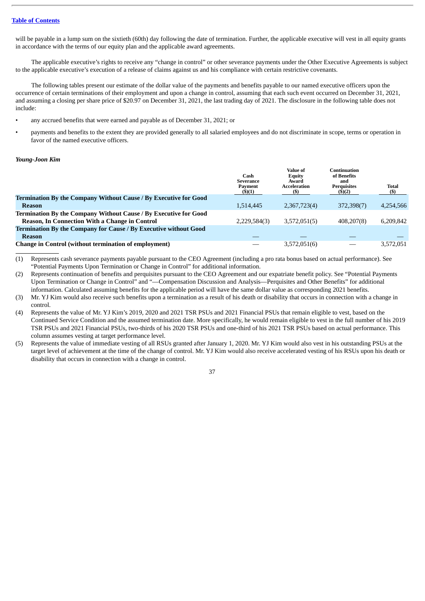will be payable in a lump sum on the sixtieth (60th) day following the date of termination. Further, the applicable executive will vest in all equity grants in accordance with the terms of our equity plan and the applicable award agreements.

The applicable executive's rights to receive any "change in control" or other severance payments under the Other Executive Agreements is subject to the applicable executive's execution of a release of claims against us and his compliance with certain restrictive covenants.

The following tables present our estimate of the dollar value of the payments and benefits payable to our named executive officers upon the occurrence of certain terminations of their employment and upon a change in control, assuming that each such event occurred on December 31, 2021, and assuming a closing per share price of \$20.97 on December 31, 2021, the last trading day of 2021. The disclosure in the following table does not include:

- any accrued benefits that were earned and payable as of December 31, 2021; or
- payments and benefits to the extent they are provided generally to all salaried employees and do not discriminate in scope, terms or operation in favor of the named executive officers.

# *Young-Joon Kim*

|                                                                         | Cash<br>Severance<br>Payment<br>(5)(1) | Value of<br><b>Equity</b><br>Award<br>Acceleration<br>(\$) | Continuation<br>of Benefits<br>and<br><b>Perquisites</b><br>(5)(2) | <b>Total</b><br>$($ \$ |
|-------------------------------------------------------------------------|----------------------------------------|------------------------------------------------------------|--------------------------------------------------------------------|------------------------|
| <b>Termination By the Company Without Cause / By Executive for Good</b> |                                        |                                                            |                                                                    |                        |
| <b>Reason</b>                                                           | 1,514,445                              | 2,367,723(4)                                               | 372,398(7)                                                         | 4,254,566              |
| <b>Termination By the Company Without Cause / By Executive for Good</b> |                                        |                                                            |                                                                    |                        |
| <b>Reason, In Connection With a Change in Control</b>                   | 2,229,584(3)                           | 3,572,051(5)                                               | 408,207(8)                                                         | 6.209.842              |
| Termination By the Company for Cause / By Executive without Good        |                                        |                                                            |                                                                    |                        |
| <b>Reason</b>                                                           |                                        |                                                            |                                                                    |                        |
| <b>Change in Control (without termination of employment)</b>            |                                        | 3,572,051(6)                                               |                                                                    | 3,572,051              |

(1) Represents cash severance payments payable pursuant to the CEO Agreement (including a pro rata bonus based on actual performance). See "Potential Payments Upon Termination or Change in Control" for additional information.

(2) Represents continuation of benefits and perquisites pursuant to the CEO Agreement and our expatriate benefit policy. See "Potential Payments Upon Termination or Change in Control" and "—Compensation Discussion and Analysis—Perquisites and Other Benefits" for additional information. Calculated assuming benefits for the applicable period will have the same dollar value as corresponding 2021 benefits.

(3) Mr. YJ Kim would also receive such benefits upon a termination as a result of his death or disability that occurs in connection with a change in control.

- (4) Represents the value of Mr. YJ Kim's 2019, 2020 and 2021 TSR PSUs and 2021 Financial PSUs that remain eligible to vest, based on the Continued Service Condition and the assumed termination date. More specifically, he would remain eligible to vest in the full number of his 2019 TSR PSUs and 2021 Financial PSUs, two-thirds of his 2020 TSR PSUs and one-third of his 2021 TSR PSUs based on actual performance. This column assumes vesting at target performance level.
- (5) Represents the value of immediate vesting of all RSUs granted after January 1, 2020. Mr. YJ Kim would also vest in his outstanding PSUs at the target level of achievement at the time of the change of control. Mr. YJ Kim would also receive accelerated vesting of his RSUs upon his death or disability that occurs in connection with a change in control.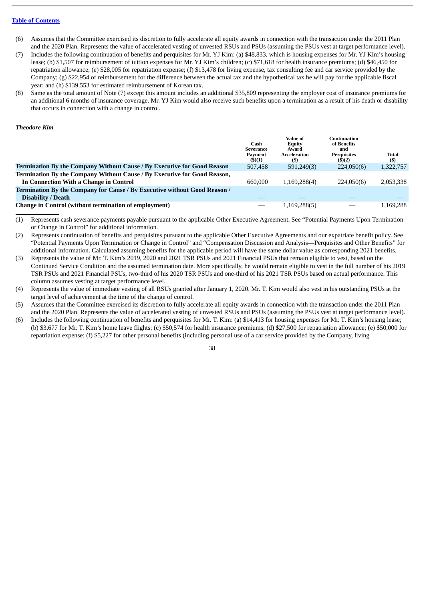- (6) Assumes that the Committee exercised its discretion to fully accelerate all equity awards in connection with the transaction under the 2011 Plan and the 2020 Plan. Represents the value of accelerated vesting of unvested RSUs and PSUs (assuming the PSUs vest at target performance level).
- (7) Includes the following continuation of benefits and perquisites for Mr. YJ Kim: (a) \$48,833, which is housing expenses for Mr. YJ Kim's housing lease; (b) \$1,507 for reimbursement of tuition expenses for Mr. YJ Kim's children; (c) \$71,618 for health insurance premiums; (d) \$46,450 for repatriation allowance; (e) \$28,005 for repatriation expense; (f) \$13,478 for living expense, tax consulting fee and car service provided by the Company; (g) \$22,954 of reimbursement for the difference between the actual tax and the hypothetical tax he will pay for the applicable fiscal year; and (h) \$139,553 for estimated reimbursement of Korean tax.
- (8) Same as the total amount of Note (7) except this amount includes an additional \$35,809 representing the employer cost of insurance premiums for an additional 6 months of insurance coverage. Mr. YJ Kim would also receive such benefits upon a termination as a result of his death or disability that occurs in connection with a change in control.

# *Theodore Kim*

|                                                                           | Cash<br><b>Severance</b><br>Payment<br>$($ \$)(1) | Value of<br><b>Equity</b><br>Award<br>Acceleration | Continuation<br>of Benefits<br>and<br><b>Perquisites</b><br>(5)(2) | <b>Total</b><br>$($)$ |
|---------------------------------------------------------------------------|---------------------------------------------------|----------------------------------------------------|--------------------------------------------------------------------|-----------------------|
| Termination By the Company Without Cause / By Executive for Good Reason   | 507,458                                           | 591,249(3)                                         | 224,050(6)                                                         | 1,322,757             |
| Termination By the Company Without Cause / By Executive for Good Reason,  |                                                   |                                                    |                                                                    |                       |
| In Connection With a Change in Control                                    | 660,000                                           | 1,169,288(4)                                       | 224,050(6)                                                         | 2,053,338             |
| Termination By the Company for Cause / By Executive without Good Reason / |                                                   |                                                    |                                                                    |                       |
| <b>Disability / Death</b>                                                 |                                                   |                                                    |                                                                    |                       |
| <b>Change in Control (without termination of employment)</b>              |                                                   | 1,169,288(5)                                       |                                                                    | 1.169.288             |

(1) Represents cash severance payments payable pursuant to the applicable Other Executive Agreement. See "Potential Payments Upon Termination or Change in Control" for additional information.

- (2) Represents continuation of benefits and perquisites pursuant to the applicable Other Executive Agreements and our expatriate benefit policy. See "Potential Payments Upon Termination or Change in Control" and "Compensation Discussion and Analysis—Perquisites and Other Benefits" for additional information. Calculated assuming benefits for the applicable period will have the same dollar value as corresponding 2021 benefits.
- (3) Represents the value of Mr. T. Kim's 2019, 2020 and 2021 TSR PSUs and 2021 Financial PSUs that remain eligible to vest, based on the Continued Service Condition and the assumed termination date. More specifically, he would remain eligible to vest in the full number of his 2019 TSR PSUs and 2021 Financial PSUs, two-third of his 2020 TSR PSUs and one-third of his 2021 TSR PSUs based on actual performance. This column assumes vesting at target performance level.
- (4) Represents the value of immediate vesting of all RSUs granted after January 1, 2020. Mr. T. Kim would also vest in his outstanding PSUs at the target level of achievement at the time of the change of control.
- (5) Assumes that the Committee exercised its discretion to fully accelerate all equity awards in connection with the transaction under the 2011 Plan and the 2020 Plan. Represents the value of accelerated vesting of unvested RSUs and PSUs (assuming the PSUs vest at target performance level).
- (6) Includes the following continuation of benefits and perquisites for Mr. T. Kim: (a) \$14,413 for housing expenses for Mr. T. Kim's housing lease; (b) \$3,677 for Mr. T. Kim's home leave flights; (c) \$50,574 for health insurance premiums; (d) \$27,500 for repatriation allowance; (e) \$50,000 for repatriation expense; (f) \$5,227 for other personal benefits (including personal use of a car service provided by the Company, living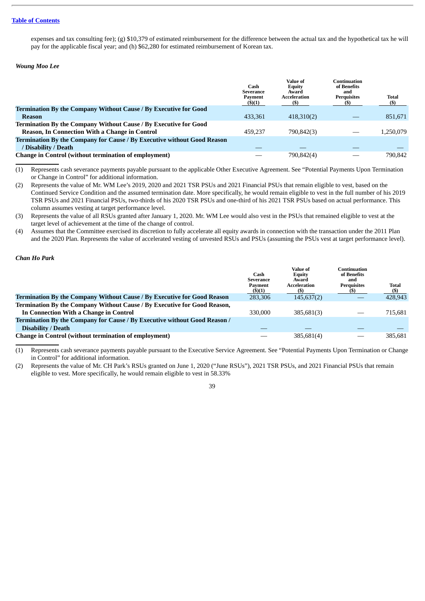expenses and tax consulting fee); (g) \$10,379 of estimated reimbursement for the difference between the actual tax and the hypothetical tax he will pay for the applicable fiscal year; and (h) \$62,280 for estimated reimbursement of Korean tax.

# *Woung Moo Lee*

|                                                                                | Cash<br>Severance<br>Payment<br>$($ \$)(1) | <b>Value of</b><br><b>Equity</b><br>Award<br>Acceleration | Continuation<br>of Benefits<br>and<br><b>Perquisites</b> | Total<br>(\$) |
|--------------------------------------------------------------------------------|--------------------------------------------|-----------------------------------------------------------|----------------------------------------------------------|---------------|
| Termination By the Company Without Cause / By Executive for Good               |                                            |                                                           |                                                          |               |
| Reason                                                                         | 433.361                                    | 418,310(2)                                                |                                                          | 851,671       |
| Termination By the Company Without Cause / By Executive for Good               |                                            |                                                           |                                                          |               |
| <b>Reason, In Connection With a Change in Control</b>                          | 459.237                                    | 790,842(3)                                                |                                                          | 1.250.079     |
| <b>Termination By the Company for Cause / By Executive without Good Reason</b> |                                            |                                                           |                                                          |               |
| / Disability / Death                                                           |                                            |                                                           |                                                          |               |
| <b>Change in Control (without termination of employment)</b>                   |                                            | 790,842(4)                                                |                                                          | 790.842       |

(1) Represents cash severance payments payable pursuant to the applicable Other Executive Agreement. See "Potential Payments Upon Termination or Change in Control" for additional information.

(2) Represents the value of Mr. WM Lee's 2019, 2020 and 2021 TSR PSUs and 2021 Financial PSUs that remain eligible to vest, based on the Continued Service Condition and the assumed termination date. More specifically, he would remain eligible to vest in the full number of his 2019 TSR PSUs and 2021 Financial PSUs, two-thirds of his 2020 TSR PSUs and one-third of his 2021 TSR PSUs based on actual performance. This column assumes vesting at target performance level.

(3) Represents the value of all RSUs granted after January 1, 2020. Mr. WM Lee would also vest in the PSUs that remained eligible to vest at the target level of achievement at the time of the change of control.

(4) Assumes that the Committee exercised its discretion to fully accelerate all equity awards in connection with the transaction under the 2011 Plan and the 2020 Plan. Represents the value of accelerated vesting of unvested RSUs and PSUs (assuming the PSUs vest at target performance level).

# *Chan Ho Park*

|                                                                                | Cash<br>Severance<br>Payment<br>$($ \$ $)(1)$ | Value of<br><b>Equity</b><br>Award<br>Acceleration<br>(S) | Continuation<br>of Benefits<br>and<br><b>Perquisites</b><br>(S) | <b>Total</b><br>$($)$ |
|--------------------------------------------------------------------------------|-----------------------------------------------|-----------------------------------------------------------|-----------------------------------------------------------------|-----------------------|
| <b>Termination By the Company Without Cause / By Executive for Good Reason</b> | 283,306                                       | 145,637(2)                                                |                                                                 | 428,943               |
| Termination By the Company Without Cause / By Executive for Good Reason,       |                                               |                                                           |                                                                 |                       |
| In Connection With a Change in Control                                         | 330,000                                       | 385,681(3)                                                | _                                                               | 715.681               |
| Termination By the Company for Cause / By Executive without Good Reason /      |                                               |                                                           |                                                                 |                       |
| <b>Disability / Death</b>                                                      |                                               |                                                           |                                                                 |                       |
| <b>Change in Control (without termination of employment)</b>                   |                                               | 385,681(4)                                                |                                                                 | 385.681               |

(1) Represents cash severance payments payable pursuant to the Executive Service Agreement. See "Potential Payments Upon Termination or Change in Control" for additional information.

(2) Represents the value of Mr. CH Park's RSUs granted on June 1, 2020 ("June RSUs"), 2021 TSR PSUs, and 2021 Financial PSUs that remain eligible to vest. More specifically, he would remain eligible to vest in 58.33%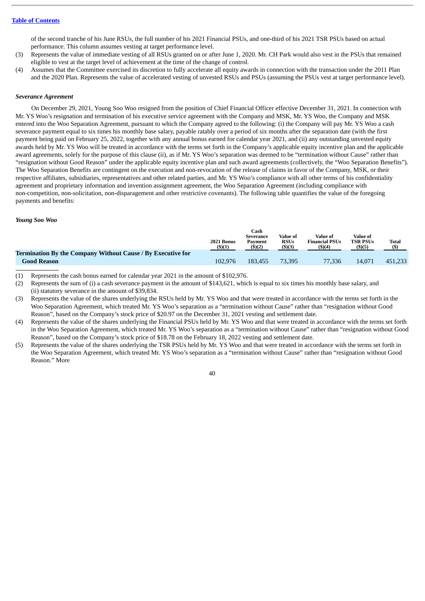of the second tranche of his June RSUs, the full number of his 2021 Financial PSUs, and one-third of his 2021 TSR PSUs based on actual performance. This column assumes vesting at target performance level.

- (3) Represents the value of immediate vesting of all RSUs granted on or after June 1, 2020. Mr. CH Park would also vest in the PSUs that remained eligible to vest at the target level of achievement at the time of the change of control.
- (4) Assumes that the Committee exercised its discretion to fully accelerate all equity awards in connection with the transaction under the 2011 Plan and the 2020 Plan. Represents the value of accelerated vesting of unvested RSUs and PSUs (assuming the PSUs vest at target performance level).

# *Severance Agreement*

On December 29, 2021, Young Soo Woo resigned from the position of Chief Financial Officer effective December 31, 2021. In connection with Mr. YS Woo's resignation and termination of his executive service agreement with the Company and MSK, Mr. YS Woo, the Company and MSK entered into the Woo Separation Agreement, pursuant to which the Company agreed to the following: (i) the Company will pay Mr. YS Woo a cash severance payment equal to six times his monthly base salary, payable ratably over a period of six months after the separation date (with the first payment being paid on February 25, 2022, together with any annual bonus earned for calendar year 2021, and (ii) any outstanding unvested equity awards held by Mr. YS Woo will be treated in accordance with the terms set forth in the Company's applicable equity incentive plan and the applicable award agreements, solely for the purpose of this clause (ii), as if Mr. YS Woo's separation was deemed to be "termination without Cause" rather than "resignation without Good Reason" under the applicable equity incentive plan and such award agreements (collectively, the "Woo Separation Benefits"). The Woo Separation Benefits are contingent on the execution and non-revocation of the release of claims in favor of the Company, MSK, or their respective affiliates, subsidiaries, representatives and other related parties, and Mr. YS Woo's compliance with all other terms of his confidentiality agreement and proprietary information and invention assignment agreement, the Woo Separation Agreement (including compliance with non-competition, non-solicitation, non-disparagement and other restrictive covenants). The following table quantifies the value of the foregoing payments and benefits:

## *Young Soo Woo*

|                                                             | 2021 Bonus<br>$($ \$) $(1)$ | Cash<br>Severance<br>Payment<br>(5)(2) | Value of<br><b>RSUs</b><br>$($ \$)(3) | Value of<br><b>Financial PSUs</b><br>$($ \$) $(4)$ | Value of<br><b>TSR PSUs</b><br>\$)(5) | Total<br>(5) |
|-------------------------------------------------------------|-----------------------------|----------------------------------------|---------------------------------------|----------------------------------------------------|---------------------------------------|--------------|
| Termination By the Company Without Cause / By Executive for |                             |                                        |                                       |                                                    |                                       |              |
| <b>Good Reason</b>                                          | 102.976                     | 183.455                                | 73.395                                | 77.336                                             | 14.071                                | 451.233      |

(1) Represents the cash bonus earned for calendar year 2021 in the amount of \$102,976.

- (2) Represents the sum of (i) a cash severance payment in the amount of \$143,621, which is equal to six times his monthly base salary, and (ii) statutory severance in the amount of \$39,834.
- (3) Represents the value of the shares underlying the RSUs held by Mr. YS Woo and that were treated in accordance with the terms set forth in the Woo Separation Agreement, which treated Mr. YS Woo's separation as a "termination without Cause" rather than "resignation without Good Reason", based on the Company's stock price of \$20.97 on the December 31, 2021 vesting and settlement date.
- (4) Represents the value of the shares underlying the Financial PSUs held by Mr. YS Woo and that were treated in accordance with the terms set forth in the Woo Separation Agreement, which treated Mr. YS Woo's separation as a "termination without Cause" rather than "resignation without Good Reason", based on the Company's stock price of \$18.78 on the February 18, 2022 vesting and settlement date.
- (5) Represents the value of the shares underlying the TSR PSUs held by Mr. YS Woo and that were treated in accordance with the terms set forth in the Woo Separation Agreement, which treated Mr. YS Woo's separation as a "termination without Cause" rather than "resignation without Good Reason." More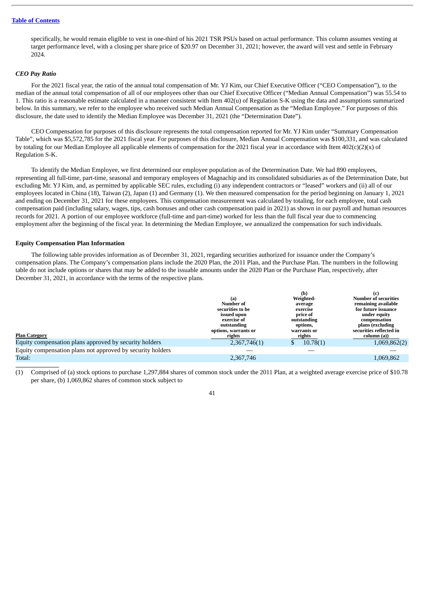specifically, he would remain eligible to vest in one-third of his 2021 TSR PSUs based on actual performance. This column assumes vesting at target performance level, with a closing per share price of \$20.97 on December 31, 2021; however, the award will vest and settle in February 2024.

# *CEO Pay Ratio*

For the 2021 fiscal year, the ratio of the annual total compensation of Mr. YJ Kim, our Chief Executive Officer ("CEO Compensation"), to the median of the annual total compensation of all of our employees other than our Chief Executive Officer ("Median Annual Compensation") was 55.54 to 1. This ratio is a reasonable estimate calculated in a manner consistent with Item 402(u) of Regulation S-K using the data and assumptions summarized below. In this summary, we refer to the employee who received such Median Annual Compensation as the "Median Employee." For purposes of this disclosure, the date used to identify the Median Employee was December 31, 2021 (the "Determination Date").

CEO Compensation for purposes of this disclosure represents the total compensation reported for Mr. YJ Kim under "Summary Compensation Table", which was \$5,572,785 for the 2021 fiscal year. For purposes of this disclosure, Median Annual Compensation was \$100,331, and was calculated by totaling for our Median Employee all applicable elements of compensation for the 2021 fiscal year in accordance with Item  $402(c)(2)(x)$  of Regulation S-K.

To identify the Median Employee, we first determined our employee population as of the Determination Date. We had 890 employees, representing all full-time, part-time, seasonal and temporary employees of Magnachip and its consolidated subsidiaries as of the Determination Date, but excluding Mr. YJ Kim, and, as permitted by applicable SEC rules, excluding (i) any independent contractors or "leased" workers and (ii) all of our employees located in China (18), Taiwan (2), Japan (1) and Germany (1). We then measured compensation for the period beginning on January 1, 2021 and ending on December 31, 2021 for these employees. This compensation measurement was calculated by totaling, for each employee, total cash compensation paid (including salary, wages, tips, cash bonuses and other cash compensation paid in 2021) as shown in our payroll and human resources records for 2021. A portion of our employee workforce (full-time and part-time) worked for less than the full fiscal year due to commencing employment after the beginning of the fiscal year. In determining the Median Employee, we annualized the compensation for such individuals.

#### <span id="page-45-0"></span>**Equity Compensation Plan Information**

The following table provides information as of December 31, 2021, regarding securities authorized for issuance under the Company's compensation plans. The Company's compensation plans include the 2020 Plan, the 2011 Plan, and the Purchase Plan. The numbers in the following table do not include options or shares that may be added to the issuable amounts under the 2020 Plan or the Purchase Plan, respectively, after December 31, 2021, in accordance with the terms of the respective plans.

| <b>Plan Category</b>                                       | (a)<br>Number of<br>securities to be<br>issued upon<br>exercise of<br>outstanding<br>options, warrants or<br>rights | (D)<br>Weighted-<br>average<br>exercise<br>price of<br>outstanding<br>options,<br>warrants or<br>rights | <b>Number of securities</b><br>remaining available<br>for future issuance<br>under equity<br>compensation<br>plans (excluding<br>securities reflected in<br>column (a)) |
|------------------------------------------------------------|---------------------------------------------------------------------------------------------------------------------|---------------------------------------------------------------------------------------------------------|-------------------------------------------------------------------------------------------------------------------------------------------------------------------------|
| Equity compensation plans approved by security holders     | 2,367,746(1)                                                                                                        | 10.78(1)                                                                                                | 1,069,862(2)                                                                                                                                                            |
| Equity compensation plans not approved by security holders |                                                                                                                     |                                                                                                         |                                                                                                                                                                         |
| Total:                                                     | 2,367,746                                                                                                           |                                                                                                         | 1,069,862                                                                                                                                                               |
|                                                            |                                                                                                                     |                                                                                                         |                                                                                                                                                                         |

 $\mathbf{a}$ 

**(c)**

(1) Comprised of (a) stock options to purchase 1,297,884 shares of common stock under the 2011 Plan, at a weighted average exercise price of \$10.78 per share, (b) 1,069,862 shares of common stock subject to

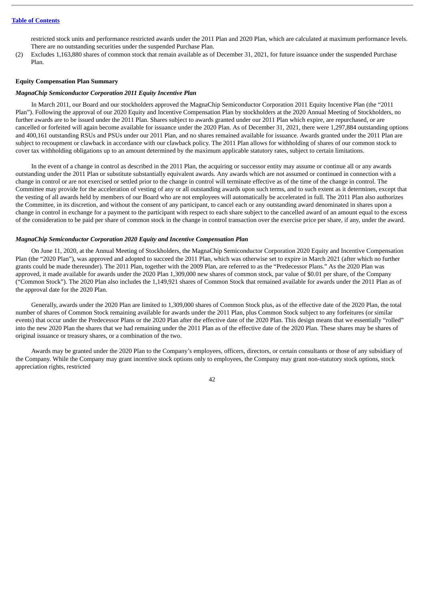restricted stock units and performance restricted awards under the 2011 Plan and 2020 Plan, which are calculated at maximum performance levels. There are no outstanding securities under the suspended Purchase Plan.

(2) Excludes 1,163,880 shares of common stock that remain available as of December 31, 2021, for future issuance under the suspended Purchase Plan.

# <span id="page-46-0"></span>**Equity Compensation Plan Summary**

# *MagnaChip Semiconductor Corporation 2011 Equity Incentive Plan*

In March 2011, our Board and our stockholders approved the MagnaChip Semiconductor Corporation 2011 Equity Incentive Plan (the "2011 Plan"). Following the approval of our 2020 Equity and Incentive Compensation Plan by stockholders at the 2020 Annual Meeting of Stockholders, no further awards are to be issued under the 2011 Plan. Shares subject to awards granted under our 2011 Plan which expire, are repurchased, or are cancelled or forfeited will again become available for issuance under the 2020 Plan. As of December 31, 2021, there were 1,297,884 outstanding options and 400,161 outstanding RSUs and PSUs under our 2011 Plan, and no shares remained available for issuance. Awards granted under the 2011 Plan are subject to recoupment or clawback in accordance with our clawback policy. The 2011 Plan allows for withholding of shares of our common stock to cover tax withholding obligations up to an amount determined by the maximum applicable statutory rates, subject to certain limitations.

In the event of a change in control as described in the 2011 Plan, the acquiring or successor entity may assume or continue all or any awards outstanding under the 2011 Plan or substitute substantially equivalent awards. Any awards which are not assumed or continued in connection with a change in control or are not exercised or settled prior to the change in control will terminate effective as of the time of the change in control. The Committee may provide for the acceleration of vesting of any or all outstanding awards upon such terms, and to such extent as it determines, except that the vesting of all awards held by members of our Board who are not employees will automatically be accelerated in full. The 2011 Plan also authorizes the Committee, in its discretion, and without the consent of any participant, to cancel each or any outstanding award denominated in shares upon a change in control in exchange for a payment to the participant with respect to each share subject to the cancelled award of an amount equal to the excess of the consideration to be paid per share of common stock in the change in control transaction over the exercise price per share, if any, under the award.

# *MagnaChip Semiconductor Corporation 2020 Equity and Incentive Compensation Plan*

On June 11, 2020, at the Annual Meeting of Stockholders, the MagnaChip Semiconductor Corporation 2020 Equity and Incentive Compensation Plan (the "2020 Plan"), was approved and adopted to succeed the 2011 Plan, which was otherwise set to expire in March 2021 (after which no further grants could be made thereunder). The 2011 Plan, together with the 2009 Plan, are referred to as the "Predecessor Plans." As the 2020 Plan was approved, it made available for awards under the 2020 Plan 1,309,000 new shares of common stock, par value of \$0.01 per share, of the Company ("Common Stock"). The 2020 Plan also includes the 1,149,921 shares of Common Stock that remained available for awards under the 2011 Plan as of the approval date for the 2020 Plan.

Generally, awards under the 2020 Plan are limited to 1,309,000 shares of Common Stock plus, as of the effective date of the 2020 Plan, the total number of shares of Common Stock remaining available for awards under the 2011 Plan, plus Common Stock subject to any forfeitures (or similar events) that occur under the Predecessor Plans or the 2020 Plan after the effective date of the 2020 Plan. This design means that we essentially "rolled" into the new 2020 Plan the shares that we had remaining under the 2011 Plan as of the effective date of the 2020 Plan. These shares may be shares of original issuance or treasury shares, or a combination of the two.

Awards may be granted under the 2020 Plan to the Company's employees, officers, directors, or certain consultants or those of any subsidiary of the Company. While the Company may grant incentive stock options only to employees, the Company may grant non-statutory stock options, stock appreciation rights, restricted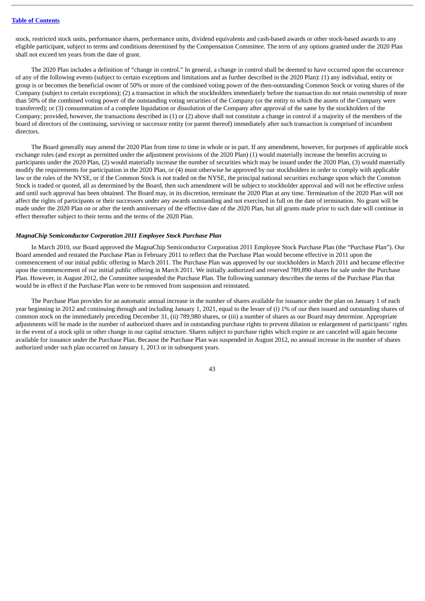stock, restricted stock units, performance shares, performance units, dividend equivalents and cash-based awards or other stock-based awards to any eligible participant, subject to terms and conditions determined by the Compensation Committee. The term of any options granted under the 2020 Plan shall not exceed ten years from the date of grant.

The 2020 Plan includes a definition of "change in control." In general, a change in control shall be deemed to have occurred upon the occurrence of any of the following events (subject to certain exceptions and limitations and as further described in the 2020 Plan): (1) any individual, entity or group is or becomes the beneficial owner of 50% or more of the combined voting power of the then-outstanding Common Stock or voting shares of the Company (subject to certain exceptions); (2) a transaction in which the stockholders immediately before the transaction do not retain ownership of more than 50% of the combined voting power of the outstanding voting securities of the Company (or the entity to which the assets of the Company were transferred); or (3) consummation of a complete liquidation or dissolution of the Company after approval of the same by the stockholders of the Company; provided, however, the transactions described in (1) or (2) above shall not constitute a change in control if a majority of the members of the board of directors of the continuing, surviving or successor entity (or parent thereof) immediately after such transaction is comprised of incumbent directors.

The Board generally may amend the 2020 Plan from time to time in whole or in part. If any amendment, however, for purposes of applicable stock exchange rules (and except as permitted under the adjustment provisions of the 2020 Plan) (1) would materially increase the benefits accruing to participants under the 2020 Plan, (2) would materially increase the number of securities which may be issued under the 2020 Plan, (3) would materially modify the requirements for participation in the 2020 Plan, or (4) must otherwise be approved by our stockholders in order to comply with applicable law or the rules of the NYSE, or if the Common Stock is not traded on the NYSE, the principal national securities exchange upon which the Common Stock is traded or quoted, all as determined by the Board, then such amendment will be subject to stockholder approval and will not be effective unless and until such approval has been obtained. The Board may, in its discretion, terminate the 2020 Plan at any time. Termination of the 2020 Plan will not affect the rights of participants or their successors under any awards outstanding and not exercised in full on the date of termination. No grant will be made under the 2020 Plan on or after the tenth anniversary of the effective date of the 2020 Plan, but all grants made prior to such date will continue in effect thereafter subject to their terms and the terms of the 2020 Plan.

# *MagnaChip Semiconductor Corporation 2011 Employee Stock Purchase Plan*

In March 2010, our Board approved the MagnaChip Semiconductor Corporation 2011 Employee Stock Purchase Plan (the "Purchase Plan"). Our Board amended and restated the Purchase Plan in February 2011 to reflect that the Purchase Plan would become effective in 2011 upon the commencement of our initial public offering in March 2011. The Purchase Plan was approved by our stockholders in March 2011 and became effective upon the commencement of our initial public offering in March 2011. We initially authorized and reserved 789,890 shares for sale under the Purchase Plan. However, in August 2012, the Committee suspended the Purchase Plan. The following summary describes the terms of the Purchase Plan that would be in effect if the Purchase Plan were to be removed from suspension and reinstated.

The Purchase Plan provides for an automatic annual increase in the number of shares available for issuance under the plan on January 1 of each year beginning in 2012 and continuing through and including January 1, 2021, equal to the lesser of (i) 1% of our then issued and outstanding shares of common stock on the immediately preceding December 31, (ii) 789,980 shares, or (iii) a number of shares as our Board may determine. Appropriate adjustments will be made in the number of authorized shares and in outstanding purchase rights to prevent dilution or enlargement of participants' rights in the event of a stock split or other change in our capital structure. Shares subject to purchase rights which expire or are canceled will again become available for issuance under the Purchase Plan. Because the Purchase Plan was suspended in August 2012, no annual increase in the number of shares authorized under such plan occurred on January 1, 2013 or in subsequent years.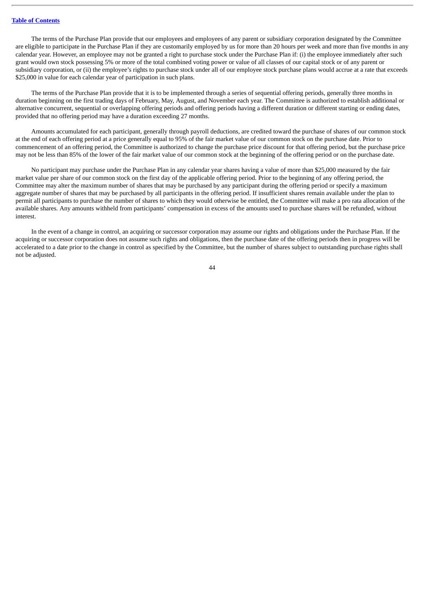The terms of the Purchase Plan provide that our employees and employees of any parent or subsidiary corporation designated by the Committee are eligible to participate in the Purchase Plan if they are customarily employed by us for more than 20 hours per week and more than five months in any calendar year. However, an employee may not be granted a right to purchase stock under the Purchase Plan if: (i) the employee immediately after such grant would own stock possessing 5% or more of the total combined voting power or value of all classes of our capital stock or of any parent or subsidiary corporation, or (ii) the employee's rights to purchase stock under all of our employee stock purchase plans would accrue at a rate that exceeds \$25,000 in value for each calendar year of participation in such plans.

The terms of the Purchase Plan provide that it is to be implemented through a series of sequential offering periods, generally three months in duration beginning on the first trading days of February, May, August, and November each year. The Committee is authorized to establish additional or alternative concurrent, sequential or overlapping offering periods and offering periods having a different duration or different starting or ending dates, provided that no offering period may have a duration exceeding 27 months.

Amounts accumulated for each participant, generally through payroll deductions, are credited toward the purchase of shares of our common stock at the end of each offering period at a price generally equal to 95% of the fair market value of our common stock on the purchase date. Prior to commencement of an offering period, the Committee is authorized to change the purchase price discount for that offering period, but the purchase price may not be less than 85% of the lower of the fair market value of our common stock at the beginning of the offering period or on the purchase date.

No participant may purchase under the Purchase Plan in any calendar year shares having a value of more than \$25,000 measured by the fair market value per share of our common stock on the first day of the applicable offering period. Prior to the beginning of any offering period, the Committee may alter the maximum number of shares that may be purchased by any participant during the offering period or specify a maximum aggregate number of shares that may be purchased by all participants in the offering period. If insufficient shares remain available under the plan to permit all participants to purchase the number of shares to which they would otherwise be entitled, the Committee will make a pro rata allocation of the available shares. Any amounts withheld from participants' compensation in excess of the amounts used to purchase shares will be refunded, without interest.

In the event of a change in control, an acquiring or successor corporation may assume our rights and obligations under the Purchase Plan. If the acquiring or successor corporation does not assume such rights and obligations, then the purchase date of the offering periods then in progress will be accelerated to a date prior to the change in control as specified by the Committee, but the number of shares subject to outstanding purchase rights shall not be adjusted.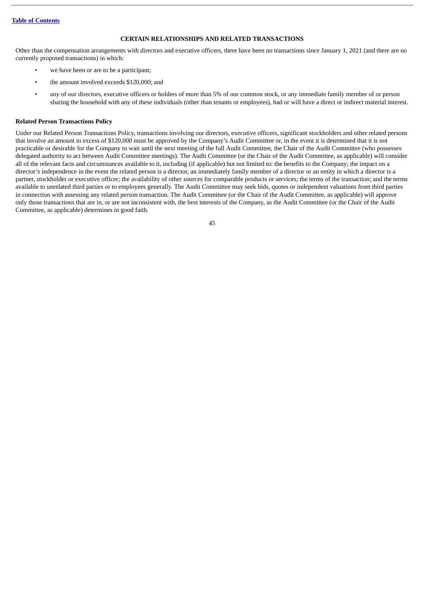# **CERTAIN RELATIONSHIPS AND RELATED TRANSACTIONS**

<span id="page-49-0"></span>Other than the compensation arrangements with directors and executive officers, there have been no transactions since January 1, 2021 (and there are no currently proposed transactions) in which:

- we have been or are to be a participant:
- the amount involved exceeds \$120,000; and
- any of our directors, executive officers or holders of more than 5% of our common stock, or any immediate family member of or person sharing the household with any of these individuals (other than tenants or employees), had or will have a direct or indirect material interest.

# <span id="page-49-1"></span>**Related Person Transactions Policy**

Under our Related Person Transactions Policy, transactions involving our directors, executive officers, significant stockholders and other related persons that involve an amount in excess of \$120,000 must be approved by the Company's Audit Committee or, in the event it is determined that it is not practicable or desirable for the Company to wait until the next meeting of the full Audit Committee, the Chair of the Audit Committee (who possesses delegated authority to act between Audit Committee meetings). The Audit Committee (or the Chair of the Audit Committee, as applicable) will consider all of the relevant facts and circumstances available to it, including (if applicable) but not limited to: the benefits to the Company; the impact on a director's independence in the event the related person is a director, an immediately family member of a director or an entity in which a director is a partner, stockholder or executive officer; the availability of other sources for comparable products or services; the terms of the transaction; and the terms available to unrelated third parties or to employees generally. The Audit Committee may seek bids, quotes or independent valuations from third parties in connection with assessing any related person transaction. The Audit Committee (or the Chair of the Audit Committee, as applicable) will approve only those transactions that are in, or are not inconsistent with, the best interests of the Company, as the Audit Committee (or the Chair of the Audit Committee, as applicable) determines in good faith.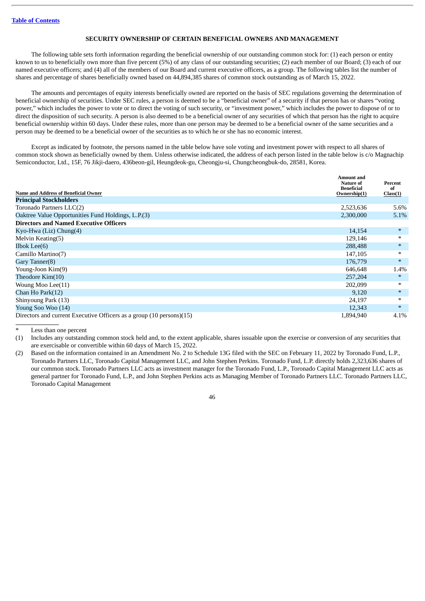# **SECURITY OWNERSHIP OF CERTAIN BENEFICIAL OWNERS AND MANAGEMENT**

<span id="page-50-0"></span>The following table sets forth information regarding the beneficial ownership of our outstanding common stock for: (1) each person or entity known to us to beneficially own more than five percent (5%) of any class of our outstanding securities; (2) each member of our Board; (3) each of our named executive officers; and (4) all of the members of our Board and current executive officers, as a group. The following tables list the number of shares and percentage of shares beneficially owned based on 44,894,385 shares of common stock outstanding as of March 15, 2022.

The amounts and percentages of equity interests beneficially owned are reported on the basis of SEC regulations governing the determination of beneficial ownership of securities. Under SEC rules, a person is deemed to be a "beneficial owner" of a security if that person has or shares "voting power," which includes the power to vote or to direct the voting of such security, or "investment power," which includes the power to dispose of or to direct the disposition of such security. A person is also deemed to be a beneficial owner of any securities of which that person has the right to acquire beneficial ownership within 60 days. Under these rules, more than one person may be deemed to be a beneficial owner of the same securities and a person may be deemed to be a beneficial owner of the securities as to which he or she has no economic interest.

Except as indicated by footnote, the persons named in the table below have sole voting and investment power with respect to all shares of common stock shown as beneficially owned by them. Unless otherwise indicated, the address of each person listed in the table below is c/o Magnachip Semiconductor, Ltd., 15F, 76 Jikji-daero, 436beon-gil, Heungdeok-gu, Cheongju-si, Chungcheongbuk-do, 28581, Korea.

| <b>Name and Address of Beneficial Owner</b>                          | Amount and<br>Nature of<br><b>Beneficial</b><br>Ownership(1) | Percent<br>of<br>Class(1) |
|----------------------------------------------------------------------|--------------------------------------------------------------|---------------------------|
| <b>Principal Stockholders</b>                                        |                                                              |                           |
| Toronado Partners LLC(2)                                             | 2,523,636                                                    | 5.6%                      |
| Oaktree Value Opportunities Fund Holdings, L.P.(3)                   | 2,300,000                                                    | 5.1%                      |
| <b>Directors and Named Executive Officers</b>                        |                                                              |                           |
| Kyo-Hwa (Liz) Chung(4)                                               | 14,154                                                       | $\ast$                    |
| Melvin Keating(5)                                                    | 129,146                                                      | $\ast$                    |
| Ilbok Lee $(6)$                                                      | 288,488                                                      | $\ast$                    |
| Camillo Martino(7)                                                   | 147,105                                                      | $\ast$                    |
| Gary Tanner(8)                                                       | 176,779                                                      | $\ast$                    |
| Young-Joon Kim(9)                                                    | 646,648                                                      | 1.4%                      |
| Theodore Kim(10)                                                     | 257,204                                                      | $\ast$                    |
| Woung Moo Lee(11)                                                    | 202,099                                                      | $\ast$                    |
| Chan Ho Park(12)                                                     | 9,120                                                        | $\ast$                    |
| Shinyoung Park (13)                                                  | 24,197                                                       | $\ast$                    |
| Young Soo Woo (14)                                                   | 12,343                                                       | $\ast$                    |
| Directors and current Executive Officers as a group (10 persons)(15) | 1,894,940                                                    | 4.1%                      |

Less than one percent

(1) Includes any outstanding common stock held and, to the extent applicable, shares issuable upon the exercise or conversion of any securities that are exercisable or convertible within 60 days of March 15, 2022.

(2) Based on the information contained in an Amendment No. 2 to Schedule 13G filed with the SEC on February 11, 2022 by Toronado Fund, L.P., Toronado Partners LLC, Toronado Capital Management LLC, and John Stephen Perkins. Toronado Fund, L.P. directly holds 2,323,636 shares of our common stock. Toronado Partners LLC acts as investment manager for the Toronado Fund, L.P., Toronado Capital Management LLC acts as general partner for Toronado Fund, L.P., and John Stephen Perkins acts as Managing Member of Toronado Partners LLC. Toronado Partners LLC, Toronado Capital Management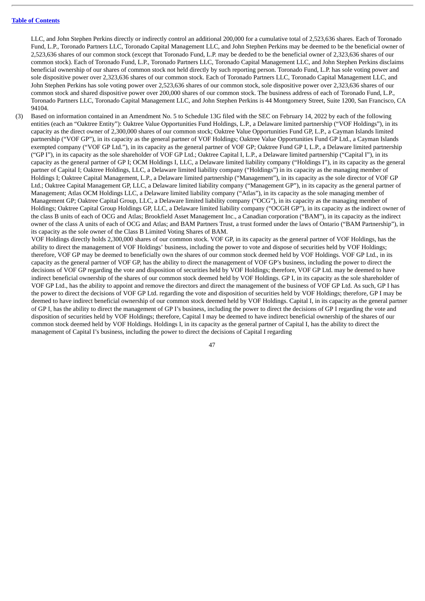LLC, and John Stephen Perkins directly or indirectly control an additional 200,000 for a cumulative total of 2,523,636 shares. Each of Toronado Fund, L.P., Toronado Partners LLC, Toronado Capital Management LLC, and John Stephen Perkins may be deemed to be the beneficial owner of 2,523,636 shares of our common stock (except that Toronado Fund, L.P. may be deeded to be the beneficial owner of 2,323,636 shares of our common stock). Each of Toronado Fund, L.P., Toronado Partners LLC, Toronado Capital Management LLC, and John Stephen Perkins disclaims beneficial ownership of our shares of common stock not held directly by such reporting person. Toronado Fund, L.P. has sole voting power and sole dispositive power over 2,323,636 shares of our common stock. Each of Toronado Partners LLC, Toronado Capital Management LLC, and John Stephen Perkins has sole voting power over 2,523,636 shares of our common stock, sole dispositive power over 2,323,636 shares of our common stock and shared dispositive power over 200,000 shares of our common stock. The business address of each of Toronado Fund, L.P., Toronado Partners LLC, Toronado Capital Management LLC, and John Stephen Perkins is 44 Montgomery Street, Suite 1200, San Francisco, CA 94104.

(3) Based on information contained in an Amendment No. 5 to Schedule 13G filed with the SEC on February 14, 2022 by each of the following entities (each an "Oaktree Entity"): Oaktree Value Opportunities Fund Holdings, L.P., a Delaware limited partnership ("VOF Holdings"), in its capacity as the direct owner of 2,300,000 shares of our common stock; Oaktree Value Opportunities Fund GP, L.P., a Cayman Islands limited partnership ("VOF GP"), in its capacity as the general partner of VOF Holdings; Oaktree Value Opportunities Fund GP Ltd., a Cayman Islands exempted company ("VOF GP Ltd."), in its capacity as the general partner of VOF GP; Oaktree Fund GP I, L.P., a Delaware limited partnership ("GP I"), in its capacity as the sole shareholder of VOF GP Ltd.; Oaktree Capital I, L.P., a Delaware limited partnership ("Capital I"), in its capacity as the general partner of GP I; OCM Holdings I, LLC, a Delaware limited liability company ("Holdings I"), in its capacity as the general partner of Capital I; Oaktree Holdings, LLC, a Delaware limited liability company ("Holdings") in its capacity as the managing member of Holdings I; Oaktree Capital Management, L.P., a Delaware limited partnership ("Management"), in its capacity as the sole director of VOF GP Ltd.; Oaktree Capital Management GP, LLC, a Delaware limited liability company ("Management GP"), in its capacity as the general partner of Management; Atlas OCM Holdings LLC, a Delaware limited liability company ("Atlas"), in its capacity as the sole managing member of Management GP; Oaktree Capital Group, LLC, a Delaware limited liability company ("OCG"), in its capacity as the managing member of Holdings; Oaktree Capital Group Holdings GP, LLC, a Delaware limited liability company ("OCGH GP"), in its capacity as the indirect owner of the class B units of each of OCG and Atlas; Brookfield Asset Management Inc., a Canadian corporation ("BAM"), in its capacity as the indirect owner of the class A units of each of OCG and Atlas; and BAM Partners Trust, a trust formed under the laws of Ontario ("BAM Partnership"), in its capacity as the sole owner of the Class B Limited Voting Shares of BAM.

VOF Holdings directly holds 2,300,000 shares of our common stock. VOF GP, in its capacity as the general partner of VOF Holdings, has the ability to direct the management of VOF Holdings' business, including the power to vote and dispose of securities held by VOF Holdings; therefore, VOF GP may be deemed to beneficially own the shares of our common stock deemed held by VOF Holdings. VOF GP Ltd., in its capacity as the general partner of VOF GP, has the ability to direct the management of VOF GP's business, including the power to direct the decisions of VOF GP regarding the vote and disposition of securities held by VOF Holdings; therefore, VOF GP Ltd. may be deemed to have indirect beneficial ownership of the shares of our common stock deemed held by VOF Holdings. GP I, in its capacity as the sole shareholder of VOF GP Ltd., has the ability to appoint and remove the directors and direct the management of the business of VOF GP Ltd. As such, GP I has the power to direct the decisions of VOF GP Ltd. regarding the vote and disposition of securities held by VOF Holdings; therefore, GP I may be deemed to have indirect beneficial ownership of our common stock deemed held by VOF Holdings. Capital I, in its capacity as the general partner of GP I, has the ability to direct the management of GP I's business, including the power to direct the decisions of GP I regarding the vote and disposition of securities held by VOF Holdings; therefore, Capital I may be deemed to have indirect beneficial ownership of the shares of our common stock deemed held by VOF Holdings. Holdings I, in its capacity as the general partner of Capital I, has the ability to direct the management of Capital I's business, including the power to direct the decisions of Capital I regarding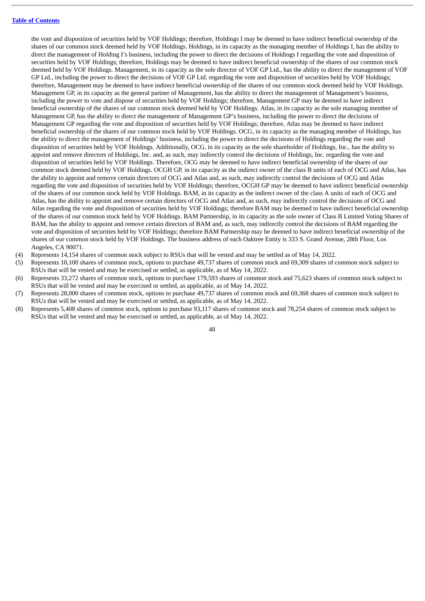the vote and disposition of securities held by VOF Holdings; therefore, Holdings I may be deemed to have indirect beneficial ownership of the shares of our common stock deemed held by VOF Holdings. Holdings, in its capacity as the managing member of Holdings I, has the ability to direct the management of Holding I's business, including the power to direct the decisions of Holdings I regarding the vote and disposition of securities held by VOF Holdings; therefore, Holdings may be deemed to have indirect beneficial ownership of the shares of our common stock deemed held by VOF Holdings. Management, in its capacity as the sole director of VOF GP Ltd., has the ability to direct the management of VOF GP Ltd., including the power to direct the decisions of VOF GP Ltd. regarding the vote and disposition of securities held by VOF Holdings; therefore, Management may be deemed to have indirect beneficial ownership of the shares of our common stock deemed held by VOF Holdings. Management GP, in its capacity as the general partner of Management, has the ability to direct the management of Management's business, including the power to vote and dispose of securities held by VOF Holdings; therefore, Management GP may be deemed to have indirect beneficial ownership of the shares of our common stock deemed held by VOF Holdings. Atlas, in its capacity as the sole managing member of Management GP, has the ability to direct the management of Management GP's business, including the power to direct the decisions of Management GP regarding the vote and disposition of securities held by VOF Holdings; therefore, Atlas may be deemed to have indirect beneficial ownership of the shares of our common stock held by VOF Holdings. OCG, in its capacity as the managing member of Holdings, has the ability to direct the management of Holdings' business, including the power to direct the decisions of Holdings regarding the vote and disposition of securities held by VOF Holdings. Additionally, OCG, in its capacity as the sole shareholder of Holdings, Inc., has the ability to appoint and remove directors of Holdings, Inc. and, as such, may indirectly control the decisions of Holdings, Inc. regarding the vote and disposition of securities held by VOF Holdings. Therefore, OCG may be deemed to have indirect beneficial ownership of the shares of our common stock deemed held by VOF Holdings. OCGH GP, in its capacity as the indirect owner of the class B units of each of OCG and Atlas, has the ability to appoint and remove certain directors of OCG and Atlas and, as such, may indirectly control the decisions of OCG and Atlas regarding the vote and disposition of securities held by VOF Holdings; therefore, OCGH GP may be deemed to have indirect beneficial ownership of the shares of our common stock held by VOF Holdings. BAM, in its capacity as the indirect owner of the class A units of each of OCG and Atlas, has the ability to appoint and remove certain directors of OCG and Atlas and, as such, may indirectly control the decisions of OCG and Atlas regarding the vote and disposition of securities held by VOF Holdings; therefore BAM may be deemed to have indirect beneficial ownership of the shares of our common stock held by VOF Holdings. BAM Partnership, in its capacity as the sole owner of Class B Limited Voting Shares of BAM, has the ability to appoint and remove certain directors of BAM and, as such, may indirectly control the decisions of BAM regarding the vote and disposition of securities held by VOF Holdings; therefore BAM Partnership may be deemed to have indirect beneficial ownership of the shares of our common stock held by VOF Holdings. The business address of each Oaktree Entity is 333 S. Grand Avenue, 28th Floor, Los Angeles, CA 90071.

- (4) Represents 14,154 shares of common stock subject to RSUs that will be vested and may be settled as of May 14, 2022.
- (5) Represents 10,100 shares of common stock, options to purchase 49,737 shares of common stock and 69,309 shares of common stock subject to RSUs that will be vested and may be exercised or settled, as applicable, as of May 14, 2022.
- (6) Represents 33,272 shares of common stock, options to purchase 179,593 shares of common stock and 75,623 shares of common stock subject to RSUs that will be vested and may be exercised or settled, as applicable, as of May 14, 2022.
- (7) Represents 28,000 shares of common stock, options to purchase 49,737 shares of common stock and 69,368 shares of common stock subject to RSUs that will be vested and may be exercised or settled, as applicable, as of May 14, 2022.
- (8) Represents 5,408 shares of common stock, options to purchase 93,117 shares of common stock and 78,254 shares of common stock subject to RSUs that will be vested and may be exercised or settled, as applicable, as of May 14, 2022.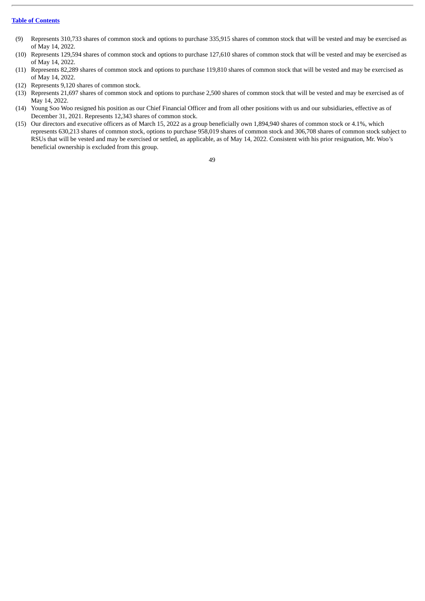- (9) Represents 310,733 shares of common stock and options to purchase 335,915 shares of common stock that will be vested and may be exercised as of May 14, 2022.
- (10) Represents 129,594 shares of common stock and options to purchase 127,610 shares of common stock that will be vested and may be exercised as of May 14, 2022.
- (11) Represents 82,289 shares of common stock and options to purchase 119,810 shares of common stock that will be vested and may be exercised as of May 14, 2022.
- (12) Represents 9,120 shares of common stock.
- (13) Represents 21,697 shares of common stock and options to purchase 2,500 shares of common stock that will be vested and may be exercised as of May 14, 2022.
- (14) Young Soo Woo resigned his position as our Chief Financial Officer and from all other positions with us and our subsidiaries, effective as of December 31, 2021. Represents 12,343 shares of common stock.
- (15) Our directors and executive officers as of March 15, 2022 as a group beneficially own 1,894,940 shares of common stock or 4.1%, which represents 630,213 shares of common stock, options to purchase 958,019 shares of common stock and 306,708 shares of common stock subject to RSUs that will be vested and may be exercised or settled, as applicable, as of May 14, 2022. Consistent with his prior resignation, Mr. Woo's beneficial ownership is excluded from this group.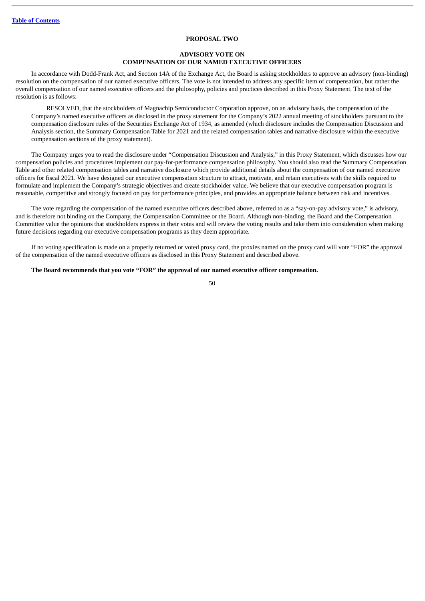# **PROPOSAL TWO**

# **ADVISORY VOTE ON COMPENSATION OF OUR NAMED EXECUTIVE OFFICERS**

<span id="page-54-0"></span>In accordance with Dodd-Frank Act, and Section 14A of the Exchange Act, the Board is asking stockholders to approve an advisory (non-binding) resolution on the compensation of our named executive officers. The vote is not intended to address any specific item of compensation, but rather the overall compensation of our named executive officers and the philosophy, policies and practices described in this Proxy Statement. The text of the resolution is as follows:

RESOLVED, that the stockholders of Magnachip Semiconductor Corporation approve, on an advisory basis, the compensation of the Company's named executive officers as disclosed in the proxy statement for the Company's 2022 annual meeting of stockholders pursuant to the compensation disclosure rules of the Securities Exchange Act of 1934, as amended (which disclosure includes the Compensation Discussion and Analysis section, the Summary Compensation Table for 2021 and the related compensation tables and narrative disclosure within the executive compensation sections of the proxy statement).

The Company urges you to read the disclosure under "Compensation Discussion and Analysis," in this Proxy Statement, which discusses how our compensation policies and procedures implement our pay-for-performance compensation philosophy. You should also read the Summary Compensation Table and other related compensation tables and narrative disclosure which provide additional details about the compensation of our named executive officers for fiscal 2021. We have designed our executive compensation structure to attract, motivate, and retain executives with the skills required to formulate and implement the Company's strategic objectives and create stockholder value. We believe that our executive compensation program is reasonable, competitive and strongly focused on pay for performance principles, and provides an appropriate balance between risk and incentives.

The vote regarding the compensation of the named executive officers described above, referred to as a "say-on-pay advisory vote," is advisory, and is therefore not binding on the Company, the Compensation Committee or the Board. Although non-binding, the Board and the Compensation Committee value the opinions that stockholders express in their votes and will review the voting results and take them into consideration when making future decisions regarding our executive compensation programs as they deem appropriate.

If no voting specification is made on a properly returned or voted proxy card, the proxies named on the proxy card will vote "FOR" the approval of the compensation of the named executive officers as disclosed in this Proxy Statement and described above.

# **The Board recommends that you vote "FOR" the approval of our named executive officer compensation.**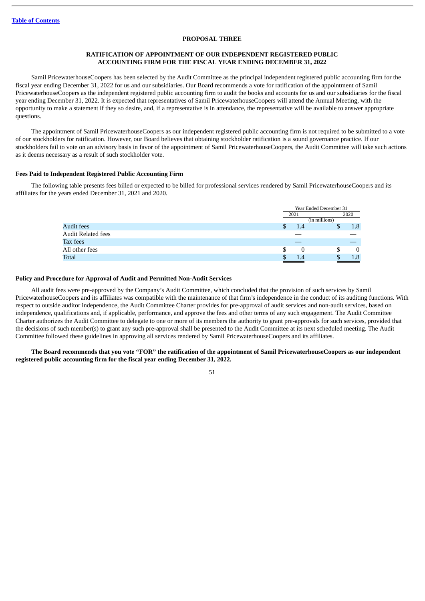# **PROPOSAL THREE**

# **RATIFICATION OF APPOINTMENT OF OUR INDEPENDENT REGISTERED PUBLIC ACCOUNTING FIRM FOR THE FISCAL YEAR ENDING DECEMBER 31, 2022**

<span id="page-55-0"></span>Samil PricewaterhouseCoopers has been selected by the Audit Committee as the principal independent registered public accounting firm for the fiscal year ending December 31, 2022 for us and our subsidiaries. Our Board recommends a vote for ratification of the appointment of Samil PricewaterhouseCoopers as the independent registered public accounting firm to audit the books and accounts for us and our subsidiaries for the fiscal year ending December 31, 2022. It is expected that representatives of Samil PricewaterhouseCoopers will attend the Annual Meeting, with the opportunity to make a statement if they so desire, and, if a representative is in attendance, the representative will be available to answer appropriate questions.

The appointment of Samil PricewaterhouseCoopers as our independent registered public accounting firm is not required to be submitted to a vote of our stockholders for ratification. However, our Board believes that obtaining stockholder ratification is a sound governance practice. If our stockholders fail to vote on an advisory basis in favor of the appointment of Samil PricewaterhouseCoopers, the Audit Committee will take such actions as it deems necessary as a result of such stockholder vote.

# <span id="page-55-1"></span>**Fees Paid to Independent Registered Public Accounting Firm**

The following table presents fees billed or expected to be billed for professional services rendered by Samil PricewaterhouseCoopers and its affiliates for the years ended December 31, 2021 and 2020.

|                           |           | Year Ended December 31 |          |  |
|---------------------------|-----------|------------------------|----------|--|
|                           | 2021      |                        | 2020     |  |
|                           |           | (in millions)          |          |  |
| <b>Audit fees</b>         | \$<br>1.4 |                        | 1.8      |  |
| <b>Audit Related fees</b> |           |                        |          |  |
| Tax fees                  |           |                        |          |  |
| All other fees            | \$<br>O   |                        | $\Omega$ |  |
| Total                     | 1.4       | .т                     | 1.8      |  |

# <span id="page-55-2"></span>**Policy and Procedure for Approval of Audit and Permitted Non-Audit Services**

All audit fees were pre-approved by the Company's Audit Committee, which concluded that the provision of such services by Samil PricewaterhouseCoopers and its affiliates was compatible with the maintenance of that firm's independence in the conduct of its auditing functions. With respect to outside auditor independence, the Audit Committee Charter provides for pre-approval of audit services and non-audit services, based on independence, qualifications and, if applicable, performance, and approve the fees and other terms of any such engagement. The Audit Committee Charter authorizes the Audit Committee to delegate to one or more of its members the authority to grant pre-approvals for such services, provided that the decisions of such member(s) to grant any such pre-approval shall be presented to the Audit Committee at its next scheduled meeting. The Audit Committee followed these guidelines in approving all services rendered by Samil PricewaterhouseCoopers and its affiliates.

# The Board recommends that you vote "FOR" the ratification of the appointment of Samil PricewaterhouseCoopers as our independent **registered public accounting firm for the fiscal year ending December 31, 2022.**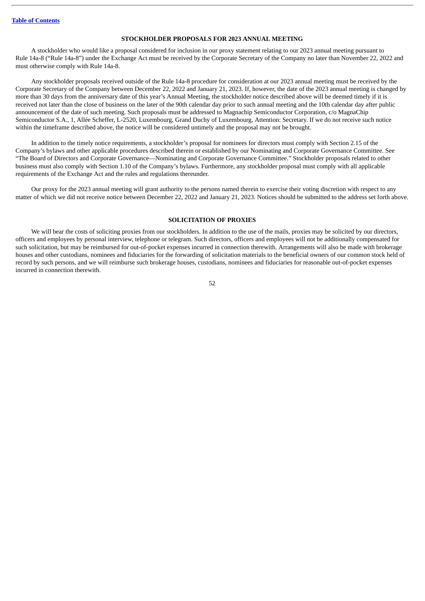# **STOCKHOLDER PROPOSALS FOR 2023 ANNUAL MEETING**

<span id="page-56-0"></span>A stockholder who would like a proposal considered for inclusion in our proxy statement relating to our 2023 annual meeting pursuant to Rule 14a-8 ("Rule 14a-8") under the Exchange Act must be received by the Corporate Secretary of the Company no later than November 22, 2022 and must otherwise comply with Rule 14a-8.

Any stockholder proposals received outside of the Rule 14a-8 procedure for consideration at our 2023 annual meeting must be received by the Corporate Secretary of the Company between December 22, 2022 and January 21, 2023. If, however, the date of the 2023 annual meeting is changed by more than 30 days from the anniversary date of this year's Annual Meeting, the stockholder notice described above will be deemed timely if it is received not later than the close of business on the later of the 90th calendar day prior to such annual meeting and the 10th calendar day after public announcement of the date of such meeting. Such proposals must be addressed to Magnachip Semiconductor Corporation, c/o MagnaChip Semiconductor S.A., 1, Allée Scheffer, L-2520, Luxembourg, Grand Duchy of Luxembourg, Attention: Secretary. If we do not receive such notice within the timeframe described above, the notice will be considered untimely and the proposal may not be brought.

In addition to the timely notice requirements, a stockholder's proposal for nominees for directors must comply with Section 2.15 of the Company's bylaws and other applicable procedures described therein or established by our Nominating and Corporate Governance Committee. See "The Board of Directors and Corporate Governance—Nominating and Corporate Governance Committee." Stockholder proposals related to other business must also comply with Section 1.10 of the Company's bylaws. Furthermore, any stockholder proposal must comply with all applicable requirements of the Exchange Act and the rules and regulations thereunder.

Our proxy for the 2023 annual meeting will grant authority to the persons named therein to exercise their voting discretion with respect to any matter of which we did not receive notice between December 22, 2022 and January 21, 2023. Notices should be submitted to the address set forth above.

# **SOLICITATION OF PROXIES**

<span id="page-56-1"></span>We will bear the costs of soliciting proxies from our stockholders. In addition to the use of the mails, proxies may be solicited by our directors, officers and employees by personal interview, telephone or telegram. Such directors, officers and employees will not be additionally compensated for such solicitation, but may be reimbursed for out-of-pocket expenses incurred in connection therewith. Arrangements will also be made with brokerage houses and other custodians, nominees and fiduciaries for the forwarding of solicitation materials to the beneficial owners of our common stock held of record by such persons, and we will reimburse such brokerage houses, custodians, nominees and fiduciaries for reasonable out-of-pocket expenses incurred in connection therewith.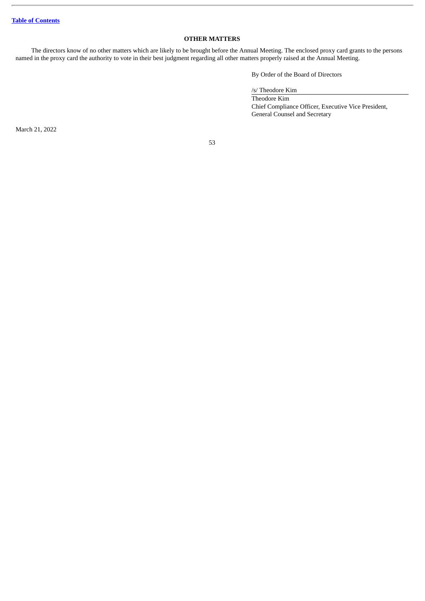# **OTHER MATTERS**

<span id="page-57-0"></span>The directors know of no other matters which are likely to be brought before the Annual Meeting. The enclosed proxy card grants to the persons named in the proxy card the authority to vote in their best judgment regarding all other matters properly raised at the Annual Meeting.

By Order of the Board of Directors

/s/ Theodore Kim

Theodore Kim Chief Compliance Officer, Executive Vice President, General Counsel and Secretary

March 21, 2022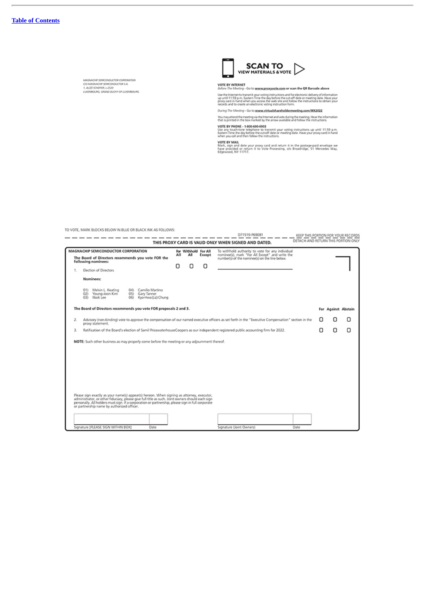L.

MAGNAO AP SEMICONDUCTOR COMPORATION<br>C/O MAGNAO AP SEMICONDUCTOR S.A.<br>1, ALLÉE SOVERER, L-2520<br>LUXEMBOURG, GANNO DUONY OF LUXEMEDURG



VOTE BY INTERNET<br>Before The Meeting - Go to waxon.proxyocole.com or scan the QR Barcode above

Use the Internet to transmit your voting instructions and for electronic delivery of information<br>up until 11:59 p.m. Liastern Time the day before the cut-off date or meeting date. Have your<br>proxy card in hand when you acce

During The Meeting - Go to www.virtualshareholdermeeting.com/MX2022

You may attend the meeting via the Internet and vote during the meeting. Have the information<br>that is printed in the box marked by the arrow available and follow the instructions.

071519-P69081

VOTE BY PHONE - 1400-690-6903<br>Use any touch-tone telephone to transmit your voting instructions up until 11:59 p.m.<br>Eastern Time the day before the cut-off date or meeting date. Have your proxy card in hand<br>when you call a

VOTE BY MAIL<br>Mark, sign and date your proxy card and return it in the postage-paid envelope we<br>have provided or return it to Vote Processing, olo Broadridge, 51 Mercedes Way,<br>Edgewood, NY 11717.

TO VOTE, MARK BLOCKS BELOW IN BLUE OR BLACK INK AS FOLLOWS:

|    |                                                                                                                                                                                                                                                                                                |     |                             |        | D71519-P69081                                                                                                                                       | KEEP THIS PORTION FOR YOUR RECORDS  |                     |   |
|----|------------------------------------------------------------------------------------------------------------------------------------------------------------------------------------------------------------------------------------------------------------------------------------------------|-----|-----------------------------|--------|-----------------------------------------------------------------------------------------------------------------------------------------------------|-------------------------------------|---------------------|---|
|    |                                                                                                                                                                                                                                                                                                |     |                             |        | THIS PROXY CARD IS VALID ONLY WHEN SIGNED AND DATED.                                                                                                | DETACH AND RETURN THIS PORTION ONLY |                     |   |
|    | MAGNACHIP SEMICONDUCTOR CORPORATION                                                                                                                                                                                                                                                            | All | For Withhold For All<br>All | Except | To withhold authority to vote for any individual<br>nominee(s), mark "For All Except" and write the                                                 |                                     |                     |   |
|    | The Board of Directors recommends you vote FOR the<br>following nominees:                                                                                                                                                                                                                      |     |                             |        | number(s) of the nominee(s) on the line below.                                                                                                      |                                     |                     |   |
| 1. | Election of Directors                                                                                                                                                                                                                                                                          | Π   | Π                           | Ω      |                                                                                                                                                     |                                     |                     |   |
|    | Nominees:                                                                                                                                                                                                                                                                                      |     |                             |        |                                                                                                                                                     |                                     |                     |   |
|    | 01) Melvin L. Keating<br>04) Camillo Martino<br>02) Young-Joon Kim<br>Gary Tanner<br>051<br>03) libok Lee<br>Kyo-Hwa (Liz) Chung<br>061                                                                                                                                                        |     |                             |        |                                                                                                                                                     |                                     |                     |   |
|    | The Board of Directors recommends you vote FOR proposals 2 and 3.                                                                                                                                                                                                                              |     |                             |        |                                                                                                                                                     |                                     | For Against Abstain |   |
| 2. | proxy statement.                                                                                                                                                                                                                                                                               |     |                             |        | Advisory (non-binding) vote to approve the compensation of our named executive officers as set forth in the "Executive Compensation" section in the |                                     |                     | Ο |
| 3. | Ratification of the Board's election of Samil PricewaterhouseCoopers as our independent registered public accounting firm for 2022.                                                                                                                                                            |     |                             |        |                                                                                                                                                     | п                                   | Ω                   | ο |
|    | NOTE: Such other business as may properly come before the meeting or any adjournment thereof.<br>Please sign exactly as your name(s) appear(s) hereon. When signing as attorney, executor,<br>administrator, or other fiduciary, please give full title as such. Joint owners should each sign |     |                             |        |                                                                                                                                                     |                                     |                     |   |
|    | personally. All holders must sign. If a corporation or partnership, please sign in full corporate<br>or partnership name by authorized officer.                                                                                                                                                |     |                             |        |                                                                                                                                                     |                                     |                     |   |
|    |                                                                                                                                                                                                                                                                                                |     |                             |        |                                                                                                                                                     |                                     |                     |   |
|    | Signature [PLEASE SIGN WITHIN BOX]<br>Date                                                                                                                                                                                                                                                     |     |                             |        | Date<br>Signature (Joint Owners)                                                                                                                    |                                     |                     |   |